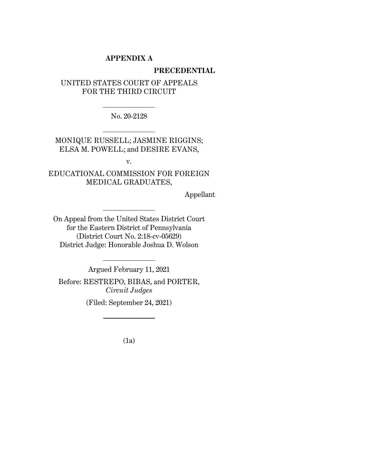# **APPENDIX A**

#### **PRECEDENTIAL**

# UNITED STATES COURT OF APPEALS FOR THE THIRD CIRCUIT

No. 20-2128

MONIQUE RUSSELL; JASMINE RIGGINS; ELSA M. POWELL; and DESIRE EVANS,

v.

EDUCATIONAL COMMISSION FOR FOREIGN MEDICAL GRADUATES,

Appellant

On Appeal from the United States District Court for the Eastern District of Pennsylvania (District Court No. 2:18-cv-05629) District Judge: Honorable Joshua D. Wolson

Argued February 11, 2021

Before: RESTREPO, BIBAS, and PORTER, *Circuit Judges*

(Filed: September 24, 2021)

(1a)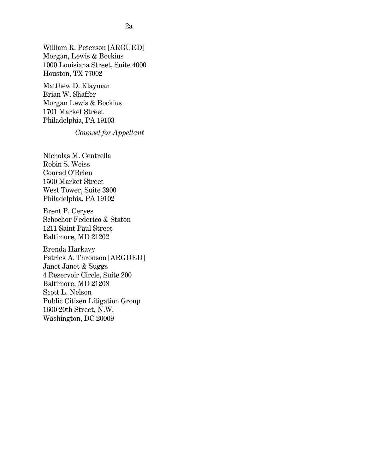William R. Peterson [ARGUED] Morgan, Lewis & Bockius 1000 Louisiana Street, Suite 4000 Houston, TX 77002

Matthew D. Klayman Brian W. Shaffer Morgan Lewis & Bockius 1701 Market Street Philadelphia, PA 19103

# *Counsel for Appellant*

Nicholas M. Centrella Robin S. Weiss Conrad O'Brien 1500 Market Street West Tower, Suite 3900 Philadelphia, PA 19102

Brent P. Ceryes Schochor Federico & Staton 1211 Saint Paul Street Baltimore, MD 21202

Brenda Harkavy Patrick A. Thronson [ARGUED] Janet Janet & Suggs 4 Reservoir Circle, Suite 200 Baltimore, MD 21208 Scott L. Nelson Public Citizen Litigation Group 1600 20th Street, N.W. Washington, DC 20009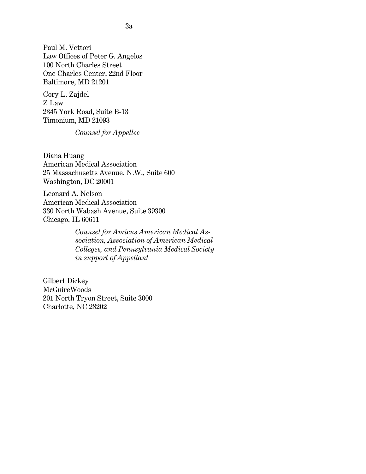Paul M. Vettori Law Offices of Peter G. Angelos 100 North Charles Street One Charles Center, 22nd Floor Baltimore, MD 21201

Cory L. Zajdel Z Law 2345 York Road, Suite B-13 Timonium, MD 21093

*Counsel for Appellee*

Diana Huang American Medical Association 25 Massachusetts Avenue, N.W., Suite 600 Washington, DC 20001

Leonard A. Nelson American Medical Association 330 North Wabash Avenue, Suite 39300 Chicago, IL 60611

> *Counsel for Amicus American Medical Association, Association of American Medical Colleges, and Pennsylvania Medical Society in support of Appellant*

Gilbert Dickey McGuireWoods 201 North Tryon Street, Suite 3000 Charlotte, NC 28202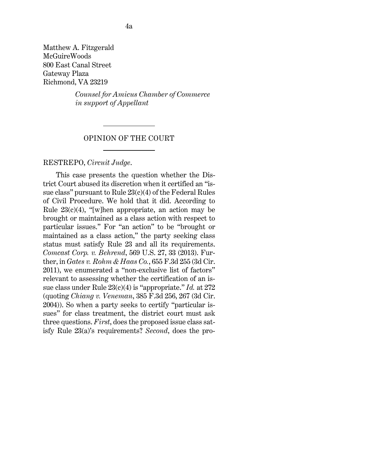Matthew A. Fitzgerald McGuireWoods 800 East Canal Street Gateway Plaza Richmond, VA 23219

> *Counsel for Amicus Chamber of Commerce in support of Appellant*

#### OPINION OF THE COURT

#### [RESTREPO,](http://www.westlaw.com/Link/Document/FullText?findType=h&pubNum=176284&cite=0280412801&originatingDoc=I80f91ca01d6311ecb72ce2c86e84f35e&refType=RQ&originationContext=document&vr=3.0&rs=cblt1.0&transitionType=DocumentItem&contextData=(sc.UserEnteredCitation)) *Circuit Judge*.

This case presents the question whether the District Court abused its discretion when it certified an "issue class" pursuant t[o Rule 23\(c\)\(4\) of the Federal Rules](http://www.westlaw.com/Link/Document/FullText?findType=L&pubNum=1000600&cite=USFRCPR23&originatingDoc=I80f91ca01d6311ecb72ce2c86e84f35e&refType=LQ&originationContext=document&vr=3.0&rs=cblt1.0&transitionType=DocumentItem&contextData=(sc.UserEnteredCitation))  [of Civil Procedure.](http://www.westlaw.com/Link/Document/FullText?findType=L&pubNum=1000600&cite=USFRCPR23&originatingDoc=I80f91ca01d6311ecb72ce2c86e84f35e&refType=LQ&originationContext=document&vr=3.0&rs=cblt1.0&transitionType=DocumentItem&contextData=(sc.UserEnteredCitation)) We hold that it did. According to Rule  $23(c)(4)$ , "[w]hen appropriate, an action may be brought or maintained as a class action with respect to particular issues." For "an action" to be "brought or maintained as a class action," the party seeking class status must satisfy [Rule 23](http://www.westlaw.com/Link/Document/FullText?findType=L&pubNum=1000600&cite=USFRCPR23&originatingDoc=I80f91ca01d6311ecb72ce2c86e84f35e&refType=LQ&originationContext=document&vr=3.0&rs=cblt1.0&transitionType=DocumentItem&contextData=(sc.UserEnteredCitation)) and all its requirements. *[Comcast Corp. v. Behrend](http://www.westlaw.com/Link/Document/FullText?findType=Y&serNum=2030224700&pubNum=0000780&originatingDoc=I80f91ca01d6311ecb72ce2c86e84f35e&refType=RP&fi=co_pp_sp_780_33&originationContext=document&vr=3.0&rs=cblt1.0&transitionType=DocumentItem&contextData=(sc.UserEnteredCitation)#co_pp_sp_780_33)*[, 569 U.S. 27, 33 \(2013\).](http://www.westlaw.com/Link/Document/FullText?findType=Y&serNum=2030224700&pubNum=0000780&originatingDoc=I80f91ca01d6311ecb72ce2c86e84f35e&refType=RP&fi=co_pp_sp_780_33&originationContext=document&vr=3.0&rs=cblt1.0&transitionType=DocumentItem&contextData=(sc.UserEnteredCitation)#co_pp_sp_780_33) Further, in *[Gates v. Rohm & Haas Co.](http://www.westlaw.com/Link/Document/FullText?findType=Y&serNum=2025930707&pubNum=0000506&originatingDoc=I80f91ca01d6311ecb72ce2c86e84f35e&refType=RP&originationContext=document&vr=3.0&rs=cblt1.0&transitionType=DocumentItem&contextData=(sc.UserEnteredCitation))*[, 655 F.3d 255 \(3d Cir.](http://www.westlaw.com/Link/Document/FullText?findType=Y&serNum=2025930707&pubNum=0000506&originatingDoc=I80f91ca01d6311ecb72ce2c86e84f35e&refType=RP&originationContext=document&vr=3.0&rs=cblt1.0&transitionType=DocumentItem&contextData=(sc.UserEnteredCitation))  [2011\),](http://www.westlaw.com/Link/Document/FullText?findType=Y&serNum=2025930707&pubNum=0000506&originatingDoc=I80f91ca01d6311ecb72ce2c86e84f35e&refType=RP&originationContext=document&vr=3.0&rs=cblt1.0&transitionType=DocumentItem&contextData=(sc.UserEnteredCitation)) we enumerated a "non-exclusive list of factors" relevant to assessing whether the certification of an issue class unde[r Rule 23\(c\)\(4\)](http://www.westlaw.com/Link/Document/FullText?findType=L&pubNum=1000600&cite=USFRCPR23&originatingDoc=I80f91ca01d6311ecb72ce2c86e84f35e&refType=LQ&originationContext=document&vr=3.0&rs=cblt1.0&transitionType=DocumentItem&contextData=(sc.UserEnteredCitation)) is "appropriate." *[Id.](http://www.westlaw.com/Link/Document/FullText?findType=Y&serNum=2025930707&pubNum=0000506&originatingDoc=I80f91ca01d6311ecb72ce2c86e84f35e&refType=RP&fi=co_pp_sp_506_272&originationContext=document&vr=3.0&rs=cblt1.0&transitionType=DocumentItem&contextData=(sc.UserEnteredCitation)#co_pp_sp_506_272)* [at 272](http://www.westlaw.com/Link/Document/FullText?findType=Y&serNum=2025930707&pubNum=0000506&originatingDoc=I80f91ca01d6311ecb72ce2c86e84f35e&refType=RP&fi=co_pp_sp_506_272&originationContext=document&vr=3.0&rs=cblt1.0&transitionType=DocumentItem&contextData=(sc.UserEnteredCitation)#co_pp_sp_506_272) (quoting *Chiang v. Veneman*[, 385 F.3d 256, 267 \(3d Cir.](http://www.westlaw.com/Link/Document/FullText?findType=Y&serNum=2005123706&pubNum=0000506&originatingDoc=I80f91ca01d6311ecb72ce2c86e84f35e&refType=RP&fi=co_pp_sp_506_267&originationContext=document&vr=3.0&rs=cblt1.0&transitionType=DocumentItem&contextData=(sc.UserEnteredCitation)#co_pp_sp_506_267)  [2004\)\)](http://www.westlaw.com/Link/Document/FullText?findType=Y&serNum=2005123706&pubNum=0000506&originatingDoc=I80f91ca01d6311ecb72ce2c86e84f35e&refType=RP&fi=co_pp_sp_506_267&originationContext=document&vr=3.0&rs=cblt1.0&transitionType=DocumentItem&contextData=(sc.UserEnteredCitation)#co_pp_sp_506_267). So when a party seeks to certify "particular issues" for class treatment, the district court must ask three questions. *First*, does the proposed issue class satisfy [Rule 23\(a\)'](http://www.westlaw.com/Link/Document/FullText?findType=L&pubNum=1000600&cite=USFRCPR23&originatingDoc=I80f91ca01d6311ecb72ce2c86e84f35e&refType=LQ&originationContext=document&vr=3.0&rs=cblt1.0&transitionType=DocumentItem&contextData=(sc.UserEnteredCitation))s requirements? *Second*, does the pro-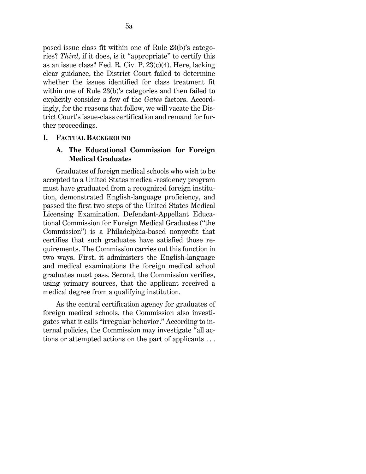posed issue class fit within one of [Rule 23\(b\)'](http://www.westlaw.com/Link/Document/FullText?findType=L&pubNum=1000600&cite=USFRCPR23&originatingDoc=I80f91ca01d6311ecb72ce2c86e84f35e&refType=LQ&originationContext=document&vr=3.0&rs=cblt1.0&transitionType=DocumentItem&contextData=(sc.UserEnteredCitation))s categories? *Third*, if it does, is it "appropriate" to certify this as an issue class? [Fed. R. Civ. P. 23\(c\)\(4\).](http://www.westlaw.com/Link/Document/FullText?findType=L&pubNum=1000600&cite=USFRCPR23&originatingDoc=I80f91ca01d6311ecb72ce2c86e84f35e&refType=LQ&originationContext=document&vr=3.0&rs=cblt1.0&transitionType=DocumentItem&contextData=(sc.UserEnteredCitation)) Here, lacking clear guidance, the District Court failed to determine whether the issues identified for class treatment fit within one of [Rule 23\(b\)'](http://www.westlaw.com/Link/Document/FullText?findType=L&pubNum=1000600&cite=USFRCPR23&originatingDoc=I80f91ca01d6311ecb72ce2c86e84f35e&refType=LQ&originationContext=document&vr=3.0&rs=cblt1.0&transitionType=DocumentItem&contextData=(sc.UserEnteredCitation))s categories and then failed to explicitly consider a few of the *[Gates](http://www.westlaw.com/Link/Document/FullText?findType=Y&serNum=2025930707&pubNum=0000506&originatingDoc=I80f91ca01d6311ecb72ce2c86e84f35e&refType=RP&originationContext=document&vr=3.0&rs=cblt1.0&transitionType=DocumentItem&contextData=(sc.UserEnteredCitation))* factors. Accordingly, for the reasons that follow, we will vacate the District Court's issue-class certification and remand for further proceedings.

#### **I. FACTUAL BACKGROUND**

## **A. The Educational Commission for Foreign Medical Graduates**

Graduates of foreign medical schools who wish to be accepted to a United States medical-residency program must have graduated from a recognized foreign institution, demonstrated English-language proficiency, and passed the first two steps of the United States Medical Licensing Examination. Defendant-Appellant Educational Commission for Foreign Medical Graduates ("the Commission") is a Philadelphia-based nonprofit that certifies that such graduates have satisfied those requirements. The Commission carries out this function in two ways. First, it administers the English-language and medical examinations the foreign medical school graduates must pass. Second, the Commission verifies, using primary sources, that the applicant received a medical degree from a qualifying institution.

As the central certification agency for graduates of foreign medical schools, the Commission also investigates what it calls "irregular behavior." According to internal policies, the Commission may investigate "all actions or attempted actions on the part of applicants . . .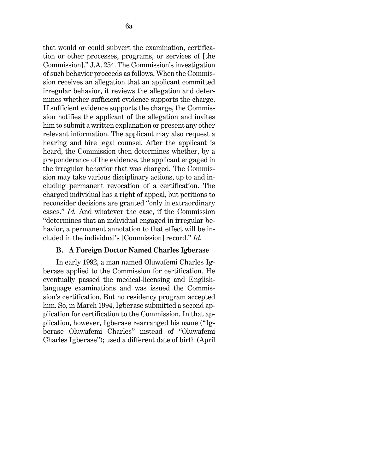that would or could subvert the examination, certification or other processes, programs, or services of [the Commission]." J.A. 254. The Commission's investigation of such behavior proceeds as follows. When the Commission receives an allegation that an applicant committed irregular behavior, it reviews the allegation and determines whether sufficient evidence supports the charge. If sufficient evidence supports the charge, the Commission notifies the applicant of the allegation and invites him to submit a written explanation or present any other relevant information. The applicant may also request a hearing and hire legal counsel. After the applicant is heard, the Commission then determines whether, by a preponderance of the evidence, the applicant engaged in the irregular behavior that was charged. The Commission may take various disciplinary actions, up to and including permanent revocation of a certification. The charged individual has a right of appeal, but petitions to reconsider decisions are granted "only in extraordinary cases." *Id.* And whatever the case, if the Commission "determines that an individual engaged in irregular behavior, a permanent annotation to that effect will be included in the individual's [Commission] record." *Id.*

#### **B. A Foreign Doctor Named Charles Igberase**

In early 1992, a man named Oluwafemi Charles Igberase applied to the Commission for certification. He eventually passed the medical-licensing and Englishlanguage examinations and was issued the Commission's certification. But no residency program accepted him. So, in March 1994, Igberase submitted a second application for certification to the Commission. In that application, however, Igberase rearranged his name ("Igberase Oluwafemi Charles" instead of "Oluwafemi Charles Igberase"); used a different date of birth (April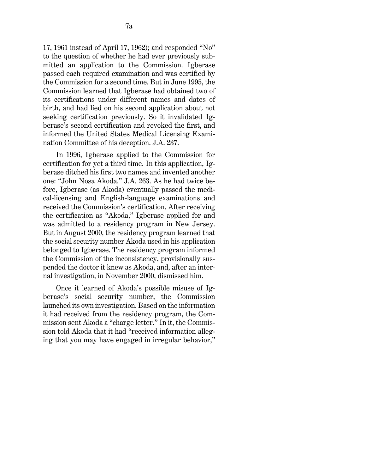17, 1961 instead of April 17, 1962); and responded "No" to the question of whether he had ever previously submitted an application to the Commission. Igberase passed each required examination and was certified by the Commission for a second time. But in June 1995, the Commission learned that Igberase had obtained two of its certifications under different names and dates of birth, and had lied on his second application about not seeking certification previously. So it invalidated Igberase's second certification and revoked the first, and informed the United States Medical Licensing Examination Committee of his deception. J.A. 237.

In 1996, Igberase applied to the Commission for certification for yet a third time. In this application, Igberase ditched his first two names and invented another one: "John Nosa Akoda." J.A. 263. As he had twice before, Igberase (as Akoda) eventually passed the medical-licensing and English-language examinations and received the Commission's certification. After receiving the certification as "Akoda," Igberase applied for and was admitted to a residency program in New Jersey. But in August 2000, the residency program learned that the social security number Akoda used in his application belonged to Igberase. The residency program informed the Commission of the inconsistency, provisionally suspended the doctor it knew as Akoda, and, after an internal investigation, in November 2000, dismissed him.

Once it learned of Akoda's possible misuse of Igberase's social security number, the Commission launched its own investigation. Based on the information it had received from the residency program, the Commission sent Akoda a "charge letter." In it, the Commission told Akoda that it had "received information alleging that you may have engaged in irregular behavior,"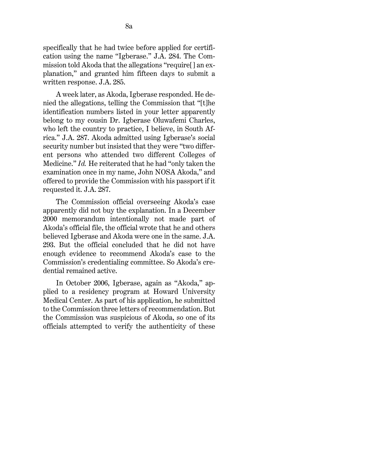specifically that he had twice before applied for certification using the name "Igberase." J.A. 284. The Commission told Akoda that the allegations "require[] an explanation," and granted him fifteen days to submit a written response. J.A. 285.

A week later, as Akoda, Igberase responded. He denied the allegations, telling the Commission that "[t]he identification numbers listed in your letter apparently belong to my cousin Dr. Igberase Oluwafemi Charles, who left the country to practice, I believe, in South Africa." J.A. 287. Akoda admitted using Igberase's social security number but insisted that they were "two different persons who attended two different Colleges of Medicine." *Id.* He reiterated that he had "only taken the examination once in my name, John NOSA Akoda," and offered to provide the Commission with his passport if it requested it. J.A. 287.

The Commission official overseeing Akoda's case apparently did not buy the explanation. In a December 2000 memorandum intentionally not made part of Akoda's official file, the official wrote that he and others believed Igberase and Akoda were one in the same. J.A. 293. But the official concluded that he did not have enough evidence to recommend Akoda's case to the Commission's credentialing committee. So Akoda's credential remained active.

In October 2006, Igberase, again as "Akoda," applied to a residency program at Howard University Medical Center. As part of his application, he submitted to the Commission three letters of recommendation. But the Commission was suspicious of Akoda, so one of its officials attempted to verify the authenticity of these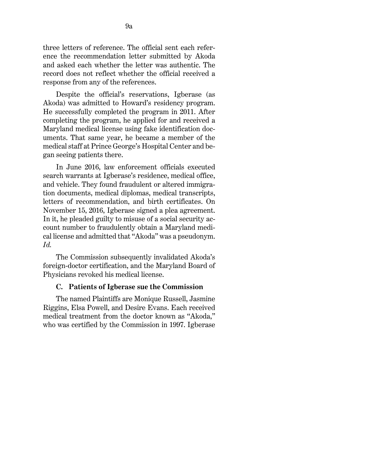three letters of reference. The official sent each reference the recommendation letter submitted by Akoda and asked each whether the letter was authentic. The record does not reflect whether the official received a response from any of the references.

Despite the official's reservations, Igberase (as Akoda) was admitted to Howard's residency program. He successfully completed the program in 2011. After completing the program, he applied for and received a Maryland medical license using fake identification documents. That same year, he became a member of the medical staff at Prince George's Hospital Center and began seeing patients there.

In June 2016, law enforcement officials executed search warrants at Igberase's residence, medical office, and vehicle. They found fraudulent or altered immigration documents, medical diplomas, medical transcripts, letters of recommendation, and birth certificates. On November 15, 2016, Igberase signed a plea agreement. In it, he pleaded guilty to misuse of a social security account number to fraudulently obtain a Maryland medical license and admitted that "Akoda" was a pseudonym. *Id.*

The Commission subsequently invalidated Akoda's foreign-doctor certification, and the Maryland Board of Physicians revoked his medical license.

## **C. Patients of Igberase sue the Commission**

The named Plaintiffs are Monique Russell, Jasmine Riggins, Elsa Powell, and Desire Evans. Each received medical treatment from the doctor known as "Akoda," who was certified by the Commission in 1997. Igberase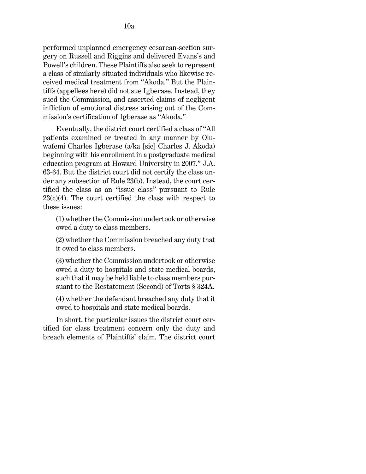performed unplanned [emergency cesarean-section](http://www.westlaw.com/Link/Document/FullText?entityType=mproc&entityId=Iad9f6161475411db9765f9243f53508a&originationContext=document&transitionType=DocumentItem&contextData=(sc.Default)&vr=3.0&rs=cblt1.0) surgery on Russell and Riggins and delivered Evans's and Powell's children. These Plaintiffs also seek to represent a class of similarly situated individuals who likewise received medical treatment from "Akoda." But the Plaintiffs (appellees here) did not sue Igberase. Instead, they sued the Commission, and asserted claims of negligent infliction of emotional distress arising out of the Commission's certification of Igberase as "Akoda."

Eventually, the district court certified a class of "All patients examined or treated in any manner by Oluwafemi Charles Igberase (a/ka [sic] Charles J. Akoda) beginning with his enrollment in a postgraduate medical education program at Howard University in 2007." J.A. 63-64. But the district court did not certify the class under any subsection of [Rule 23\(b\).](http://www.westlaw.com/Link/Document/FullText?findType=L&pubNum=1000600&cite=USFRCPR23&originatingDoc=I80f91ca01d6311ecb72ce2c86e84f35e&refType=LQ&originationContext=document&vr=3.0&rs=cblt1.0&transitionType=DocumentItem&contextData=(sc.UserEnteredCitation)) Instead, the court certified the class as an "issue class" pursuant to [Rule](http://www.westlaw.com/Link/Document/FullText?findType=L&pubNum=1000600&cite=USFRCPR23&originatingDoc=I80f91ca01d6311ecb72ce2c86e84f35e&refType=LQ&originationContext=document&vr=3.0&rs=cblt1.0&transitionType=DocumentItem&contextData=(sc.UserEnteredCitation))   $23(c)(4)$ . The court certified the class with respect to these issues:

(1) whether the Commission undertook or otherwise owed a duty to class members.

(2) whether the Commission breached any duty that it owed to class members.

(3) whether the Commission undertook or otherwise owed a duty to hospitals and state medical boards, such that it may be held liable to class members pursuant to the [Restatement \(Second\) of Torts § 324A.](http://www.westlaw.com/Link/Document/FullText?findType=Y&serNum=0290694067&pubNum=0101577&originatingDoc=I80f91ca01d6311ecb72ce2c86e84f35e&refType=TS&originationContext=document&vr=3.0&rs=cblt1.0&transitionType=DocumentItem&contextData=(sc.UserEnteredCitation))

(4) whether the defendant breached any duty that it owed to hospitals and state medical boards.

In short, the particular issues the district court certified for class treatment concern only the duty and breach elements of Plaintiffs' claim. The district court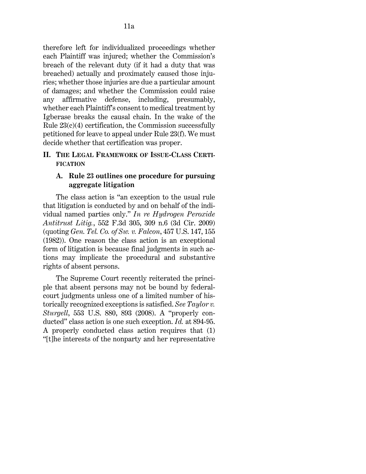therefore left for individualized proceedings whether each Plaintiff was injured; whether the Commission's breach of the relevant duty (if it had a duty that was breached) actually and proximately caused those injuries; whether those injuries are due a particular amount of damages; and whether the Commission could raise any affirmative defense, including, presumably, whether each Plaintiff's consent to medical treatment by Igberase breaks the causal chain. In the wake of the Rule  $23(c)(4)$  certification, the Commission successfully petitioned for leave to appeal under [Rule 23\(f\).](http://www.westlaw.com/Link/Document/FullText?findType=L&pubNum=1000600&cite=USFRCPR23&originatingDoc=I80f91ca01d6311ecb72ce2c86e84f35e&refType=LQ&originationContext=document&vr=3.0&rs=cblt1.0&transitionType=DocumentItem&contextData=(sc.UserEnteredCitation)) We must decide whether that certification was proper.

## **II. THE LEGAL FRAMEWORK OF ISSUE-CLASS CERTI-FICATION**

# **A. [Rule 23](http://www.westlaw.com/Link/Document/FullText?findType=L&pubNum=1000600&cite=USFRCPR23&originatingDoc=I80f91ca01d6311ecb72ce2c86e84f35e&refType=LQ&originationContext=document&vr=3.0&rs=cblt1.0&transitionType=DocumentItem&contextData=(sc.UserEnteredCitation)) outlines one procedure for pursuing aggregate litigation**

The class action is "an exception to the usual rule that litigation is conducted by and on behalf of the individual named parties only." *[In re Hydrogen Peroxide](http://www.westlaw.com/Link/Document/FullText?findType=Y&serNum=2017791597&pubNum=0000506&originatingDoc=I80f91ca01d6311ecb72ce2c86e84f35e&refType=RP&fi=co_pp_sp_506_309&originationContext=document&vr=3.0&rs=cblt1.0&transitionType=DocumentItem&contextData=(sc.UserEnteredCitation)#co_pp_sp_506_309)  [Antitrust Litig.](http://www.westlaw.com/Link/Document/FullText?findType=Y&serNum=2017791597&pubNum=0000506&originatingDoc=I80f91ca01d6311ecb72ce2c86e84f35e&refType=RP&fi=co_pp_sp_506_309&originationContext=document&vr=3.0&rs=cblt1.0&transitionType=DocumentItem&contextData=(sc.UserEnteredCitation)#co_pp_sp_506_309)*[, 552 F.3d 305, 309 n.6 \(3d Cir. 2009\)](http://www.westlaw.com/Link/Document/FullText?findType=Y&serNum=2017791597&pubNum=0000506&originatingDoc=I80f91ca01d6311ecb72ce2c86e84f35e&refType=RP&fi=co_pp_sp_506_309&originationContext=document&vr=3.0&rs=cblt1.0&transitionType=DocumentItem&contextData=(sc.UserEnteredCitation)#co_pp_sp_506_309) (quoting *[Gen. Tel. Co. of Sw. v. Falcon](http://www.westlaw.com/Link/Document/FullText?findType=Y&serNum=1982126656&pubNum=0000780&originatingDoc=I80f91ca01d6311ecb72ce2c86e84f35e&refType=RP&fi=co_pp_sp_780_155&originationContext=document&vr=3.0&rs=cblt1.0&transitionType=DocumentItem&contextData=(sc.UserEnteredCitation)#co_pp_sp_780_155)*, 457 U.S. [147, 155](http://www.westlaw.com/Link/Document/FullText?findType=Y&serNum=1982126656&pubNum=0000780&originatingDoc=I80f91ca01d6311ecb72ce2c86e84f35e&refType=RP&fi=co_pp_sp_780_155&originationContext=document&vr=3.0&rs=cblt1.0&transitionType=DocumentItem&contextData=(sc.UserEnteredCitation)#co_pp_sp_780_155)  [\(1982\)\)](http://www.westlaw.com/Link/Document/FullText?findType=Y&serNum=1982126656&pubNum=0000780&originatingDoc=I80f91ca01d6311ecb72ce2c86e84f35e&refType=RP&fi=co_pp_sp_780_155&originationContext=document&vr=3.0&rs=cblt1.0&transitionType=DocumentItem&contextData=(sc.UserEnteredCitation)#co_pp_sp_780_155). One reason the class action is an exceptional form of litigation is because final judgments in such actions may implicate the procedural and substantive rights of absent persons.

The Supreme Court recently reiterated the principle that absent persons may not be bound by federalcourt judgments unless one of a limited number of historically recognized exceptions is satisfied. *See [Taylor v.](http://www.westlaw.com/Link/Document/FullText?findType=Y&serNum=2016292755&pubNum=0000780&originatingDoc=I80f91ca01d6311ecb72ce2c86e84f35e&refType=RP&fi=co_pp_sp_780_893&originationContext=document&vr=3.0&rs=cblt1.0&transitionType=DocumentItem&contextData=(sc.UserEnteredCitation)#co_pp_sp_780_893)  [Sturgell](http://www.westlaw.com/Link/Document/FullText?findType=Y&serNum=2016292755&pubNum=0000780&originatingDoc=I80f91ca01d6311ecb72ce2c86e84f35e&refType=RP&fi=co_pp_sp_780_893&originationContext=document&vr=3.0&rs=cblt1.0&transitionType=DocumentItem&contextData=(sc.UserEnteredCitation)#co_pp_sp_780_893)*[, 553 U.S. 880, 893 \(2008\).](http://www.westlaw.com/Link/Document/FullText?findType=Y&serNum=2016292755&pubNum=0000780&originatingDoc=I80f91ca01d6311ecb72ce2c86e84f35e&refType=RP&fi=co_pp_sp_780_893&originationContext=document&vr=3.0&rs=cblt1.0&transitionType=DocumentItem&contextData=(sc.UserEnteredCitation)#co_pp_sp_780_893) A "properly conducted" class action is one such exception. *Id.* [at 894-95.](http://www.westlaw.com/Link/Document/FullText?findType=Y&serNum=2016292755&pubNum=0000708&originatingDoc=I80f91ca01d6311ecb72ce2c86e84f35e&refType=RP&originationContext=document&vr=3.0&rs=cblt1.0&transitionType=DocumentItem&contextData=(sc.UserEnteredCitation)) A properly conducted class action requires that (1) "[t]he interests of the nonparty and her representative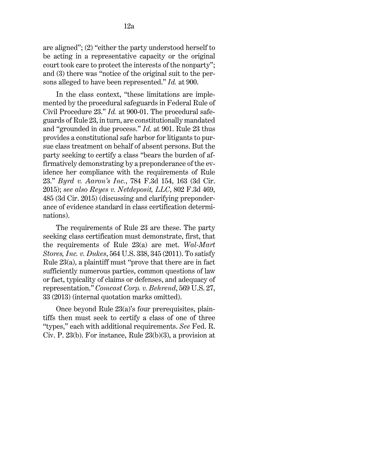are aligned"; (2) "either the party understood herself to be acting in a representative capacity or the original court took care to protect the interests of the nonparty"; and (3) there was "notice of the original suit to the persons alleged to have been represented." *[Id.](http://www.westlaw.com/Link/Document/FullText?findType=Y&serNum=2016292755&pubNum=0000708&originatingDoc=I80f91ca01d6311ecb72ce2c86e84f35e&refType=RP&originationContext=document&vr=3.0&rs=cblt1.0&transitionType=DocumentItem&contextData=(sc.UserEnteredCitation))* [at 900.](http://www.westlaw.com/Link/Document/FullText?findType=Y&serNum=2016292755&pubNum=0000708&originatingDoc=I80f91ca01d6311ecb72ce2c86e84f35e&refType=RP&originationContext=document&vr=3.0&rs=cblt1.0&transitionType=DocumentItem&contextData=(sc.UserEnteredCitation))

In the class context, "these limitations are implemented by the procedural safeguards in [Federal Rule of](http://www.westlaw.com/Link/Document/FullText?findType=L&pubNum=1000600&cite=USFRCPR23&originatingDoc=I80f91ca01d6311ecb72ce2c86e84f35e&refType=LQ&originationContext=document&vr=3.0&rs=cblt1.0&transitionType=DocumentItem&contextData=(sc.UserEnteredCitation))  [Civil Procedure 23.](http://www.westlaw.com/Link/Document/FullText?findType=L&pubNum=1000600&cite=USFRCPR23&originatingDoc=I80f91ca01d6311ecb72ce2c86e84f35e&refType=LQ&originationContext=document&vr=3.0&rs=cblt1.0&transitionType=DocumentItem&contextData=(sc.UserEnteredCitation))" *Id.* [at 900-01.](http://www.westlaw.com/Link/Document/FullText?findType=Y&serNum=2016292755&pubNum=0000708&originatingDoc=I80f91ca01d6311ecb72ce2c86e84f35e&refType=RP&originationContext=document&vr=3.0&rs=cblt1.0&transitionType=DocumentItem&contextData=(sc.UserEnteredCitation)) The procedural safeguards o[f Rule 23,](http://www.westlaw.com/Link/Document/FullText?findType=L&pubNum=1000600&cite=USFRCPR23&originatingDoc=I80f91ca01d6311ecb72ce2c86e84f35e&refType=LQ&originationContext=document&vr=3.0&rs=cblt1.0&transitionType=DocumentItem&contextData=(sc.UserEnteredCitation)) in turn, are constitutionally mandated and "grounded in due process." *[Id.](http://www.westlaw.com/Link/Document/FullText?findType=Y&serNum=2016292755&pubNum=0000708&originatingDoc=I80f91ca01d6311ecb72ce2c86e84f35e&refType=RP&originationContext=document&vr=3.0&rs=cblt1.0&transitionType=DocumentItem&contextData=(sc.UserEnteredCitation))* [at 901.](http://www.westlaw.com/Link/Document/FullText?findType=Y&serNum=2016292755&pubNum=0000708&originatingDoc=I80f91ca01d6311ecb72ce2c86e84f35e&refType=RP&originationContext=document&vr=3.0&rs=cblt1.0&transitionType=DocumentItem&contextData=(sc.UserEnteredCitation)) [Rule 23](http://www.westlaw.com/Link/Document/FullText?findType=L&pubNum=1000600&cite=USFRCPR23&originatingDoc=I80f91ca01d6311ecb72ce2c86e84f35e&refType=LQ&originationContext=document&vr=3.0&rs=cblt1.0&transitionType=DocumentItem&contextData=(sc.UserEnteredCitation)) thus provides a constitutional safe harbor for litigants to pursue class treatment on behalf of absent persons. But the party seeking to certify a class "bears the burden of affirmatively demonstrating by a preponderance of the evidence her compliance with the requirements of [Rule](http://www.westlaw.com/Link/Document/FullText?findType=L&pubNum=1000600&cite=USFRCPR23&originatingDoc=I80f91ca01d6311ecb72ce2c86e84f35e&refType=LQ&originationContext=document&vr=3.0&rs=cblt1.0&transitionType=DocumentItem&contextData=(sc.UserEnteredCitation))  [23.](http://www.westlaw.com/Link/Document/FullText?findType=L&pubNum=1000600&cite=USFRCPR23&originatingDoc=I80f91ca01d6311ecb72ce2c86e84f35e&refType=LQ&originationContext=document&vr=3.0&rs=cblt1.0&transitionType=DocumentItem&contextData=(sc.UserEnteredCitation))" *Byrd v. Aaron's Inc.*[, 784 F.3d 154, 163 \(3d Cir.](http://www.westlaw.com/Link/Document/FullText?findType=Y&serNum=2035811580&pubNum=0000506&originatingDoc=I80f91ca01d6311ecb72ce2c86e84f35e&refType=RP&fi=co_pp_sp_506_163&originationContext=document&vr=3.0&rs=cblt1.0&transitionType=DocumentItem&contextData=(sc.UserEnteredCitation)#co_pp_sp_506_163)  [2015\);](http://www.westlaw.com/Link/Document/FullText?findType=Y&serNum=2035811580&pubNum=0000506&originatingDoc=I80f91ca01d6311ecb72ce2c86e84f35e&refType=RP&fi=co_pp_sp_506_163&originationContext=document&vr=3.0&rs=cblt1.0&transitionType=DocumentItem&contextData=(sc.UserEnteredCitation)#co_pp_sp_506_163) *see also [Reyes v. Netdeposit, LLC](http://www.westlaw.com/Link/Document/FullText?findType=Y&serNum=2037060943&pubNum=0000506&originatingDoc=I80f91ca01d6311ecb72ce2c86e84f35e&refType=RP&fi=co_pp_sp_506_485&originationContext=document&vr=3.0&rs=cblt1.0&transitionType=DocumentItem&contextData=(sc.UserEnteredCitation)#co_pp_sp_506_485)*[, 802 F.3d 469,](http://www.westlaw.com/Link/Document/FullText?findType=Y&serNum=2037060943&pubNum=0000506&originatingDoc=I80f91ca01d6311ecb72ce2c86e84f35e&refType=RP&fi=co_pp_sp_506_485&originationContext=document&vr=3.0&rs=cblt1.0&transitionType=DocumentItem&contextData=(sc.UserEnteredCitation)#co_pp_sp_506_485)  [485 \(3d Cir. 2015\)](http://www.westlaw.com/Link/Document/FullText?findType=Y&serNum=2037060943&pubNum=0000506&originatingDoc=I80f91ca01d6311ecb72ce2c86e84f35e&refType=RP&fi=co_pp_sp_506_485&originationContext=document&vr=3.0&rs=cblt1.0&transitionType=DocumentItem&contextData=(sc.UserEnteredCitation)#co_pp_sp_506_485) (discussing and clarifying preponderance of evidence standard in class certification determinations).

The requirements of [Rule 23](http://www.westlaw.com/Link/Document/FullText?findType=L&pubNum=1000600&cite=USFRCPR23&originatingDoc=I80f91ca01d6311ecb72ce2c86e84f35e&refType=LQ&originationContext=document&vr=3.0&rs=cblt1.0&transitionType=DocumentItem&contextData=(sc.UserEnteredCitation)) are these. The party seeking class certification must demonstrate, first, that the requirements of [Rule 23\(a\)](http://www.westlaw.com/Link/Document/FullText?findType=L&pubNum=1000600&cite=USFRCPR23&originatingDoc=I80f91ca01d6311ecb72ce2c86e84f35e&refType=LQ&originationContext=document&vr=3.0&rs=cblt1.0&transitionType=DocumentItem&contextData=(sc.UserEnteredCitation)) are met. *[Wal-Mart](http://www.westlaw.com/Link/Document/FullText?findType=Y&serNum=2025520221&pubNum=0000780&originatingDoc=I80f91ca01d6311ecb72ce2c86e84f35e&refType=RP&fi=co_pp_sp_780_345&originationContext=document&vr=3.0&rs=cblt1.0&transitionType=DocumentItem&contextData=(sc.UserEnteredCitation)#co_pp_sp_780_345)  [Stores, Inc. v. Dukes](http://www.westlaw.com/Link/Document/FullText?findType=Y&serNum=2025520221&pubNum=0000780&originatingDoc=I80f91ca01d6311ecb72ce2c86e84f35e&refType=RP&fi=co_pp_sp_780_345&originationContext=document&vr=3.0&rs=cblt1.0&transitionType=DocumentItem&contextData=(sc.UserEnteredCitation)#co_pp_sp_780_345)*[, 564 U.S. 338, 345 \(2011\).](http://www.westlaw.com/Link/Document/FullText?findType=Y&serNum=2025520221&pubNum=0000780&originatingDoc=I80f91ca01d6311ecb72ce2c86e84f35e&refType=RP&fi=co_pp_sp_780_345&originationContext=document&vr=3.0&rs=cblt1.0&transitionType=DocumentItem&contextData=(sc.UserEnteredCitation)#co_pp_sp_780_345) To satisfy [Rule 23\(a\),](http://www.westlaw.com/Link/Document/FullText?findType=L&pubNum=1000600&cite=USFRCPR23&originatingDoc=I80f91ca01d6311ecb72ce2c86e84f35e&refType=LQ&originationContext=document&vr=3.0&rs=cblt1.0&transitionType=DocumentItem&contextData=(sc.UserEnteredCitation)) a plaintiff must "prove that there are in fact sufficiently numerous parties, common questions of law or fact, typicality of claims or defenses, and adequacy of representation." *[Comcast Corp. v. Behrend](http://www.westlaw.com/Link/Document/FullText?findType=Y&serNum=2030224700&pubNum=0000780&originatingDoc=I80f91ca01d6311ecb72ce2c86e84f35e&refType=RP&fi=co_pp_sp_780_33&originationContext=document&vr=3.0&rs=cblt1.0&transitionType=DocumentItem&contextData=(sc.UserEnteredCitation)#co_pp_sp_780_33)*[, 569 U.S. 27,](http://www.westlaw.com/Link/Document/FullText?findType=Y&serNum=2030224700&pubNum=0000780&originatingDoc=I80f91ca01d6311ecb72ce2c86e84f35e&refType=RP&fi=co_pp_sp_780_33&originationContext=document&vr=3.0&rs=cblt1.0&transitionType=DocumentItem&contextData=(sc.UserEnteredCitation)#co_pp_sp_780_33)  [33 \(2013\)](http://www.westlaw.com/Link/Document/FullText?findType=Y&serNum=2030224700&pubNum=0000780&originatingDoc=I80f91ca01d6311ecb72ce2c86e84f35e&refType=RP&fi=co_pp_sp_780_33&originationContext=document&vr=3.0&rs=cblt1.0&transitionType=DocumentItem&contextData=(sc.UserEnteredCitation)#co_pp_sp_780_33) (internal quotation marks omitted).

Once beyond [Rule 23\(a\)'](http://www.westlaw.com/Link/Document/FullText?findType=L&pubNum=1000600&cite=USFRCPR23&originatingDoc=I80f91ca01d6311ecb72ce2c86e84f35e&refType=LQ&originationContext=document&vr=3.0&rs=cblt1.0&transitionType=DocumentItem&contextData=(sc.UserEnteredCitation))s four prerequisites, plaintiffs then must seek to certify a class of one of three "types," each with additional requirements. *See* [Fed. R.](http://www.westlaw.com/Link/Document/FullText?findType=L&pubNum=1000600&cite=USFRCPR23&originatingDoc=I80f91ca01d6311ecb72ce2c86e84f35e&refType=LQ&originationContext=document&vr=3.0&rs=cblt1.0&transitionType=DocumentItem&contextData=(sc.UserEnteredCitation))  [Civ. P. 23\(b\).](http://www.westlaw.com/Link/Document/FullText?findType=L&pubNum=1000600&cite=USFRCPR23&originatingDoc=I80f91ca01d6311ecb72ce2c86e84f35e&refType=LQ&originationContext=document&vr=3.0&rs=cblt1.0&transitionType=DocumentItem&contextData=(sc.UserEnteredCitation)) For instance, [Rule 23\(b\)\(3\),](http://www.westlaw.com/Link/Document/FullText?findType=L&pubNum=1000600&cite=USFRCPR23&originatingDoc=I80f91ca01d6311ecb72ce2c86e84f35e&refType=LQ&originationContext=document&vr=3.0&rs=cblt1.0&transitionType=DocumentItem&contextData=(sc.UserEnteredCitation)) a provision at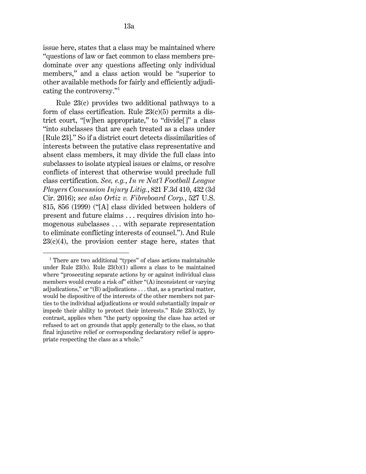issue here, states that a class may be maintained where "questions of law or fact common to class members predominate over any questions affecting only individual members," and a class action would be "superior to other available methods for fairly and efficiently adjudicating the controversy."[1](#page-12-0)

[Rule 23\(c\)](http://www.westlaw.com/Link/Document/FullText?findType=L&pubNum=1000600&cite=USFRCPR23&originatingDoc=I80f91ca01d6311ecb72ce2c86e84f35e&refType=LQ&originationContext=document&vr=3.0&rs=cblt1.0&transitionType=DocumentItem&contextData=(sc.UserEnteredCitation)) provides two additional pathways to a form of class certification. Rule  $23(c)(5)$  permits a district court, "[w]hen appropriate," to "divide[]" a class "into subclasses that are each treated as a class under [\[Rule 23\]](http://www.westlaw.com/Link/Document/FullText?findType=L&pubNum=1000600&cite=USFRCPR23&originatingDoc=I80f91ca01d6311ecb72ce2c86e84f35e&refType=LQ&originationContext=document&vr=3.0&rs=cblt1.0&transitionType=DocumentItem&contextData=(sc.UserEnteredCitation))." So if a district court detects dissimilarities of interests between the putative class representative and absent class members, it may divide the full class into subclasses to isolate atypical issues or claims, or resolve conflicts of interest that otherwise would preclude full class certification. *See, e.g.*, *In re [Nat'l Football League](http://www.westlaw.com/Link/Document/FullText?findType=Y&serNum=2038688070&pubNum=0000506&originatingDoc=I80f91ca01d6311ecb72ce2c86e84f35e&refType=RP&fi=co_pp_sp_506_432&originationContext=document&vr=3.0&rs=cblt1.0&transitionType=DocumentItem&contextData=(sc.UserEnteredCitation)#co_pp_sp_506_432)  [Players Concussion Injury Litig.](http://www.westlaw.com/Link/Document/FullText?findType=Y&serNum=2038688070&pubNum=0000506&originatingDoc=I80f91ca01d6311ecb72ce2c86e84f35e&refType=RP&fi=co_pp_sp_506_432&originationContext=document&vr=3.0&rs=cblt1.0&transitionType=DocumentItem&contextData=(sc.UserEnteredCitation)#co_pp_sp_506_432)*, 821 F.3d 410, 432 (3d [Cir. 2016\);](http://www.westlaw.com/Link/Document/FullText?findType=Y&serNum=2038688070&pubNum=0000506&originatingDoc=I80f91ca01d6311ecb72ce2c86e84f35e&refType=RP&fi=co_pp_sp_506_432&originationContext=document&vr=3.0&rs=cblt1.0&transitionType=DocumentItem&contextData=(sc.UserEnteredCitation)#co_pp_sp_506_432) *see also [Ortiz v. Fibreboard Corp.](http://www.westlaw.com/Link/Document/FullText?findType=Y&serNum=1999146858&pubNum=0000780&originatingDoc=I80f91ca01d6311ecb72ce2c86e84f35e&refType=RP&fi=co_pp_sp_780_856&originationContext=document&vr=3.0&rs=cblt1.0&transitionType=DocumentItem&contextData=(sc.UserEnteredCitation)#co_pp_sp_780_856)*[, 527 U.S.](http://www.westlaw.com/Link/Document/FullText?findType=Y&serNum=1999146858&pubNum=0000780&originatingDoc=I80f91ca01d6311ecb72ce2c86e84f35e&refType=RP&fi=co_pp_sp_780_856&originationContext=document&vr=3.0&rs=cblt1.0&transitionType=DocumentItem&contextData=(sc.UserEnteredCitation)#co_pp_sp_780_856)  [815, 856 \(1999\)](http://www.westlaw.com/Link/Document/FullText?findType=Y&serNum=1999146858&pubNum=0000780&originatingDoc=I80f91ca01d6311ecb72ce2c86e84f35e&refType=RP&fi=co_pp_sp_780_856&originationContext=document&vr=3.0&rs=cblt1.0&transitionType=DocumentItem&contextData=(sc.UserEnteredCitation)#co_pp_sp_780_856) ("[A] class divided between holders of present and future claims . . . requires division into homogenous subclasses . . . with separate representation to eliminate conflicting interests of counsel."). And [Rule](http://www.westlaw.com/Link/Document/FullText?findType=L&pubNum=1000600&cite=USFRCPR23&originatingDoc=I80f91ca01d6311ecb72ce2c86e84f35e&refType=LQ&originationContext=document&vr=3.0&rs=cblt1.0&transitionType=DocumentItem&contextData=(sc.UserEnteredCitation))   $23(c)(4)$ , the provision center stage here, states that

<span id="page-12-0"></span><sup>&</sup>lt;sup>1</sup> There are two additional "types" of class actions maintainable under [Rule 23\(b\). Rule 23\(b\)\(1\)](http://www.westlaw.com/Link/Document/FullText?findType=L&pubNum=1000600&cite=USFRCPR23&originatingDoc=I80f91ca01d6311ecb72ce2c86e84f35e&refType=LQ&originationContext=document&vr=3.0&rs=cblt1.0&transitionType=DocumentItem&contextData=(sc.UserEnteredCitation)) allows a class to be maintained where "prosecuting separate actions by or against individual class members would create a risk of" either "(A) inconsistent or varying adjudications," or "(B) adjudications . . . that, as a practical matter, would be dispositive of the interests of the other members not parties to the individual adjudications or would substantially impair or impede their ability to protect their interests." [Rule 23\(b\)\(2\),](http://www.westlaw.com/Link/Document/FullText?findType=L&pubNum=1000600&cite=USFRCPR23&originatingDoc=I80f91ca01d6311ecb72ce2c86e84f35e&refType=LQ&originationContext=document&vr=3.0&rs=cblt1.0&transitionType=DocumentItem&contextData=(sc.UserEnteredCitation)) by contrast, applies when "the party opposing the class has acted or refused to act on grounds that apply generally to the class, so that final injunctive relief or corresponding declaratory relief is appropriate respecting the class as a whole."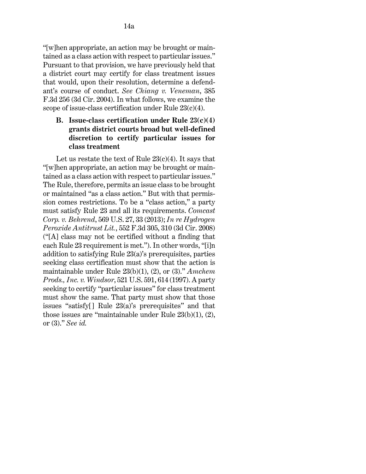"[w]hen appropriate, an action may be brought or maintained as a class action with respect to particular issues." Pursuant to that provision, we have previously held that a district court may certify for class treatment issues that would, upon their resolution, determine a defendant's course of conduct. *See [Chiang v. Veneman](http://www.westlaw.com/Link/Document/FullText?findType=Y&serNum=2005123706&pubNum=0000506&originatingDoc=I80f91ca01d6311ecb72ce2c86e84f35e&refType=RP&originationContext=document&vr=3.0&rs=cblt1.0&transitionType=DocumentItem&contextData=(sc.UserEnteredCitation))*[, 385](http://www.westlaw.com/Link/Document/FullText?findType=Y&serNum=2005123706&pubNum=0000506&originatingDoc=I80f91ca01d6311ecb72ce2c86e84f35e&refType=RP&originationContext=document&vr=3.0&rs=cblt1.0&transitionType=DocumentItem&contextData=(sc.UserEnteredCitation))  [F.3d 256 \(3d Cir. 2004\).](http://www.westlaw.com/Link/Document/FullText?findType=Y&serNum=2005123706&pubNum=0000506&originatingDoc=I80f91ca01d6311ecb72ce2c86e84f35e&refType=RP&originationContext=document&vr=3.0&rs=cblt1.0&transitionType=DocumentItem&contextData=(sc.UserEnteredCitation)) In what follows, we examine the scope of issue-class certification under [Rule 23\(c\)\(4\).](http://www.westlaw.com/Link/Document/FullText?findType=L&pubNum=1000600&cite=USFRCPR23&originatingDoc=I80f91ca01d6311ecb72ce2c86e84f35e&refType=LQ&originationContext=document&vr=3.0&rs=cblt1.0&transitionType=DocumentItem&contextData=(sc.UserEnteredCitation))

# **B. Issue-class certification under [Rule 23\(c\)\(4\)](http://www.westlaw.com/Link/Document/FullText?findType=L&pubNum=1000600&cite=USFRCPR23&originatingDoc=I80f91ca01d6311ecb72ce2c86e84f35e&refType=LQ&originationContext=document&vr=3.0&rs=cblt1.0&transitionType=DocumentItem&contextData=(sc.UserEnteredCitation)) grants district courts broad but well-defined discretion to certify particular issues for class treatment**

Let us restate the text of Rule  $23(c)(4)$ . It says that "[w]hen appropriate, an action may be brought or maintained as a class action with respect to particular issues." The Rule, therefore, permits an issue class to be brought or maintained "as a class action." But with that permission comes restrictions. To be a "class action," a party must satisfy [Rule 23](http://www.westlaw.com/Link/Document/FullText?findType=L&pubNum=1000600&cite=USFRCPR23&originatingDoc=I80f91ca01d6311ecb72ce2c86e84f35e&refType=LQ&originationContext=document&vr=3.0&rs=cblt1.0&transitionType=DocumentItem&contextData=(sc.UserEnteredCitation)) and all its requirements. *[Comcast](http://www.westlaw.com/Link/Document/FullText?findType=Y&serNum=2030224700&pubNum=0000780&originatingDoc=I80f91ca01d6311ecb72ce2c86e84f35e&refType=RP&fi=co_pp_sp_780_33&originationContext=document&vr=3.0&rs=cblt1.0&transitionType=DocumentItem&contextData=(sc.UserEnteredCitation)#co_pp_sp_780_33)  [Corp. v. Behrend](http://www.westlaw.com/Link/Document/FullText?findType=Y&serNum=2030224700&pubNum=0000780&originatingDoc=I80f91ca01d6311ecb72ce2c86e84f35e&refType=RP&fi=co_pp_sp_780_33&originationContext=document&vr=3.0&rs=cblt1.0&transitionType=DocumentItem&contextData=(sc.UserEnteredCitation)#co_pp_sp_780_33)*[, 569 U.S. 27, 33 \(2013\);](http://www.westlaw.com/Link/Document/FullText?findType=Y&serNum=2030224700&pubNum=0000780&originatingDoc=I80f91ca01d6311ecb72ce2c86e84f35e&refType=RP&fi=co_pp_sp_780_33&originationContext=document&vr=3.0&rs=cblt1.0&transitionType=DocumentItem&contextData=(sc.UserEnteredCitation)#co_pp_sp_780_33) *[In re Hydrogen](http://www.westlaw.com/Link/Document/FullText?findType=Y&serNum=2017791597&pubNum=0000506&originatingDoc=I80f91ca01d6311ecb72ce2c86e84f35e&refType=RP&fi=co_pp_sp_506_310&originationContext=document&vr=3.0&rs=cblt1.0&transitionType=DocumentItem&contextData=(sc.UserEnteredCitation)#co_pp_sp_506_310)  [Peroxide Antitrust Lit.](http://www.westlaw.com/Link/Document/FullText?findType=Y&serNum=2017791597&pubNum=0000506&originatingDoc=I80f91ca01d6311ecb72ce2c86e84f35e&refType=RP&fi=co_pp_sp_506_310&originationContext=document&vr=3.0&rs=cblt1.0&transitionType=DocumentItem&contextData=(sc.UserEnteredCitation)#co_pp_sp_506_310)*[, 552 F.3d 305, 310 \(3d Cir. 2008\)](http://www.westlaw.com/Link/Document/FullText?findType=Y&serNum=2017791597&pubNum=0000506&originatingDoc=I80f91ca01d6311ecb72ce2c86e84f35e&refType=RP&fi=co_pp_sp_506_310&originationContext=document&vr=3.0&rs=cblt1.0&transitionType=DocumentItem&contextData=(sc.UserEnteredCitation)#co_pp_sp_506_310) ("[A] class may not be certified without a finding that each [Rule 23](http://www.westlaw.com/Link/Document/FullText?findType=L&pubNum=1000600&cite=USFRCPR23&originatingDoc=I80f91ca01d6311ecb72ce2c86e84f35e&refType=LQ&originationContext=document&vr=3.0&rs=cblt1.0&transitionType=DocumentItem&contextData=(sc.UserEnteredCitation)) requirement is met."). In other words, "[i]n addition to satisfying [Rule 23\(a\)'](http://www.westlaw.com/Link/Document/FullText?findType=L&pubNum=1000600&cite=USFRCPR23&originatingDoc=I80f91ca01d6311ecb72ce2c86e84f35e&refType=LQ&originationContext=document&vr=3.0&rs=cblt1.0&transitionType=DocumentItem&contextData=(sc.UserEnteredCitation))s prerequisites, parties seeking class certification must show that the action is maintainable under [Rule 23\(b\)\(1\), \(2\), or \(3\).](http://www.westlaw.com/Link/Document/FullText?findType=L&pubNum=1000600&cite=USFRCPR23&originatingDoc=I80f91ca01d6311ecb72ce2c86e84f35e&refType=LQ&originationContext=document&vr=3.0&rs=cblt1.0&transitionType=DocumentItem&contextData=(sc.UserEnteredCitation))" *[Amchem](http://www.westlaw.com/Link/Document/FullText?findType=Y&serNum=1997134004&pubNum=0000780&originatingDoc=I80f91ca01d6311ecb72ce2c86e84f35e&refType=RP&fi=co_pp_sp_780_614&originationContext=document&vr=3.0&rs=cblt1.0&transitionType=DocumentItem&contextData=(sc.UserEnteredCitation)#co_pp_sp_780_614)  [Prods., Inc. v. Windsor](http://www.westlaw.com/Link/Document/FullText?findType=Y&serNum=1997134004&pubNum=0000780&originatingDoc=I80f91ca01d6311ecb72ce2c86e84f35e&refType=RP&fi=co_pp_sp_780_614&originationContext=document&vr=3.0&rs=cblt1.0&transitionType=DocumentItem&contextData=(sc.UserEnteredCitation)#co_pp_sp_780_614)*[, 521 U.S. 591, 614 \(1997\).](http://www.westlaw.com/Link/Document/FullText?findType=Y&serNum=1997134004&pubNum=0000780&originatingDoc=I80f91ca01d6311ecb72ce2c86e84f35e&refType=RP&fi=co_pp_sp_780_614&originationContext=document&vr=3.0&rs=cblt1.0&transitionType=DocumentItem&contextData=(sc.UserEnteredCitation)#co_pp_sp_780_614) A party seeking to certify "particular issues" for class treatment must show the same. That party must show that those issues "satisfy[] Rule [23\(a\)'](http://www.westlaw.com/Link/Document/FullText?findType=L&pubNum=1000600&cite=USFRCPR23&originatingDoc=I80f91ca01d6311ecb72ce2c86e84f35e&refType=LQ&originationContext=document&vr=3.0&rs=cblt1.0&transitionType=DocumentItem&contextData=(sc.UserEnteredCitation))s prerequisites" and that those issues are "maintainable under [Rule 23\(b\)\(1\), \(2\),](http://www.westlaw.com/Link/Document/FullText?findType=L&pubNum=1000600&cite=USFRCPR23&originatingDoc=I80f91ca01d6311ecb72ce2c86e84f35e&refType=LQ&originationContext=document&vr=3.0&rs=cblt1.0&transitionType=DocumentItem&contextData=(sc.UserEnteredCitation))  [or \(3\).](http://www.westlaw.com/Link/Document/FullText?findType=L&pubNum=1000600&cite=USFRCPR23&originatingDoc=I80f91ca01d6311ecb72ce2c86e84f35e&refType=LQ&originationContext=document&vr=3.0&rs=cblt1.0&transitionType=DocumentItem&contextData=(sc.UserEnteredCitation))" *See [id.](http://www.westlaw.com/Link/Document/FullText?findType=Y&serNum=1997134004&pubNum=0000780&originatingDoc=I80f91ca01d6311ecb72ce2c86e84f35e&refType=RP&originationContext=document&vr=3.0&rs=cblt1.0&transitionType=DocumentItem&contextData=(sc.UserEnteredCitation))*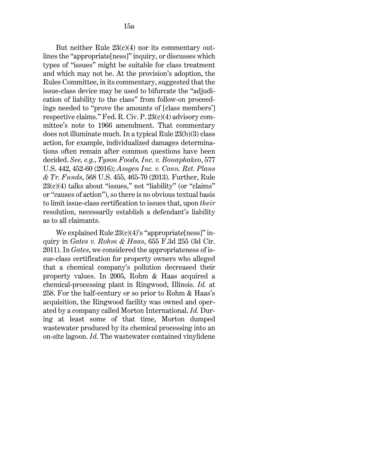But neither Rule  $23(c)(4)$  nor its commentary outlines the "appropriate[ness]" inquiry, or discusses which types of "issues" might be suitable for class treatment and which may not be. At the provision's adoption, the Rules Committee, in its commentary, suggested that the issue-class device may be used to bifurcate the "adjudication of liability to the class" from follow-on proceedings needed to "prove the amounts of [class members'] respective claims." [Fed. R. Civ. P. 23\(c\)\(4\)](http://www.westlaw.com/Link/Document/FullText?findType=L&pubNum=1000600&cite=USFRCPR23&originatingDoc=I80f91ca01d6311ecb72ce2c86e84f35e&refType=LQ&originationContext=document&vr=3.0&rs=cblt1.0&transitionType=DocumentItem&contextData=(sc.UserEnteredCitation)) advisory committee's note to 1966 amendment. That commentary does not illuminate much. In a typica[l Rule 23\(b\)\(3\)](http://www.westlaw.com/Link/Document/FullText?findType=L&pubNum=1000600&cite=USFRCPR23&originatingDoc=I80f91ca01d6311ecb72ce2c86e84f35e&refType=LQ&originationContext=document&vr=3.0&rs=cblt1.0&transitionType=DocumentItem&contextData=(sc.UserEnteredCitation)) class action, for example, individualized damages determinations often remain after common questions have been decided. *See, e.g.*, *[Tyson Foods, Inc. v. Bouaphakeo](http://www.westlaw.com/Link/Document/FullText?findType=Y&serNum=2038505582&pubNum=0000780&originatingDoc=I80f91ca01d6311ecb72ce2c86e84f35e&refType=RP&fi=co_pp_sp_780_452&originationContext=document&vr=3.0&rs=cblt1.0&transitionType=DocumentItem&contextData=(sc.UserEnteredCitation)#co_pp_sp_780_452)*[, 577](http://www.westlaw.com/Link/Document/FullText?findType=Y&serNum=2038505582&pubNum=0000780&originatingDoc=I80f91ca01d6311ecb72ce2c86e84f35e&refType=RP&fi=co_pp_sp_780_452&originationContext=document&vr=3.0&rs=cblt1.0&transitionType=DocumentItem&contextData=(sc.UserEnteredCitation)#co_pp_sp_780_452)  [U.S. 442, 452-60 \(2016\);](http://www.westlaw.com/Link/Document/FullText?findType=Y&serNum=2038505582&pubNum=0000780&originatingDoc=I80f91ca01d6311ecb72ce2c86e84f35e&refType=RP&fi=co_pp_sp_780_452&originationContext=document&vr=3.0&rs=cblt1.0&transitionType=DocumentItem&contextData=(sc.UserEnteredCitation)#co_pp_sp_780_452) *[Amgen Inc. v. Conn. Ret. Plans](http://www.westlaw.com/Link/Document/FullText?findType=Y&serNum=2029946479&pubNum=0000780&originatingDoc=I80f91ca01d6311ecb72ce2c86e84f35e&refType=RP&fi=co_pp_sp_780_465&originationContext=document&vr=3.0&rs=cblt1.0&transitionType=DocumentItem&contextData=(sc.UserEnteredCitation)#co_pp_sp_780_465)  & Tr. Funds*[, 568 U.S. 455, 465-70 \(2013\).](http://www.westlaw.com/Link/Document/FullText?findType=Y&serNum=2029946479&pubNum=0000780&originatingDoc=I80f91ca01d6311ecb72ce2c86e84f35e&refType=RP&fi=co_pp_sp_780_465&originationContext=document&vr=3.0&rs=cblt1.0&transitionType=DocumentItem&contextData=(sc.UserEnteredCitation)#co_pp_sp_780_465) Further, [Rule](http://www.westlaw.com/Link/Document/FullText?findType=L&pubNum=1000600&cite=USFRCPR23&originatingDoc=I80f91ca01d6311ecb72ce2c86e84f35e&refType=LQ&originationContext=document&vr=3.0&rs=cblt1.0&transitionType=DocumentItem&contextData=(sc.UserEnteredCitation))   $23(c)(4)$  talks about "issues," not "liability" (or "claims" or "causes of action"), so there is no obvious textual basis to limit issue-class certification to issues that, upon *their* resolution, necessarily establish a defendant's liability as to all claimants.

We explained Rule  $23(c)(4)$ 's "appropriate[ness]" inquiry in *[Gates v. Rohm & Haas](http://www.westlaw.com/Link/Document/FullText?findType=Y&serNum=2025930707&pubNum=0000506&originatingDoc=I80f91ca01d6311ecb72ce2c86e84f35e&refType=RP&originationContext=document&vr=3.0&rs=cblt1.0&transitionType=DocumentItem&contextData=(sc.UserEnteredCitation))*[, 655 F.3d 255 \(3d Cir.](http://www.westlaw.com/Link/Document/FullText?findType=Y&serNum=2025930707&pubNum=0000506&originatingDoc=I80f91ca01d6311ecb72ce2c86e84f35e&refType=RP&originationContext=document&vr=3.0&rs=cblt1.0&transitionType=DocumentItem&contextData=(sc.UserEnteredCitation))  [2011\).](http://www.westlaw.com/Link/Document/FullText?findType=Y&serNum=2025930707&pubNum=0000506&originatingDoc=I80f91ca01d6311ecb72ce2c86e84f35e&refType=RP&originationContext=document&vr=3.0&rs=cblt1.0&transitionType=DocumentItem&contextData=(sc.UserEnteredCitation)) In *[Gates](http://www.westlaw.com/Link/Document/FullText?findType=Y&serNum=2025930707&pubNum=0000506&originatingDoc=I80f91ca01d6311ecb72ce2c86e84f35e&refType=RP&originationContext=document&vr=3.0&rs=cblt1.0&transitionType=DocumentItem&contextData=(sc.UserEnteredCitation))*, we considered the appropriateness of issue-class certification for property owners who alleged that a chemical company's pollution decreased their property values. In 2005, Rohm & Haas acquired a chemical-processing plant in Ringwood, Illinois. *[Id.](http://www.westlaw.com/Link/Document/FullText?findType=Y&serNum=2025930707&pubNum=0000506&originatingDoc=I80f91ca01d6311ecb72ce2c86e84f35e&refType=RP&fi=co_pp_sp_506_258&originationContext=document&vr=3.0&rs=cblt1.0&transitionType=DocumentItem&contextData=(sc.UserEnteredCitation)#co_pp_sp_506_258)* [at](http://www.westlaw.com/Link/Document/FullText?findType=Y&serNum=2025930707&pubNum=0000506&originatingDoc=I80f91ca01d6311ecb72ce2c86e84f35e&refType=RP&fi=co_pp_sp_506_258&originationContext=document&vr=3.0&rs=cblt1.0&transitionType=DocumentItem&contextData=(sc.UserEnteredCitation)#co_pp_sp_506_258)  [258.](http://www.westlaw.com/Link/Document/FullText?findType=Y&serNum=2025930707&pubNum=0000506&originatingDoc=I80f91ca01d6311ecb72ce2c86e84f35e&refType=RP&fi=co_pp_sp_506_258&originationContext=document&vr=3.0&rs=cblt1.0&transitionType=DocumentItem&contextData=(sc.UserEnteredCitation)#co_pp_sp_506_258) For the half-century or so prior to Rohm & Haas's acquisition, the Ringwood facility was owned and operated by a company called Morton International. *[Id.](http://www.westlaw.com/Link/Document/FullText?findType=Y&serNum=2025930707&pubNum=0000506&originatingDoc=I80f91ca01d6311ecb72ce2c86e84f35e&refType=RP&originationContext=document&vr=3.0&rs=cblt1.0&transitionType=DocumentItem&contextData=(sc.UserEnteredCitation))* During at least some of that time, Morton dumped wastewater produced by its chemical processing into an on-site lagoon. *[Id.](http://www.westlaw.com/Link/Document/FullText?findType=Y&serNum=2025930707&pubNum=0000506&originatingDoc=I80f91ca01d6311ecb72ce2c86e84f35e&refType=RP&originationContext=document&vr=3.0&rs=cblt1.0&transitionType=DocumentItem&contextData=(sc.UserEnteredCitation))* The wastewater contained vinylidene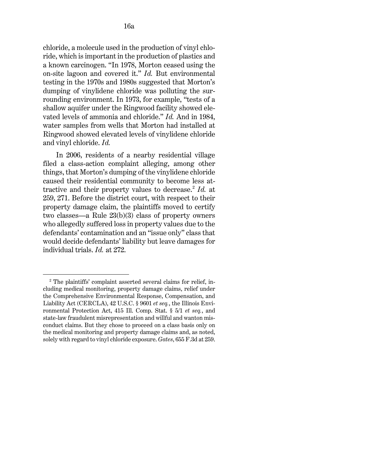chloride, a molecule used in the production of vinyl chloride, which is important in the production of plastics and a known carcinogen. "In 1978, Morton ceased using the on-site lagoon and covered it." *[Id.](http://www.westlaw.com/Link/Document/FullText?findType=Y&serNum=2025930707&pubNum=0000506&originatingDoc=I80f91ca01d6311ecb72ce2c86e84f35e&refType=RP&originationContext=document&vr=3.0&rs=cblt1.0&transitionType=DocumentItem&contextData=(sc.UserEnteredCitation))* But environmental testing in the 1970s and 1980s suggested that Morton's dumping of vinylidene chloride was polluting the surrounding environment. In 1973, for example, "tests of a shallow aquifer under the Ringwood facility showed elevated levels of ammonia and [chloride.](http://www.westlaw.com/Link/Document/FullText?entityType=mproc&entityId=Ica87e526475411db9765f9243f53508a&originationContext=document&transitionType=DocumentItem&contextData=(sc.Default)&vr=3.0&rs=cblt1.0)" *[Id.](http://www.westlaw.com/Link/Document/FullText?findType=Y&serNum=2025930707&pubNum=0000506&originatingDoc=I80f91ca01d6311ecb72ce2c86e84f35e&refType=RP&originationContext=document&vr=3.0&rs=cblt1.0&transitionType=DocumentItem&contextData=(sc.UserEnteredCitation))* And in 1984, water samples from wells that Morton had installed at Ringwood showed elevated levels of vinylidene [chloride](http://www.westlaw.com/Link/Document/FullText?entityType=mproc&entityId=Ica87e526475411db9765f9243f53508a&originationContext=document&transitionType=DocumentItem&contextData=(sc.Default)&vr=3.0&rs=cblt1.0) and vinyl [chloride.](http://www.westlaw.com/Link/Document/FullText?entityType=mproc&entityId=Ica87e526475411db9765f9243f53508a&originationContext=document&transitionType=DocumentItem&contextData=(sc.Default)&vr=3.0&rs=cblt1.0) *[Id.](http://www.westlaw.com/Link/Document/FullText?findType=Y&serNum=2025930707&pubNum=0000506&originatingDoc=I80f91ca01d6311ecb72ce2c86e84f35e&refType=RP&originationContext=document&vr=3.0&rs=cblt1.0&transitionType=DocumentItem&contextData=(sc.UserEnteredCitation))*

In 2006, residents of a nearby residential village filed a class-action complaint alleging, among other things, that Morton's dumping of the vinylidene chloride caused their residential community to become less at-tractive and their property values to decrease.<sup>[2](#page-15-0)</sup> *[Id.](http://www.westlaw.com/Link/Document/FullText?findType=Y&serNum=2025930707&pubNum=0000506&originatingDoc=I80f91ca01d6311ecb72ce2c86e84f35e&refType=RP&fi=co_pp_sp_506_259&originationContext=document&vr=3.0&rs=cblt1.0&transitionType=DocumentItem&contextData=(sc.UserEnteredCitation)#co_pp_sp_506_259)* at [259, 271.](http://www.westlaw.com/Link/Document/FullText?findType=Y&serNum=2025930707&pubNum=0000506&originatingDoc=I80f91ca01d6311ecb72ce2c86e84f35e&refType=RP&fi=co_pp_sp_506_259&originationContext=document&vr=3.0&rs=cblt1.0&transitionType=DocumentItem&contextData=(sc.UserEnteredCitation)#co_pp_sp_506_259) Before the district court, with respect to their property damage claim, the plaintiffs moved to certify two classes—a [Rule 23\(b\)\(3\)](http://www.westlaw.com/Link/Document/FullText?findType=L&pubNum=1000600&cite=USFRCPR23&originatingDoc=I80f91ca01d6311ecb72ce2c86e84f35e&refType=LQ&originationContext=document&vr=3.0&rs=cblt1.0&transitionType=DocumentItem&contextData=(sc.UserEnteredCitation)) class of property owners who allegedly suffered loss in property values due to the defendants' contamination and an "issue only" class that would decide defendants' liability but leave damages for individual trials. *[Id.](http://www.westlaw.com/Link/Document/FullText?findType=Y&serNum=2025930707&pubNum=0000506&originatingDoc=I80f91ca01d6311ecb72ce2c86e84f35e&refType=RP&fi=co_pp_sp_506_272&originationContext=document&vr=3.0&rs=cblt1.0&transitionType=DocumentItem&contextData=(sc.UserEnteredCitation)#co_pp_sp_506_272)* [at 272.](http://www.westlaw.com/Link/Document/FullText?findType=Y&serNum=2025930707&pubNum=0000506&originatingDoc=I80f91ca01d6311ecb72ce2c86e84f35e&refType=RP&fi=co_pp_sp_506_272&originationContext=document&vr=3.0&rs=cblt1.0&transitionType=DocumentItem&contextData=(sc.UserEnteredCitation)#co_pp_sp_506_272)

<span id="page-15-0"></span><sup>&</sup>lt;sup>2</sup> The plaintiffs' complaint asserted several claims for relief, including medical monitoring, property damage claims, relief under the Comprehensive Environmental Response, Compensation, and Liability Act (CERCLA), [42 U.S.C. § 9601](http://www.westlaw.com/Link/Document/FullText?findType=L&pubNum=1000546&cite=42USCAS9601&originatingDoc=I80f91ca01d6311ecb72ce2c86e84f35e&refType=LQ&originationContext=document&vr=3.0&rs=cblt1.0&transitionType=DocumentItem&contextData=(sc.UserEnteredCitation)) *et seq.*, the Illinois Environmental Protection Act, [415 Ill. Comp. Stat. § 5/1](http://www.westlaw.com/Link/Document/FullText?findType=L&pubNum=1000008&cite=ILSTC415S5%2f1&originatingDoc=I80f91ca01d6311ecb72ce2c86e84f35e&refType=LQ&originationContext=document&vr=3.0&rs=cblt1.0&transitionType=DocumentItem&contextData=(sc.UserEnteredCitation)) *[et seq.](http://www.westlaw.com/Link/Document/FullText?findType=L&pubNum=1000008&cite=ILSTC415S5%2f1&originatingDoc=I80f91ca01d6311ecb72ce2c86e84f35e&refType=LQ&originationContext=document&vr=3.0&rs=cblt1.0&transitionType=DocumentItem&contextData=(sc.UserEnteredCitation))*, and state-law fraudulent misrepresentation and willful and wanton misconduct claims. But they chose to proceed on a class basis only on the medical monitoring and property damage claims and, as noted, solely with regard to vinyl chloride exposure. *[Gates](http://www.westlaw.com/Link/Document/FullText?findType=Y&serNum=2025930707&pubNum=0000506&originatingDoc=I80f91ca01d6311ecb72ce2c86e84f35e&refType=RP&fi=co_pp_sp_506_259&originationContext=document&vr=3.0&rs=cblt1.0&transitionType=DocumentItem&contextData=(sc.UserEnteredCitation)#co_pp_sp_506_259)*[, 655 F.3d at 259.](http://www.westlaw.com/Link/Document/FullText?findType=Y&serNum=2025930707&pubNum=0000506&originatingDoc=I80f91ca01d6311ecb72ce2c86e84f35e&refType=RP&fi=co_pp_sp_506_259&originationContext=document&vr=3.0&rs=cblt1.0&transitionType=DocumentItem&contextData=(sc.UserEnteredCitation)#co_pp_sp_506_259)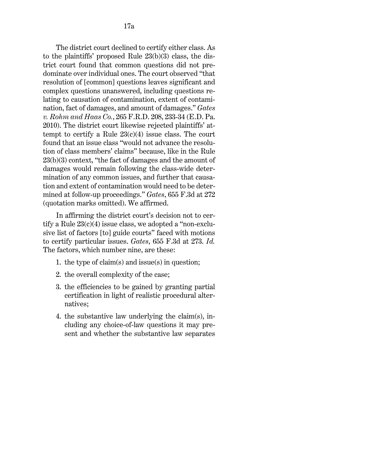The district court declined to certify either class. As to the plaintiffs' proposed Rule 23(b)(3) class, the district court found that common questions did not predominate over individual ones. The court observed "that resolution of [common] questions leaves significant and complex questions unanswered, including questions relating to causation of contamination, extent of contamination, fact of damages, and amount of damages." *[Gates](http://www.westlaw.com/Link/Document/FullText?findType=Y&serNum=2021499991&pubNum=0000344&originatingDoc=I80f91ca01d6311ecb72ce2c86e84f35e&refType=RP&fi=co_pp_sp_344_233&originationContext=document&vr=3.0&rs=cblt1.0&transitionType=DocumentItem&contextData=(sc.UserEnteredCitation)#co_pp_sp_344_233)  v. Rohm and Haas Co.*[, 265 F.R.D. 208, 233-34 \(E.D. Pa.](http://www.westlaw.com/Link/Document/FullText?findType=Y&serNum=2021499991&pubNum=0000344&originatingDoc=I80f91ca01d6311ecb72ce2c86e84f35e&refType=RP&fi=co_pp_sp_344_233&originationContext=document&vr=3.0&rs=cblt1.0&transitionType=DocumentItem&contextData=(sc.UserEnteredCitation)#co_pp_sp_344_233)  [2010\).](http://www.westlaw.com/Link/Document/FullText?findType=Y&serNum=2021499991&pubNum=0000344&originatingDoc=I80f91ca01d6311ecb72ce2c86e84f35e&refType=RP&fi=co_pp_sp_344_233&originationContext=document&vr=3.0&rs=cblt1.0&transitionType=DocumentItem&contextData=(sc.UserEnteredCitation)#co_pp_sp_344_233) The district court likewise rejected plaintiffs' attempt to certify a Rule  $23(c)(4)$  issue class. The court found that an issue class "would not advance the resolution of class members' claims" because, like in the [Rule](http://www.westlaw.com/Link/Document/FullText?findType=L&pubNum=1000600&cite=USFRCPR23&originatingDoc=I80f91ca01d6311ecb72ce2c86e84f35e&refType=LQ&originationContext=document&vr=3.0&rs=cblt1.0&transitionType=DocumentItem&contextData=(sc.UserEnteredCitation))  [23\(b\)\(3\)](http://www.westlaw.com/Link/Document/FullText?findType=L&pubNum=1000600&cite=USFRCPR23&originatingDoc=I80f91ca01d6311ecb72ce2c86e84f35e&refType=LQ&originationContext=document&vr=3.0&rs=cblt1.0&transitionType=DocumentItem&contextData=(sc.UserEnteredCitation)) context, "the fact of damages and the amount of damages would remain following the class-wide determination of any common issues, and further that causation and extent of contamination would need to be determined at follow-up proceedings." *[Gates](http://www.westlaw.com/Link/Document/FullText?findType=Y&serNum=2025930707&pubNum=0000506&originatingDoc=I80f91ca01d6311ecb72ce2c86e84f35e&refType=RP&fi=co_pp_sp_506_272&originationContext=document&vr=3.0&rs=cblt1.0&transitionType=DocumentItem&contextData=(sc.UserEnteredCitation)#co_pp_sp_506_272)*[, 655 F.3d at 272](http://www.westlaw.com/Link/Document/FullText?findType=Y&serNum=2025930707&pubNum=0000506&originatingDoc=I80f91ca01d6311ecb72ce2c86e84f35e&refType=RP&fi=co_pp_sp_506_272&originationContext=document&vr=3.0&rs=cblt1.0&transitionType=DocumentItem&contextData=(sc.UserEnteredCitation)#co_pp_sp_506_272) (quotation marks omitted). We affirmed.

In affirming the district court's decision not to certify a Rule  $23(c)(4)$  issue class, we adopted a "non-exclusive list of factors [to] guide courts" faced with motions to certify particular issues. *[Gates](http://www.westlaw.com/Link/Document/FullText?findType=Y&serNum=2025930707&pubNum=0000506&originatingDoc=I80f91ca01d6311ecb72ce2c86e84f35e&refType=RP&fi=co_pp_sp_506_273&originationContext=document&vr=3.0&rs=cblt1.0&transitionType=DocumentItem&contextData=(sc.UserEnteredCitation)#co_pp_sp_506_273)*[, 655 F.3d at 273.](http://www.westlaw.com/Link/Document/FullText?findType=Y&serNum=2025930707&pubNum=0000506&originatingDoc=I80f91ca01d6311ecb72ce2c86e84f35e&refType=RP&fi=co_pp_sp_506_273&originationContext=document&vr=3.0&rs=cblt1.0&transitionType=DocumentItem&contextData=(sc.UserEnteredCitation)#co_pp_sp_506_273) *[Id.](http://www.westlaw.com/Link/Document/FullText?findType=Y&serNum=2025930707&pubNum=0000506&originatingDoc=I80f91ca01d6311ecb72ce2c86e84f35e&refType=RP&originationContext=document&vr=3.0&rs=cblt1.0&transitionType=DocumentItem&contextData=(sc.UserEnteredCitation))* The factors, which number nine, are these:

- 1. the type of claim(s) and issue(s) in question;
- 2. the overall complexity of the case;
- 3. the efficiencies to be gained by granting partial certification in light of realistic procedural alternatives;
- 4. the substantive law underlying the claim(s), including any choice-of-law questions it may present and whether the substantive law separates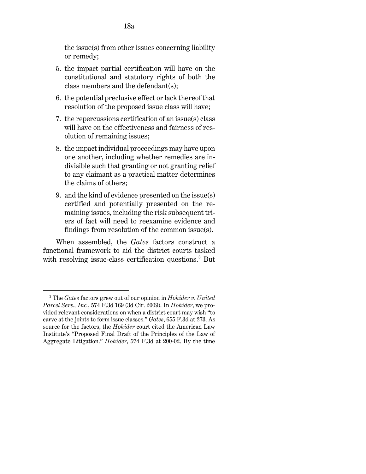the issue(s) from other issues concerning liability or remedy;

- 5. the impact partial certification will have on the constitutional and statutory rights of both the class members and the defendant(s);
- 6. the potential preclusive effect or lack thereof that resolution of the proposed issue class will have;
- 7. the repercussions certification of an issue(s) class will have on the effectiveness and fairness of resolution of remaining issues;
- 8. the impact individual proceedings may have upon one another, including whether remedies are indivisible such that granting or not granting relief to any claimant as a practical matter determines the claims of others;
- 9. and the kind of evidence presented on the issue(s) certified and potentially presented on the remaining issues, including the risk subsequent triers of fact will need to reexamine evidence and findings from resolution of the common issue(s).

When assembled, the *[Gates](http://www.westlaw.com/Link/Document/FullText?findType=Y&serNum=2025930707&pubNum=0000506&originatingDoc=I80f91ca01d6311ecb72ce2c86e84f35e&refType=RP&originationContext=document&vr=3.0&rs=cblt1.0&transitionType=DocumentItem&contextData=(sc.UserEnteredCitation))* factors construct a functional framework to aid the district courts tasked with resolving issue-class certification questions.<sup>[3](#page-17-0)</sup> But

<span id="page-17-0"></span><sup>3</sup> The *[Gates](http://www.westlaw.com/Link/Document/FullText?findType=Y&serNum=2025930707&pubNum=0000506&originatingDoc=I80f91ca01d6311ecb72ce2c86e84f35e&refType=RP&originationContext=document&vr=3.0&rs=cblt1.0&transitionType=DocumentItem&contextData=(sc.UserEnteredCitation))* factors grew out of our opinion in *[Hohider v. United](http://www.westlaw.com/Link/Document/FullText?findType=Y&serNum=2019441738&pubNum=0000506&originatingDoc=I80f91ca01d6311ecb72ce2c86e84f35e&refType=RP&originationContext=document&vr=3.0&rs=cblt1.0&transitionType=DocumentItem&contextData=(sc.UserEnteredCitation))  [Parcel Serv., Inc.](http://www.westlaw.com/Link/Document/FullText?findType=Y&serNum=2019441738&pubNum=0000506&originatingDoc=I80f91ca01d6311ecb72ce2c86e84f35e&refType=RP&originationContext=document&vr=3.0&rs=cblt1.0&transitionType=DocumentItem&contextData=(sc.UserEnteredCitation))*[, 574 F.3d 169 \(3d Cir. 2009\).](http://www.westlaw.com/Link/Document/FullText?findType=Y&serNum=2019441738&pubNum=0000506&originatingDoc=I80f91ca01d6311ecb72ce2c86e84f35e&refType=RP&originationContext=document&vr=3.0&rs=cblt1.0&transitionType=DocumentItem&contextData=(sc.UserEnteredCitation)) In *[Hohider](http://www.westlaw.com/Link/Document/FullText?findType=Y&serNum=2019441738&pubNum=0000506&originatingDoc=I80f91ca01d6311ecb72ce2c86e84f35e&refType=RP&originationContext=document&vr=3.0&rs=cblt1.0&transitionType=DocumentItem&contextData=(sc.UserEnteredCitation))*, we provided relevant considerations on when a district court may wish "to carve at the joints to form issue classes." *[Gates](http://www.westlaw.com/Link/Document/FullText?findType=Y&serNum=2025930707&pubNum=0000506&originatingDoc=I80f91ca01d6311ecb72ce2c86e84f35e&refType=RP&fi=co_pp_sp_506_273&originationContext=document&vr=3.0&rs=cblt1.0&transitionType=DocumentItem&contextData=(sc.UserEnteredCitation)#co_pp_sp_506_273)*[, 655 F.3d at 273.](http://www.westlaw.com/Link/Document/FullText?findType=Y&serNum=2025930707&pubNum=0000506&originatingDoc=I80f91ca01d6311ecb72ce2c86e84f35e&refType=RP&fi=co_pp_sp_506_273&originationContext=document&vr=3.0&rs=cblt1.0&transitionType=DocumentItem&contextData=(sc.UserEnteredCitation)#co_pp_sp_506_273) As source for the factors, the *[Hohider](http://www.westlaw.com/Link/Document/FullText?findType=Y&serNum=2019441738&pubNum=0000506&originatingDoc=I80f91ca01d6311ecb72ce2c86e84f35e&refType=RP&originationContext=document&vr=3.0&rs=cblt1.0&transitionType=DocumentItem&contextData=(sc.UserEnteredCitation))* court cited the American Law Institute's "Proposed Final Draft of the Principles of the Law of Aggregate Litigation." *Hohider*[, 574 F.3d at 200-02.](http://www.westlaw.com/Link/Document/FullText?findType=Y&serNum=2019441738&pubNum=0000506&originatingDoc=I80f91ca01d6311ecb72ce2c86e84f35e&refType=RP&fi=co_pp_sp_506_200&originationContext=document&vr=3.0&rs=cblt1.0&transitionType=DocumentItem&contextData=(sc.UserEnteredCitation)#co_pp_sp_506_200) By the time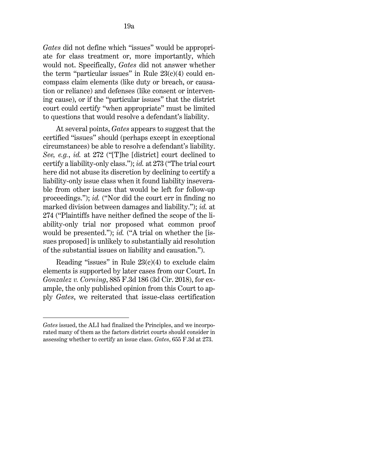*[Gates](http://www.westlaw.com/Link/Document/FullText?findType=Y&serNum=2025930707&pubNum=0000506&originatingDoc=I80f91ca01d6311ecb72ce2c86e84f35e&refType=RP&originationContext=document&vr=3.0&rs=cblt1.0&transitionType=DocumentItem&contextData=(sc.UserEnteredCitation))* did not define which "issues" would be appropriate for class treatment or, more importantly, which would not. Specifically, *[Gates](http://www.westlaw.com/Link/Document/FullText?findType=Y&serNum=2025930707&pubNum=0000506&originatingDoc=I80f91ca01d6311ecb72ce2c86e84f35e&refType=RP&originationContext=document&vr=3.0&rs=cblt1.0&transitionType=DocumentItem&contextData=(sc.UserEnteredCitation))* did not answer whether the term "particular issues" in Rule  $23(c)(4)$  could encompass claim elements (like duty or breach, or causation or reliance) and defenses (like consent or intervening cause), or if the "particular issues" that the district court could certify "when appropriate" must be limited to questions that would resolve a defendant's liability.

At several points, *[Gates](http://www.westlaw.com/Link/Document/FullText?findType=Y&serNum=2025930707&pubNum=0000506&originatingDoc=I80f91ca01d6311ecb72ce2c86e84f35e&refType=RP&originationContext=document&vr=3.0&rs=cblt1.0&transitionType=DocumentItem&contextData=(sc.UserEnteredCitation))* appears to suggest that the certified "issues" should (perhaps except in exceptional circumstances) be able to resolve a defendant's liability. *See, e.g.*, *[id.](http://www.westlaw.com/Link/Document/FullText?findType=Y&serNum=2025930707&pubNum=0000506&originatingDoc=I80f91ca01d6311ecb72ce2c86e84f35e&refType=RP&fi=co_pp_sp_506_272&originationContext=document&vr=3.0&rs=cblt1.0&transitionType=DocumentItem&contextData=(sc.UserEnteredCitation)#co_pp_sp_506_272)* [at 272](http://www.westlaw.com/Link/Document/FullText?findType=Y&serNum=2025930707&pubNum=0000506&originatingDoc=I80f91ca01d6311ecb72ce2c86e84f35e&refType=RP&fi=co_pp_sp_506_272&originationContext=document&vr=3.0&rs=cblt1.0&transitionType=DocumentItem&contextData=(sc.UserEnteredCitation)#co_pp_sp_506_272) ("[T]he [district] court declined to certify a liability-only class."); *[id.](http://www.westlaw.com/Link/Document/FullText?findType=Y&serNum=2025930707&pubNum=0000506&originatingDoc=I80f91ca01d6311ecb72ce2c86e84f35e&refType=RP&fi=co_pp_sp_506_273&originationContext=document&vr=3.0&rs=cblt1.0&transitionType=DocumentItem&contextData=(sc.UserEnteredCitation)#co_pp_sp_506_273)* [at 273](http://www.westlaw.com/Link/Document/FullText?findType=Y&serNum=2025930707&pubNum=0000506&originatingDoc=I80f91ca01d6311ecb72ce2c86e84f35e&refType=RP&fi=co_pp_sp_506_273&originationContext=document&vr=3.0&rs=cblt1.0&transitionType=DocumentItem&contextData=(sc.UserEnteredCitation)#co_pp_sp_506_273) ("The trial court here did not abuse its discretion by declining to certify a liability-only issue class when it found liability inseverable from other issues that would be left for follow-up proceedings."); *[id.](http://www.westlaw.com/Link/Document/FullText?findType=Y&serNum=2025930707&pubNum=0000506&originatingDoc=I80f91ca01d6311ecb72ce2c86e84f35e&refType=RP&originationContext=document&vr=3.0&rs=cblt1.0&transitionType=DocumentItem&contextData=(sc.UserEnteredCitation))* ("Nor did the court err in finding no marked division between damages and liability."); *[id.](http://www.westlaw.com/Link/Document/FullText?findType=Y&serNum=2025930707&pubNum=0000506&originatingDoc=I80f91ca01d6311ecb72ce2c86e84f35e&refType=RP&fi=co_pp_sp_506_274&originationContext=document&vr=3.0&rs=cblt1.0&transitionType=DocumentItem&contextData=(sc.UserEnteredCitation)#co_pp_sp_506_274)* [at](http://www.westlaw.com/Link/Document/FullText?findType=Y&serNum=2025930707&pubNum=0000506&originatingDoc=I80f91ca01d6311ecb72ce2c86e84f35e&refType=RP&fi=co_pp_sp_506_274&originationContext=document&vr=3.0&rs=cblt1.0&transitionType=DocumentItem&contextData=(sc.UserEnteredCitation)#co_pp_sp_506_274)  [274](http://www.westlaw.com/Link/Document/FullText?findType=Y&serNum=2025930707&pubNum=0000506&originatingDoc=I80f91ca01d6311ecb72ce2c86e84f35e&refType=RP&fi=co_pp_sp_506_274&originationContext=document&vr=3.0&rs=cblt1.0&transitionType=DocumentItem&contextData=(sc.UserEnteredCitation)#co_pp_sp_506_274) ("Plaintiffs have neither defined the scope of the liability-only trial nor proposed what common proof would be presented."); *[id.](http://www.westlaw.com/Link/Document/FullText?findType=Y&serNum=2025930707&pubNum=0000506&originatingDoc=I80f91ca01d6311ecb72ce2c86e84f35e&refType=RP&originationContext=document&vr=3.0&rs=cblt1.0&transitionType=DocumentItem&contextData=(sc.UserEnteredCitation))* ("A trial on whether the [issues proposed] is unlikely to substantially aid resolution of the substantial issues on liability and causation.").

Reading "issues" in Rule  $23(c)(4)$  to exclude claim elements is supported by later cases from our Court. In *[Gonzalez v. Corning](http://www.westlaw.com/Link/Document/FullText?findType=Y&serNum=2044087782&pubNum=0000506&originatingDoc=I80f91ca01d6311ecb72ce2c86e84f35e&refType=RP&originationContext=document&vr=3.0&rs=cblt1.0&transitionType=DocumentItem&contextData=(sc.UserEnteredCitation))*[, 885 F.3d 186 \(3d Cir. 2018\),](http://www.westlaw.com/Link/Document/FullText?findType=Y&serNum=2044087782&pubNum=0000506&originatingDoc=I80f91ca01d6311ecb72ce2c86e84f35e&refType=RP&originationContext=document&vr=3.0&rs=cblt1.0&transitionType=DocumentItem&contextData=(sc.UserEnteredCitation)) for example, the only published opinion from this Court to apply *[Gates](http://www.westlaw.com/Link/Document/FullText?findType=Y&serNum=2025930707&pubNum=0000506&originatingDoc=I80f91ca01d6311ecb72ce2c86e84f35e&refType=RP&originationContext=document&vr=3.0&rs=cblt1.0&transitionType=DocumentItem&contextData=(sc.UserEnteredCitation))*, we reiterated that issue-class certification

*[Gates](http://www.westlaw.com/Link/Document/FullText?findType=Y&serNum=2025930707&pubNum=0000506&originatingDoc=I80f91ca01d6311ecb72ce2c86e84f35e&refType=RP&originationContext=document&vr=3.0&rs=cblt1.0&transitionType=DocumentItem&contextData=(sc.UserEnteredCitation))* issued, the ALI had finalized the Principles, and we incorporated many of them as the factors district courts should consider in assessing whether to certify an issue class. *Gates*[, 655 F.3d at 273.](http://www.westlaw.com/Link/Document/FullText?findType=Y&serNum=2025930707&pubNum=0000506&originatingDoc=I80f91ca01d6311ecb72ce2c86e84f35e&refType=RP&fi=co_pp_sp_506_273&originationContext=document&vr=3.0&rs=cblt1.0&transitionType=DocumentItem&contextData=(sc.UserEnteredCitation)#co_pp_sp_506_273)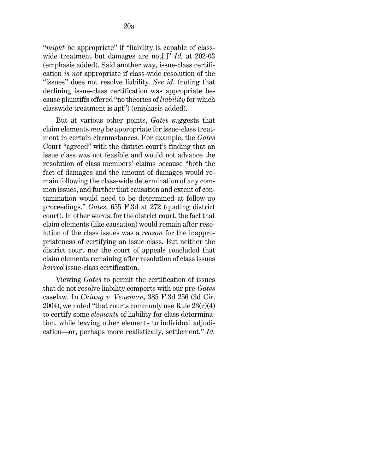"*might* be appropriate" if "liability is capable of classwide treatment but damages are not[.]" *Id.* [at 202-03](http://www.westlaw.com/Link/Document/FullText?findType=Y&serNum=2044087782&pubNum=0000506&originatingDoc=I80f91ca01d6311ecb72ce2c86e84f35e&refType=RP&fi=co_pp_sp_506_202&originationContext=document&vr=3.0&rs=cblt1.0&transitionType=DocumentItem&contextData=(sc.UserEnteredCitation)#co_pp_sp_506_202) (emphasis added). Said another way, issue-class certification *is not* appropriate if class-wide resolution of the "issues" does not resolve liability. *See [id.](http://www.westlaw.com/Link/Document/FullText?findType=Y&serNum=2044087782&pubNum=0000506&originatingDoc=I80f91ca01d6311ecb72ce2c86e84f35e&refType=RP&originationContext=document&vr=3.0&rs=cblt1.0&transitionType=DocumentItem&contextData=(sc.UserEnteredCitation))* (noting that declining issue-class certification was appropriate because plaintiffs offered "no theories of *liability* for which classwide treatment is apt") (emphasis added).

But at various other points, *[Gates](http://www.westlaw.com/Link/Document/FullText?findType=Y&serNum=2025930707&pubNum=0000506&originatingDoc=I80f91ca01d6311ecb72ce2c86e84f35e&refType=RP&originationContext=document&vr=3.0&rs=cblt1.0&transitionType=DocumentItem&contextData=(sc.UserEnteredCitation))* suggests that claim elements *may* be appropriate for issue-class treatment in certain circumstances. For example, the *[Gates](http://www.westlaw.com/Link/Document/FullText?findType=Y&serNum=2025930707&pubNum=0000506&originatingDoc=I80f91ca01d6311ecb72ce2c86e84f35e&refType=RP&originationContext=document&vr=3.0&rs=cblt1.0&transitionType=DocumentItem&contextData=(sc.UserEnteredCitation))* Court "agreed" with the district court's finding that an issue class was not feasible and would not advance the resolution of class members' claims because "both the fact of damages and the amount of damages would remain following the class-wide determination of any common issues, and further that causation and extent of contamination would need to be determined at follow-up proceedings." *[Gates](http://www.westlaw.com/Link/Document/FullText?findType=Y&serNum=2025930707&pubNum=0000506&originatingDoc=I80f91ca01d6311ecb72ce2c86e84f35e&refType=RP&fi=co_pp_sp_506_272&originationContext=document&vr=3.0&rs=cblt1.0&transitionType=DocumentItem&contextData=(sc.UserEnteredCitation)#co_pp_sp_506_272)*[, 655 F.3d at 272](http://www.westlaw.com/Link/Document/FullText?findType=Y&serNum=2025930707&pubNum=0000506&originatingDoc=I80f91ca01d6311ecb72ce2c86e84f35e&refType=RP&fi=co_pp_sp_506_272&originationContext=document&vr=3.0&rs=cblt1.0&transitionType=DocumentItem&contextData=(sc.UserEnteredCitation)#co_pp_sp_506_272) (quoting district court). In other words, for the district court, the fact that claim elements (like causation) would remain after resolution of the class issues was a *reason* for the inappropriateness of certifying an issue class. But neither the district court nor the court of appeals concluded that claim elements remaining after resolution of class issues *barred* issue-class certification.

Viewing *[Gates](http://www.westlaw.com/Link/Document/FullText?findType=Y&serNum=2025930707&pubNum=0000506&originatingDoc=I80f91ca01d6311ecb72ce2c86e84f35e&refType=RP&originationContext=document&vr=3.0&rs=cblt1.0&transitionType=DocumentItem&contextData=(sc.UserEnteredCitation))* to permit the certification of issues that do not resolve liability comports with our pre-*[Gates](http://www.westlaw.com/Link/Document/FullText?findType=Y&serNum=2025930707&pubNum=0000506&originatingDoc=I80f91ca01d6311ecb72ce2c86e84f35e&refType=RP&originationContext=document&vr=3.0&rs=cblt1.0&transitionType=DocumentItem&contextData=(sc.UserEnteredCitation))* caselaw. In *Chiang v. Veneman*[, 385 F.3d 256 \(3d Cir.](http://www.westlaw.com/Link/Document/FullText?findType=Y&serNum=2005123706&pubNum=0000506&originatingDoc=I80f91ca01d6311ecb72ce2c86e84f35e&refType=RP&originationContext=document&vr=3.0&rs=cblt1.0&transitionType=DocumentItem&contextData=(sc.UserEnteredCitation))  [2004\),](http://www.westlaw.com/Link/Document/FullText?findType=Y&serNum=2005123706&pubNum=0000506&originatingDoc=I80f91ca01d6311ecb72ce2c86e84f35e&refType=RP&originationContext=document&vr=3.0&rs=cblt1.0&transitionType=DocumentItem&contextData=(sc.UserEnteredCitation)) we noted "that courts commonly use Rule  $23(c)(4)$ to certify some *elements* of liability for class determination, while leaving other elements to individual adjudication—or, perhaps more realistically, settlement." *[Id.](http://www.westlaw.com/Link/Document/FullText?findType=Y&serNum=2005123706&pubNum=0000506&originatingDoc=I80f91ca01d6311ecb72ce2c86e84f35e&refType=RP&fi=co_pp_sp_506_267&originationContext=document&vr=3.0&rs=cblt1.0&transitionType=DocumentItem&contextData=(sc.UserEnteredCitation)#co_pp_sp_506_267)*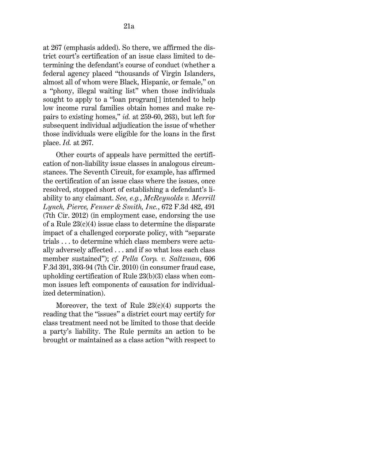[at 267](http://www.westlaw.com/Link/Document/FullText?findType=Y&serNum=2005123706&pubNum=0000506&originatingDoc=I80f91ca01d6311ecb72ce2c86e84f35e&refType=RP&fi=co_pp_sp_506_267&originationContext=document&vr=3.0&rs=cblt1.0&transitionType=DocumentItem&contextData=(sc.UserEnteredCitation)#co_pp_sp_506_267) (emphasis added). So there, we affirmed the district court's certification of an issue class limited to determining the defendant's course of conduct (whether a federal agency placed "thousands of Virgin Islanders, almost all of whom were Black, Hispanic, or female," on a "phony, illegal waiting list" when those individuals sought to apply to a "loan program[] intended to help low income rural families obtain homes and make repairs to existing homes," *id.* [at 259-60, 263\)](http://www.westlaw.com/Link/Document/FullText?findType=Y&serNum=2005123706&pubNum=0000506&originatingDoc=I80f91ca01d6311ecb72ce2c86e84f35e&refType=RP&fi=co_pp_sp_506_259&originationContext=document&vr=3.0&rs=cblt1.0&transitionType=DocumentItem&contextData=(sc.UserEnteredCitation)#co_pp_sp_506_259), but left for subsequent individual adjudication the issue of whether those individuals were eligible for the loans in the first place. *[Id.](http://www.westlaw.com/Link/Document/FullText?findType=Y&serNum=2005123706&pubNum=0000506&originatingDoc=I80f91ca01d6311ecb72ce2c86e84f35e&refType=RP&fi=co_pp_sp_506_267&originationContext=document&vr=3.0&rs=cblt1.0&transitionType=DocumentItem&contextData=(sc.UserEnteredCitation)#co_pp_sp_506_267)* [at 267.](http://www.westlaw.com/Link/Document/FullText?findType=Y&serNum=2005123706&pubNum=0000506&originatingDoc=I80f91ca01d6311ecb72ce2c86e84f35e&refType=RP&fi=co_pp_sp_506_267&originationContext=document&vr=3.0&rs=cblt1.0&transitionType=DocumentItem&contextData=(sc.UserEnteredCitation)#co_pp_sp_506_267)

Other courts of appeals have permitted the certification of non-liability issue classes in analogous circumstances. The Seventh Circuit, for example, has affirmed the certification of an issue class where the issues, once resolved, stopped short of establishing a defendant's liability to any claimant. *See, e.g.*, *[McReynolds v. Merrill](http://www.westlaw.com/Link/Document/FullText?findType=Y&serNum=2027195489&pubNum=0000506&originatingDoc=I80f91ca01d6311ecb72ce2c86e84f35e&refType=RP&fi=co_pp_sp_506_491&originationContext=document&vr=3.0&rs=cblt1.0&transitionType=DocumentItem&contextData=(sc.UserEnteredCitation)#co_pp_sp_506_491)  [Lynch, Pierce, Fenner & Smith, Inc.](http://www.westlaw.com/Link/Document/FullText?findType=Y&serNum=2027195489&pubNum=0000506&originatingDoc=I80f91ca01d6311ecb72ce2c86e84f35e&refType=RP&fi=co_pp_sp_506_491&originationContext=document&vr=3.0&rs=cblt1.0&transitionType=DocumentItem&contextData=(sc.UserEnteredCitation)#co_pp_sp_506_491)*, 672 F.3d 482, 491 [\(7th Cir. 2012\)](http://www.westlaw.com/Link/Document/FullText?findType=Y&serNum=2027195489&pubNum=0000506&originatingDoc=I80f91ca01d6311ecb72ce2c86e84f35e&refType=RP&fi=co_pp_sp_506_491&originationContext=document&vr=3.0&rs=cblt1.0&transitionType=DocumentItem&contextData=(sc.UserEnteredCitation)#co_pp_sp_506_491) (in employment case, endorsing the use of a [Rule 23\(c\)\(4\)](http://www.westlaw.com/Link/Document/FullText?findType=L&pubNum=1000600&cite=USFRCPR23&originatingDoc=I80f91ca01d6311ecb72ce2c86e84f35e&refType=LQ&originationContext=document&vr=3.0&rs=cblt1.0&transitionType=DocumentItem&contextData=(sc.UserEnteredCitation)) issue class to determine the disparate impact of a challenged corporate policy, with "separate trials . . . to determine which class members were actually adversely affected . . . and if so what loss each class member sustained"); *cf. [Pella Corp. v. Saltzman](http://www.westlaw.com/Link/Document/FullText?findType=Y&serNum=2022082310&pubNum=0000506&originatingDoc=I80f91ca01d6311ecb72ce2c86e84f35e&refType=RP&fi=co_pp_sp_506_393&originationContext=document&vr=3.0&rs=cblt1.0&transitionType=DocumentItem&contextData=(sc.UserEnteredCitation)#co_pp_sp_506_393)*[, 606](http://www.westlaw.com/Link/Document/FullText?findType=Y&serNum=2022082310&pubNum=0000506&originatingDoc=I80f91ca01d6311ecb72ce2c86e84f35e&refType=RP&fi=co_pp_sp_506_393&originationContext=document&vr=3.0&rs=cblt1.0&transitionType=DocumentItem&contextData=(sc.UserEnteredCitation)#co_pp_sp_506_393)  [F.3d 391, 393-94 \(7th Cir. 2010\)](http://www.westlaw.com/Link/Document/FullText?findType=Y&serNum=2022082310&pubNum=0000506&originatingDoc=I80f91ca01d6311ecb72ce2c86e84f35e&refType=RP&fi=co_pp_sp_506_393&originationContext=document&vr=3.0&rs=cblt1.0&transitionType=DocumentItem&contextData=(sc.UserEnteredCitation)#co_pp_sp_506_393) (in consumer fraud case, upholding certification of [Rule 23\(b\)\(3\)](http://www.westlaw.com/Link/Document/FullText?findType=L&pubNum=1000600&cite=USFRCPR23&originatingDoc=I80f91ca01d6311ecb72ce2c86e84f35e&refType=LQ&originationContext=document&vr=3.0&rs=cblt1.0&transitionType=DocumentItem&contextData=(sc.UserEnteredCitation)) class when common issues left components of causation for individualized determination).

Moreover, the text of Rule  $23(c)(4)$  supports the reading that the "issues" a district court may certify for class treatment need not be limited to those that decide a party's liability. The Rule permits an action to be brought or maintained as a class action "with respect to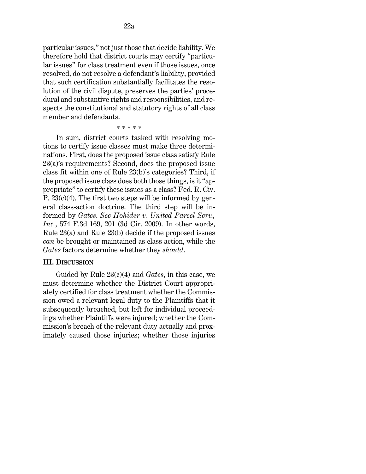particular issues," not just those that decide liability. We therefore hold that district courts may certify "particular issues" for class treatment even if those issues, once resolved, do not resolve a defendant's liability, provided that such certification substantially facilitates the resolution of the civil dispute, preserves the parties' procedural and substantive rights and responsibilities, and respects the constitutional and statutory rights of all class member and defendants.

\* \* \* \* \*

In sum, district courts tasked with resolving motions to certify issue classes must make three determinations. First, does the proposed issue class satisfy [Rule](http://www.westlaw.com/Link/Document/FullText?findType=L&pubNum=1000600&cite=USFRCPR23&originatingDoc=I80f91ca01d6311ecb72ce2c86e84f35e&refType=LQ&originationContext=document&vr=3.0&rs=cblt1.0&transitionType=DocumentItem&contextData=(sc.UserEnteredCitation))  [23\(a\)'](http://www.westlaw.com/Link/Document/FullText?findType=L&pubNum=1000600&cite=USFRCPR23&originatingDoc=I80f91ca01d6311ecb72ce2c86e84f35e&refType=LQ&originationContext=document&vr=3.0&rs=cblt1.0&transitionType=DocumentItem&contextData=(sc.UserEnteredCitation))s requirements? Second, does the proposed issue class fit within one of [Rule 23\(b\)'](http://www.westlaw.com/Link/Document/FullText?findType=L&pubNum=1000600&cite=USFRCPR23&originatingDoc=I80f91ca01d6311ecb72ce2c86e84f35e&refType=LQ&originationContext=document&vr=3.0&rs=cblt1.0&transitionType=DocumentItem&contextData=(sc.UserEnteredCitation))s categories? Third, if the proposed issue class does both those things, is it "appropriate" to certify these issues as a class? [Fed. R. Civ.](http://www.westlaw.com/Link/Document/FullText?findType=L&pubNum=1000600&cite=USFRCPR23&originatingDoc=I80f91ca01d6311ecb72ce2c86e84f35e&refType=LQ&originationContext=document&vr=3.0&rs=cblt1.0&transitionType=DocumentItem&contextData=(sc.UserEnteredCitation))  P.  $23(c)(4)$ . The first two steps will be informed by general class-action doctrine. The third step will be informed by *[Gates](http://www.westlaw.com/Link/Document/FullText?findType=Y&serNum=2025930707&pubNum=0000506&originatingDoc=I80f91ca01d6311ecb72ce2c86e84f35e&refType=RP&originationContext=document&vr=3.0&rs=cblt1.0&transitionType=DocumentItem&contextData=(sc.UserEnteredCitation))*. *See [Hohider v. United Parcel Serv.,](http://www.westlaw.com/Link/Document/FullText?findType=Y&serNum=2019441738&pubNum=0000506&originatingDoc=I80f91ca01d6311ecb72ce2c86e84f35e&refType=RP&fi=co_pp_sp_506_201&originationContext=document&vr=3.0&rs=cblt1.0&transitionType=DocumentItem&contextData=(sc.UserEnteredCitation)#co_pp_sp_506_201)  [Inc.](http://www.westlaw.com/Link/Document/FullText?findType=Y&serNum=2019441738&pubNum=0000506&originatingDoc=I80f91ca01d6311ecb72ce2c86e84f35e&refType=RP&fi=co_pp_sp_506_201&originationContext=document&vr=3.0&rs=cblt1.0&transitionType=DocumentItem&contextData=(sc.UserEnteredCitation)#co_pp_sp_506_201)*, [574 F.3d 169, 201 \(3d Cir. 2009\).](http://www.westlaw.com/Link/Document/FullText?findType=Y&serNum=2019441738&pubNum=0000506&originatingDoc=I80f91ca01d6311ecb72ce2c86e84f35e&refType=RP&fi=co_pp_sp_506_201&originationContext=document&vr=3.0&rs=cblt1.0&transitionType=DocumentItem&contextData=(sc.UserEnteredCitation)#co_pp_sp_506_201) In other words, [Rule 23\(a\) and Rule 23\(b\)](http://www.westlaw.com/Link/Document/FullText?findType=L&pubNum=1000600&cite=USFRCPR23&originatingDoc=I80f91ca01d6311ecb72ce2c86e84f35e&refType=LQ&originationContext=document&vr=3.0&rs=cblt1.0&transitionType=DocumentItem&contextData=(sc.UserEnteredCitation)) decide if the proposed issues *can* be brought or maintained as class action, while the *[Gates](http://www.westlaw.com/Link/Document/FullText?findType=Y&serNum=2025930707&pubNum=0000506&originatingDoc=I80f91ca01d6311ecb72ce2c86e84f35e&refType=RP&originationContext=document&vr=3.0&rs=cblt1.0&transitionType=DocumentItem&contextData=(sc.UserEnteredCitation))* factors determine whether they *should*.

#### **III. DISCUSSION**

Guided by [Rule 23\(c\)\(4\)](http://www.westlaw.com/Link/Document/FullText?findType=L&pubNum=1000600&cite=USFRCPR23&originatingDoc=I80f91ca01d6311ecb72ce2c86e84f35e&refType=LQ&originationContext=document&vr=3.0&rs=cblt1.0&transitionType=DocumentItem&contextData=(sc.UserEnteredCitation)) and *[Gates](http://www.westlaw.com/Link/Document/FullText?findType=Y&serNum=2025930707&pubNum=0000506&originatingDoc=I80f91ca01d6311ecb72ce2c86e84f35e&refType=RP&originationContext=document&vr=3.0&rs=cblt1.0&transitionType=DocumentItem&contextData=(sc.UserEnteredCitation))*, in this case, we must determine whether the District Court appropriately certified for class treatment whether the Commission owed a relevant legal duty to the Plaintiffs that it subsequently breached, but left for individual proceedings whether Plaintiffs were injured; whether the Commission's breach of the relevant duty actually and proximately caused those injuries; whether those injuries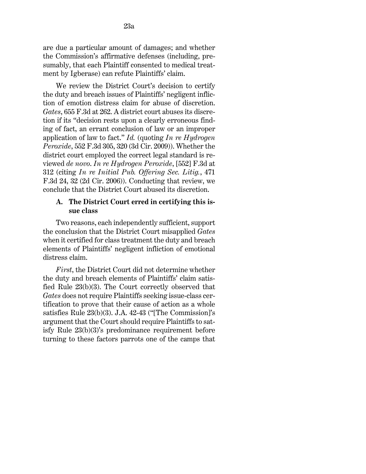are due a particular amount of damages; and whether the Commission's affirmative defenses (including, presumably, that each Plaintiff consented to medical treatment by Igberase) can refute Plaintiffs' claim.

We review the District Court's decision to certify the duty and breach issues of Plaintiffs' negligent infliction of emotion distress claim for abuse of discretion. *Gates*[, 655 F.3d at 262.](http://www.westlaw.com/Link/Document/FullText?findType=Y&serNum=2025930707&pubNum=0000506&originatingDoc=I80f91ca01d6311ecb72ce2c86e84f35e&refType=RP&fi=co_pp_sp_506_262&originationContext=document&vr=3.0&rs=cblt1.0&transitionType=DocumentItem&contextData=(sc.UserEnteredCitation)#co_pp_sp_506_262) A district court abuses its discretion if its "decision rests upon a clearly erroneous finding of fact, an errant conclusion of law or an improper application of law to fact." *[Id.](http://www.westlaw.com/Link/Document/FullText?findType=Y&serNum=2025930707&pubNum=0000506&originatingDoc=I80f91ca01d6311ecb72ce2c86e84f35e&refType=RP&originationContext=document&vr=3.0&rs=cblt1.0&transitionType=DocumentItem&contextData=(sc.UserEnteredCitation))* (quoting *[In re Hydrogen](http://www.westlaw.com/Link/Document/FullText?findType=Y&serNum=2017791597&pubNum=0000506&originatingDoc=I80f91ca01d6311ecb72ce2c86e84f35e&refType=RP&fi=co_pp_sp_506_320&originationContext=document&vr=3.0&rs=cblt1.0&transitionType=DocumentItem&contextData=(sc.UserEnteredCitation)#co_pp_sp_506_320)  [Peroxide](http://www.westlaw.com/Link/Document/FullText?findType=Y&serNum=2017791597&pubNum=0000506&originatingDoc=I80f91ca01d6311ecb72ce2c86e84f35e&refType=RP&fi=co_pp_sp_506_320&originationContext=document&vr=3.0&rs=cblt1.0&transitionType=DocumentItem&contextData=(sc.UserEnteredCitation)#co_pp_sp_506_320)*[, 552 F.3d 305, 320 \(3d Cir. 2009\)\)](http://www.westlaw.com/Link/Document/FullText?findType=Y&serNum=2017791597&pubNum=0000506&originatingDoc=I80f91ca01d6311ecb72ce2c86e84f35e&refType=RP&fi=co_pp_sp_506_320&originationContext=document&vr=3.0&rs=cblt1.0&transitionType=DocumentItem&contextData=(sc.UserEnteredCitation)#co_pp_sp_506_320). Whether the district court employed the correct legal standard is reviewed *de novo*. *[In re Hydrogen Peroxide](http://www.westlaw.com/Link/Document/FullText?findType=Y&serNum=2017791597&pubNum=0000506&originatingDoc=I80f91ca01d6311ecb72ce2c86e84f35e&refType=RP&fi=co_pp_sp_506_312&originationContext=document&vr=3.0&rs=cblt1.0&transitionType=DocumentItem&contextData=(sc.UserEnteredCitation)#co_pp_sp_506_312)*, [552] [F.3d at](http://www.westlaw.com/Link/Document/FullText?findType=Y&serNum=2017791597&pubNum=0000506&originatingDoc=I80f91ca01d6311ecb72ce2c86e84f35e&refType=RP&fi=co_pp_sp_506_312&originationContext=document&vr=3.0&rs=cblt1.0&transitionType=DocumentItem&contextData=(sc.UserEnteredCitation)#co_pp_sp_506_312)  [312](http://www.westlaw.com/Link/Document/FullText?findType=Y&serNum=2017791597&pubNum=0000506&originatingDoc=I80f91ca01d6311ecb72ce2c86e84f35e&refType=RP&fi=co_pp_sp_506_312&originationContext=document&vr=3.0&rs=cblt1.0&transitionType=DocumentItem&contextData=(sc.UserEnteredCitation)#co_pp_sp_506_312) (citing *[In re Initial Pub. Offering Sec. Litig.](http://www.westlaw.com/Link/Document/FullText?findType=Y&serNum=2010804865&pubNum=0000506&originatingDoc=I80f91ca01d6311ecb72ce2c86e84f35e&refType=RP&fi=co_pp_sp_506_32&originationContext=document&vr=3.0&rs=cblt1.0&transitionType=DocumentItem&contextData=(sc.UserEnteredCitation)#co_pp_sp_506_32)*[, 471](http://www.westlaw.com/Link/Document/FullText?findType=Y&serNum=2010804865&pubNum=0000506&originatingDoc=I80f91ca01d6311ecb72ce2c86e84f35e&refType=RP&fi=co_pp_sp_506_32&originationContext=document&vr=3.0&rs=cblt1.0&transitionType=DocumentItem&contextData=(sc.UserEnteredCitation)#co_pp_sp_506_32)  [F.3d 24, 32 \(2d Cir. 2006\)\)](http://www.westlaw.com/Link/Document/FullText?findType=Y&serNum=2010804865&pubNum=0000506&originatingDoc=I80f91ca01d6311ecb72ce2c86e84f35e&refType=RP&fi=co_pp_sp_506_32&originationContext=document&vr=3.0&rs=cblt1.0&transitionType=DocumentItem&contextData=(sc.UserEnteredCitation)#co_pp_sp_506_32). Conducting that review, we conclude that the District Court abused its discretion.

## **A. The District Court erred in certifying this issue class**

Two reasons, each independently sufficient, support the conclusion that the District Court misapplied *[Gates](http://www.westlaw.com/Link/Document/FullText?findType=Y&serNum=2025930707&pubNum=0000506&originatingDoc=I80f91ca01d6311ecb72ce2c86e84f35e&refType=RP&originationContext=document&vr=3.0&rs=cblt1.0&transitionType=DocumentItem&contextData=(sc.UserEnteredCitation))* when it certified for class treatment the duty and breach elements of Plaintiffs' negligent infliction of emotional distress claim.

*First*, the District Court did not determine whether the duty and breach elements of Plaintiffs' claim satisfied [Rule 23\(b\)\(3\).](http://www.westlaw.com/Link/Document/FullText?findType=L&pubNum=1000600&cite=USFRCPR23&originatingDoc=I80f91ca01d6311ecb72ce2c86e84f35e&refType=LQ&originationContext=document&vr=3.0&rs=cblt1.0&transitionType=DocumentItem&contextData=(sc.UserEnteredCitation)) The Court correctly observed that *[Gates](http://www.westlaw.com/Link/Document/FullText?findType=Y&serNum=2025930707&pubNum=0000506&originatingDoc=I80f91ca01d6311ecb72ce2c86e84f35e&refType=RP&originationContext=document&vr=3.0&rs=cblt1.0&transitionType=DocumentItem&contextData=(sc.UserEnteredCitation))* does not require Plaintiffs seeking issue-class certification to prove that their cause of action as a whole satisfies [Rule 23\(b\)\(3\).](http://www.westlaw.com/Link/Document/FullText?findType=L&pubNum=1000600&cite=USFRCPR23&originatingDoc=I80f91ca01d6311ecb72ce2c86e84f35e&refType=LQ&originationContext=document&vr=3.0&rs=cblt1.0&transitionType=DocumentItem&contextData=(sc.UserEnteredCitation)) J.A. 42-43 ("[The Commission]'s argument that the Court should require Plaintiffs to satisfy [Rule 23\(b\)\(3\)'s](http://www.westlaw.com/Link/Document/FullText?findType=L&pubNum=1000600&cite=USFRCPR23&originatingDoc=I80f91ca01d6311ecb72ce2c86e84f35e&refType=LQ&originationContext=document&vr=3.0&rs=cblt1.0&transitionType=DocumentItem&contextData=(sc.UserEnteredCitation)) predominance requirement before turning to these factors parrots one of the camps that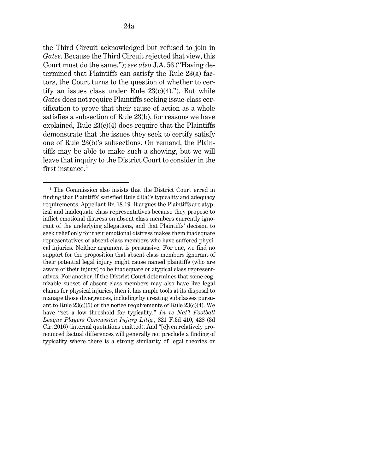the Third Circuit acknowledged but refused to join in *[Gates](http://www.westlaw.com/Link/Document/FullText?findType=Y&serNum=2025930707&pubNum=0000506&originatingDoc=I80f91ca01d6311ecb72ce2c86e84f35e&refType=RP&originationContext=document&vr=3.0&rs=cblt1.0&transitionType=DocumentItem&contextData=(sc.UserEnteredCitation))*. Because the Third Circuit rejected that view, this Court must do the same."); *see also* J.A. 56 ("Having determined that Plaintiffs can satisfy the [Rule 23\(a\)](http://www.westlaw.com/Link/Document/FullText?findType=L&pubNum=1000600&cite=USFRCPR23&originatingDoc=I80f91ca01d6311ecb72ce2c86e84f35e&refType=LQ&originationContext=document&vr=3.0&rs=cblt1.0&transitionType=DocumentItem&contextData=(sc.UserEnteredCitation)) factors, the Court turns to the question of whether to certify an issues class under Rule  $23(c)(4)$ ."). But while *[Gates](http://www.westlaw.com/Link/Document/FullText?findType=Y&serNum=2025930707&pubNum=0000506&originatingDoc=I80f91ca01d6311ecb72ce2c86e84f35e&refType=RP&originationContext=document&vr=3.0&rs=cblt1.0&transitionType=DocumentItem&contextData=(sc.UserEnteredCitation))* does not require Plaintiffs seeking issue-class certification to prove that their cause of action as a whole satisfies a subsection of [Rule 23\(b\),](http://www.westlaw.com/Link/Document/FullText?findType=L&pubNum=1000600&cite=USFRCPR23&originatingDoc=I80f91ca01d6311ecb72ce2c86e84f35e&refType=LQ&originationContext=document&vr=3.0&rs=cblt1.0&transitionType=DocumentItem&contextData=(sc.UserEnteredCitation)) for reasons we have explained, Rule  $23(c)(4)$  does require that the Plaintiffs demonstrate that the issues they seek to certify satisfy one of [Rule 23\(b\)'](http://www.westlaw.com/Link/Document/FullText?findType=L&pubNum=1000600&cite=USFRCPR23&originatingDoc=I80f91ca01d6311ecb72ce2c86e84f35e&refType=LQ&originationContext=document&vr=3.0&rs=cblt1.0&transitionType=DocumentItem&contextData=(sc.UserEnteredCitation))s subsections. On remand, the Plaintiffs may be able to make such a showing, but we will leave that inquiry to the District Court to consider in the first instance.<sup>4</sup>

<span id="page-23-0"></span><sup>4</sup> The Commission also insists that the District Court erred in finding that Plaintiffs' satisfie[d Rule 23\(a\)'](http://www.westlaw.com/Link/Document/FullText?findType=L&pubNum=1000600&cite=USFRCPR23&originatingDoc=I80f91ca01d6311ecb72ce2c86e84f35e&refType=LQ&originationContext=document&vr=3.0&rs=cblt1.0&transitionType=DocumentItem&contextData=(sc.UserEnteredCitation))s typicality and adequacy requirements. Appellant Br. 18-19. It argues the Plaintiffs are atypical and inadequate class representatives because they propose to inflict emotional distress on absent class members currently ignorant of the underlying allegations, and that Plaintiffs' decision to seek relief only for their emotional distress makes them inadequate representatives of absent class members who have suffered physical injuries. Neither argument is persuasive. For one, we find no support for the proposition that absent class members ignorant of their potential legal injury might cause named plaintiffs (who are aware of their injury) to be inadequate or atypical class representatives. For another, if the District Court determines that some cognizable subset of absent class members may also have live legal claims for physical injuries, then it has ample tools at its disposal to manage those divergences, including by creating subclasses pursuant to Rule  $23(c)(5)$  or the notice requirements of Rule  $23(c)(4)$ . We have "set a low threshold for typicality." *[In re Nat'l Football](http://www.westlaw.com/Link/Document/FullText?findType=Y&serNum=2038688070&pubNum=0000506&originatingDoc=I80f91ca01d6311ecb72ce2c86e84f35e&refType=RP&fi=co_pp_sp_506_428&originationContext=document&vr=3.0&rs=cblt1.0&transitionType=DocumentItem&contextData=(sc.UserEnteredCitation)#co_pp_sp_506_428)  [League Players Concussion Injury Litig.](http://www.westlaw.com/Link/Document/FullText?findType=Y&serNum=2038688070&pubNum=0000506&originatingDoc=I80f91ca01d6311ecb72ce2c86e84f35e&refType=RP&fi=co_pp_sp_506_428&originationContext=document&vr=3.0&rs=cblt1.0&transitionType=DocumentItem&contextData=(sc.UserEnteredCitation)#co_pp_sp_506_428)*, 821 F.3d 410, 428 (3d [Cir. 2016\)](http://www.westlaw.com/Link/Document/FullText?findType=Y&serNum=2038688070&pubNum=0000506&originatingDoc=I80f91ca01d6311ecb72ce2c86e84f35e&refType=RP&fi=co_pp_sp_506_428&originationContext=document&vr=3.0&rs=cblt1.0&transitionType=DocumentItem&contextData=(sc.UserEnteredCitation)#co_pp_sp_506_428) (internal quotations omitted). And "[e]ven relatively pronounced factual differences will generally not preclude a finding of typicality where there is a strong similarity of legal theories or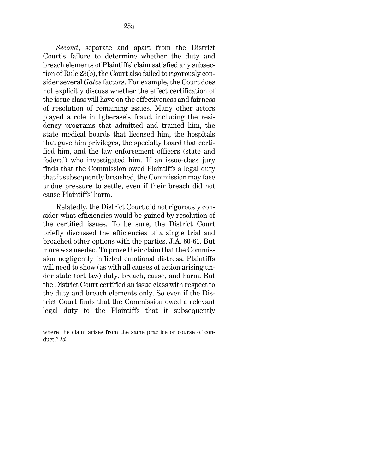*Second*, separate and apart from the District Court's failure to determine whether the duty and breach elements of Plaintiffs' claim satisfied any subsection o[f Rule 23\(b\),](http://www.westlaw.com/Link/Document/FullText?findType=L&pubNum=1000600&cite=USFRCPR23&originatingDoc=I80f91ca01d6311ecb72ce2c86e84f35e&refType=LQ&originationContext=document&vr=3.0&rs=cblt1.0&transitionType=DocumentItem&contextData=(sc.UserEnteredCitation)) the Court also failed to rigorously consider several *[Gates](http://www.westlaw.com/Link/Document/FullText?findType=Y&serNum=2025930707&pubNum=0000506&originatingDoc=I80f91ca01d6311ecb72ce2c86e84f35e&refType=RP&originationContext=document&vr=3.0&rs=cblt1.0&transitionType=DocumentItem&contextData=(sc.UserEnteredCitation))* factors. For example, the Court does not explicitly discuss whether the effect certification of the issue class will have on the effectiveness and fairness of resolution of remaining issues. Many other actors played a role in Igberase's fraud, including the residency programs that admitted and trained him, the state medical boards that licensed him, the hospitals that gave him privileges, the specialty board that certified him, and the law enforcement officers (state and federal) who investigated him. If an issue-class jury finds that the Commission owed Plaintiffs a legal duty that it subsequently breached, the Commission may face undue pressure to settle, even if their breach did not cause Plaintiffs' harm.

Relatedly, the District Court did not rigorously consider what efficiencies would be gained by resolution of the certified issues. To be sure, the District Court briefly discussed the efficiencies of a single trial and broached other options with the parties. J.A. 60-61. But more was needed. To prove their claim that the Commission negligently inflicted emotional distress, Plaintiffs will need to show (as with all causes of action arising under state tort law) duty, breach, cause, and harm. But the District Court certified an issue class with respect to the duty and breach elements only. So even if the District Court finds that the Commission owed a relevant legal duty to the Plaintiffs that it subsequently

where the claim arises from the same practice or course of conduct." *[Id.](http://www.westlaw.com/Link/Document/FullText?findType=Y&serNum=2038688070&pubNum=0000506&originatingDoc=I80f91ca01d6311ecb72ce2c86e84f35e&refType=RP&originationContext=document&vr=3.0&rs=cblt1.0&transitionType=DocumentItem&contextData=(sc.UserEnteredCitation))*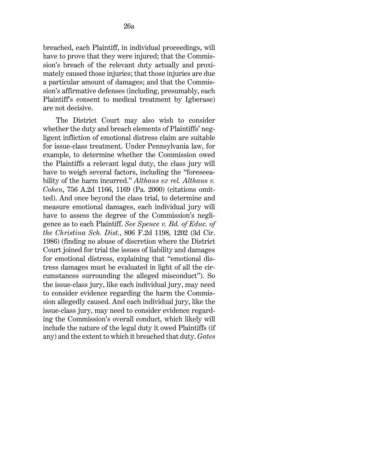breached, each Plaintiff, in individual proceedings, will have to prove that they were injured; that the Commission's breach of the relevant duty actually and proximately caused those injuries; that those injuries are due a particular amount of damages; and that the Commission's affirmative defenses (including, presumably, each Plaintiff's consent to medical treatment by Igberase) are not decisive.

The District Court may also wish to consider whether the duty and breach elements of Plaintiffs' negligent infliction of emotional distress claim are suitable for issue-class treatment. Under Pennsylvania law, for example, to determine whether the Commission owed the Plaintiffs a relevant legal duty, the class jury will have to weigh several factors, including the "foreseeability of the harm incurred." *[Althaus ex rel. Althaus v.](http://www.westlaw.com/Link/Document/FullText?findType=Y&serNum=2000481778&pubNum=0000162&originatingDoc=I80f91ca01d6311ecb72ce2c86e84f35e&refType=RP&fi=co_pp_sp_162_1169&originationContext=document&vr=3.0&rs=cblt1.0&transitionType=DocumentItem&contextData=(sc.UserEnteredCitation)#co_pp_sp_162_1169)  Cohen*[, 756 A.2d 1166, 1169 \(Pa. 2000\)](http://www.westlaw.com/Link/Document/FullText?findType=Y&serNum=2000481778&pubNum=0000162&originatingDoc=I80f91ca01d6311ecb72ce2c86e84f35e&refType=RP&fi=co_pp_sp_162_1169&originationContext=document&vr=3.0&rs=cblt1.0&transitionType=DocumentItem&contextData=(sc.UserEnteredCitation)#co_pp_sp_162_1169) (citations omitted). And once beyond the class trial, to determine and measure emotional damages, each individual jury will have to assess the degree of the Commission's negligence as to each Plaintiff. *See [Spence v. Bd. of Educ. of](http://www.westlaw.com/Link/Document/FullText?findType=Y&serNum=1986160296&pubNum=0000350&originatingDoc=I80f91ca01d6311ecb72ce2c86e84f35e&refType=RP&fi=co_pp_sp_350_1202&originationContext=document&vr=3.0&rs=cblt1.0&transitionType=DocumentItem&contextData=(sc.UserEnteredCitation)#co_pp_sp_350_1202)  the Christina Sch. Dist.*[, 806 F.2d 1198, 1202 \(3d Cir.](http://www.westlaw.com/Link/Document/FullText?findType=Y&serNum=1986160296&pubNum=0000350&originatingDoc=I80f91ca01d6311ecb72ce2c86e84f35e&refType=RP&fi=co_pp_sp_350_1202&originationContext=document&vr=3.0&rs=cblt1.0&transitionType=DocumentItem&contextData=(sc.UserEnteredCitation)#co_pp_sp_350_1202)  [1986\)](http://www.westlaw.com/Link/Document/FullText?findType=Y&serNum=1986160296&pubNum=0000350&originatingDoc=I80f91ca01d6311ecb72ce2c86e84f35e&refType=RP&fi=co_pp_sp_350_1202&originationContext=document&vr=3.0&rs=cblt1.0&transitionType=DocumentItem&contextData=(sc.UserEnteredCitation)#co_pp_sp_350_1202) (finding no abuse of discretion where the District Court joined for trial the issues of liability and damages for emotional distress, explaining that "emotional distress damages must be evaluated in light of all the circumstances surrounding the alleged misconduct"). So the issue-class jury, like each individual jury, may need to consider evidence regarding the harm the Commission allegedly caused. And each individual jury, like the issue-class jury, may need to consider evidence regarding the Commission's overall conduct, which likely will include the nature of the legal duty it owed Plaintiffs (if any) and the extent to which it breached that duty. *[Gates](http://www.westlaw.com/Link/Document/FullText?findType=Y&serNum=2025930707&pubNum=0000506&originatingDoc=I80f91ca01d6311ecb72ce2c86e84f35e&refType=RP&originationContext=document&vr=3.0&rs=cblt1.0&transitionType=DocumentItem&contextData=(sc.UserEnteredCitation))*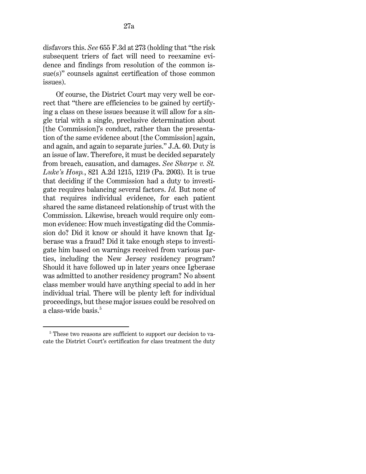disfavors this. *See* [655 F.3d at 273](http://www.westlaw.com/Link/Document/FullText?findType=Y&serNum=2025930707&pubNum=0000506&originatingDoc=I80f91ca01d6311ecb72ce2c86e84f35e&refType=RP&fi=co_pp_sp_506_273&originationContext=document&vr=3.0&rs=cblt1.0&transitionType=DocumentItem&contextData=(sc.UserEnteredCitation)#co_pp_sp_506_273) (holding that "the risk subsequent triers of fact will need to reexamine evidence and findings from resolution of the common issue(s)" counsels against certification of those common issues).

Of course, the District Court may very well be correct that "there are efficiencies to be gained by certifying a class on these issues because it will allow for a single trial with a single, preclusive determination about [the Commission]'s conduct, rather than the presentation of the same evidence about [the Commission] again, and again, and again to separate juries." J.A. 60. Duty is an issue of law. Therefore, it must be decided separately from breach, causation, and damages. *See [Sharpe v.](http://www.westlaw.com/Link/Document/FullText?findType=Y&serNum=2003315297&pubNum=0000162&originatingDoc=I80f91ca01d6311ecb72ce2c86e84f35e&refType=RP&fi=co_pp_sp_162_1219&originationContext=document&vr=3.0&rs=cblt1.0&transitionType=DocumentItem&contextData=(sc.UserEnteredCitation)#co_pp_sp_162_1219) St. Luke's Hosp.*[, 821 A.2d 1215, 1219 \(Pa. 2003\).](http://www.westlaw.com/Link/Document/FullText?findType=Y&serNum=2003315297&pubNum=0000162&originatingDoc=I80f91ca01d6311ecb72ce2c86e84f35e&refType=RP&fi=co_pp_sp_162_1219&originationContext=document&vr=3.0&rs=cblt1.0&transitionType=DocumentItem&contextData=(sc.UserEnteredCitation)#co_pp_sp_162_1219) It is true that deciding if the Commission had a duty to investigate requires balancing several factors. *[Id.](http://www.westlaw.com/Link/Document/FullText?findType=Y&serNum=2003315297&pubNum=0000651&originatingDoc=I80f91ca01d6311ecb72ce2c86e84f35e&refType=RP&originationContext=document&vr=3.0&rs=cblt1.0&transitionType=DocumentItem&contextData=(sc.UserEnteredCitation))* But none of that requires individual evidence, for each patient shared the same distanced relationship of trust with the Commission. Likewise, breach would require only common evidence: How much investigating did the Commission do? Did it know or should it have known that Igberase was a fraud? Did it take enough steps to investigate him based on warnings received from various parties, including the New Jersey residency program? Should it have followed up in later years once Igberase was admitted to another residency program? No absent class member would have anything special to add in her individual trial. There will be plenty left for individual proceedings, but these major issues could be resolved on a class-wide basis.<sup>[5](#page-26-0)</sup>

<span id="page-26-0"></span><sup>&</sup>lt;sup>5</sup> These two reasons are sufficient to support our decision to vacate the District Court's certification for class treatment the duty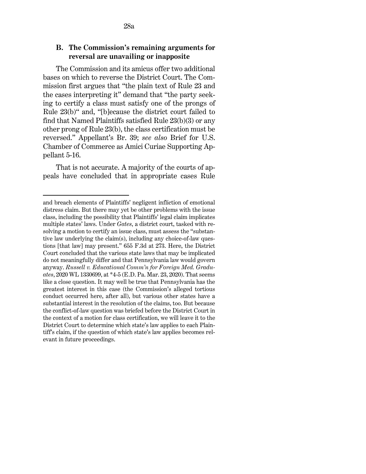The Commission and its amicus offer two additional bases on which to reverse the District Court. The Commission first argues that "the plain text of [Rule 23](http://www.westlaw.com/Link/Document/FullText?findType=L&pubNum=1000600&cite=USFRCPR23&originatingDoc=I80f91ca01d6311ecb72ce2c86e84f35e&refType=LQ&originationContext=document&vr=3.0&rs=cblt1.0&transitionType=DocumentItem&contextData=(sc.UserEnteredCitation)) and the cases interpreting it" demand that "the party seeking to certify a class must satisfy one of the prongs of [Rule 23\(b\)"](http://www.westlaw.com/Link/Document/FullText?findType=L&pubNum=1000600&cite=USFRCPR23&originatingDoc=I80f91ca01d6311ecb72ce2c86e84f35e&refType=LQ&originationContext=document&vr=3.0&rs=cblt1.0&transitionType=DocumentItem&contextData=(sc.UserEnteredCitation)) and, "[b]ecause the district court failed to find that Named Plaintiffs satisfied [Rule 23\(b\)\(3\)](http://www.westlaw.com/Link/Document/FullText?findType=L&pubNum=1000600&cite=USFRCPR23&originatingDoc=I80f91ca01d6311ecb72ce2c86e84f35e&refType=LQ&originationContext=document&vr=3.0&rs=cblt1.0&transitionType=DocumentItem&contextData=(sc.UserEnteredCitation)) or any other prong of [Rule 23\(b\),](http://www.westlaw.com/Link/Document/FullText?findType=L&pubNum=1000600&cite=USFRCPR23&originatingDoc=I80f91ca01d6311ecb72ce2c86e84f35e&refType=LQ&originationContext=document&vr=3.0&rs=cblt1.0&transitionType=DocumentItem&contextData=(sc.UserEnteredCitation)) the class certification must be reversed." Appellant's Br. 39; *see also* Brief for U.S. Chamber of Commerce as Amici Curiae Supporting Appellant 5-16.

That is not accurate. A majority of the courts of appeals have concluded that in appropriate cases [Rule](http://www.westlaw.com/Link/Document/FullText?findType=L&pubNum=1000600&cite=USFRCPR23&originatingDoc=I80f91ca01d6311ecb72ce2c86e84f35e&refType=LQ&originationContext=document&vr=3.0&rs=cblt1.0&transitionType=DocumentItem&contextData=(sc.UserEnteredCitation)) 

and breach elements of Plaintiffs' negligent infliction of emotional distress claim. But there may yet be other problems with the issue class, including the possibility that Plaintiffs' legal claim implicates multiple states' laws. Under *[Gates](http://www.westlaw.com/Link/Document/FullText?findType=Y&serNum=2025930707&pubNum=0000506&originatingDoc=I80f91ca01d6311ecb72ce2c86e84f35e&refType=RP&originationContext=document&vr=3.0&rs=cblt1.0&transitionType=DocumentItem&contextData=(sc.UserEnteredCitation))*, a district court, tasked with resolving a motion to certify an issue class, must assess the "substantive law underlying the claim(s), including any choice-of-law questions [that law] may present." [655 F.3d at 273.](http://www.westlaw.com/Link/Document/FullText?findType=Y&serNum=2025930707&pubNum=0000506&originatingDoc=I80f91ca01d6311ecb72ce2c86e84f35e&refType=RP&fi=co_pp_sp_506_273&originationContext=document&vr=3.0&rs=cblt1.0&transitionType=DocumentItem&contextData=(sc.UserEnteredCitation)#co_pp_sp_506_273) Here, the District Court concluded that the various state laws that may be implicated do not meaningfully differ and that Pennsylvania law would govern anyway. *[Russell v. Educational Comm'n for Foreign Med. Gradu](http://www.westlaw.com/Link/Document/FullText?findType=Y&serNum=2050619035&pubNum=0000999&originatingDoc=I80f91ca01d6311ecb72ce2c86e84f35e&refType=RP&fi=co_pp_sp_999_5&originationContext=document&vr=3.0&rs=cblt1.0&transitionType=DocumentItem&contextData=(sc.UserEnteredCitation)#co_pp_sp_999_5)ates*[, 2020 WL 1330699, at \\*4-5 \(E.D. Pa. Mar. 23, 2020\).](http://www.westlaw.com/Link/Document/FullText?findType=Y&serNum=2050619035&pubNum=0000999&originatingDoc=I80f91ca01d6311ecb72ce2c86e84f35e&refType=RP&fi=co_pp_sp_999_5&originationContext=document&vr=3.0&rs=cblt1.0&transitionType=DocumentItem&contextData=(sc.UserEnteredCitation)#co_pp_sp_999_5) That seems like a close question. It may well be true that Pennsylvania has the greatest interest in this case (the Commission's alleged tortious conduct occurred here, after all), but various other states have a substantial interest in the resolution of the claims, too. But because the conflict-of-law question was briefed before the District Court in the context of a motion for class certification, we will leave it to the District Court to determine which state's law applies to each Plaintiff's claim, if the question of which state's law applies becomes relevant in future proceedings.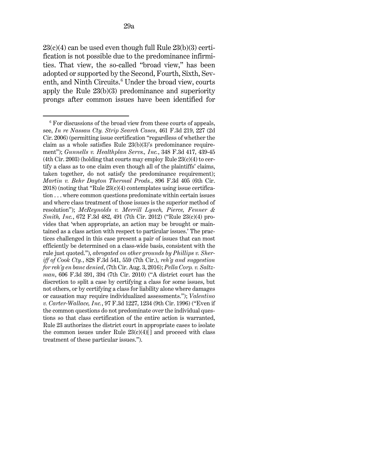$23(c)(4)$  can be used even though full Rule  $23(b)(3)$  certification is not possible due to the predominance infirmities. That view, the so-called "broad view," has been adopted or supported by the Second, Fourth, Sixth, Sev-enth, and Ninth Circuits.<sup>[6](#page-28-0)</sup> Under the broad view, courts apply the [Rule 23\(b\)\(3\)](http://www.westlaw.com/Link/Document/FullText?findType=L&pubNum=1000600&cite=USFRCPR23&originatingDoc=I80f91ca01d6311ecb72ce2c86e84f35e&refType=LQ&originationContext=document&vr=3.0&rs=cblt1.0&transitionType=DocumentItem&contextData=(sc.UserEnteredCitation)) predominance and superiority prongs after common issues have been identified for

<span id="page-28-0"></span> $6$  For discussions of the broad view from these courts of appeals, see, *[In re Nassau Cty. Strip Search Cases](http://www.westlaw.com/Link/Document/FullText?findType=Y&serNum=2009781545&pubNum=0000506&originatingDoc=I80f91ca01d6311ecb72ce2c86e84f35e&refType=RP&fi=co_pp_sp_506_227&originationContext=document&vr=3.0&rs=cblt1.0&transitionType=DocumentItem&contextData=(sc.UserEnteredCitation)#co_pp_sp_506_227)*[, 461 F.3d 219, 227 \(2d](http://www.westlaw.com/Link/Document/FullText?findType=Y&serNum=2009781545&pubNum=0000506&originatingDoc=I80f91ca01d6311ecb72ce2c86e84f35e&refType=RP&fi=co_pp_sp_506_227&originationContext=document&vr=3.0&rs=cblt1.0&transitionType=DocumentItem&contextData=(sc.UserEnteredCitation)#co_pp_sp_506_227)  [Cir. 2006\)](http://www.westlaw.com/Link/Document/FullText?findType=Y&serNum=2009781545&pubNum=0000506&originatingDoc=I80f91ca01d6311ecb72ce2c86e84f35e&refType=RP&fi=co_pp_sp_506_227&originationContext=document&vr=3.0&rs=cblt1.0&transitionType=DocumentItem&contextData=(sc.UserEnteredCitation)#co_pp_sp_506_227) (permitting issue certification "regardless of whether the claim as a whole satisfies [Rule 23\(b\)\(3\)'s](http://www.westlaw.com/Link/Document/FullText?findType=L&pubNum=1000600&cite=USFRCPR23&originatingDoc=I80f91ca01d6311ecb72ce2c86e84f35e&refType=LQ&originationContext=document&vr=3.0&rs=cblt1.0&transitionType=DocumentItem&contextData=(sc.UserEnteredCitation)) predominance requirement''); *[Gunnells v. Healthplan Servs., Inc.](http://www.westlaw.com/Link/Document/FullText?findType=Y&serNum=2003736665&pubNum=0000506&originatingDoc=I80f91ca01d6311ecb72ce2c86e84f35e&refType=RP&fi=co_pp_sp_506_439&originationContext=document&vr=3.0&rs=cblt1.0&transitionType=DocumentItem&contextData=(sc.UserEnteredCitation)#co_pp_sp_506_439)*, 348 F.3d 417, 439[-45](http://www.westlaw.com/Link/Document/FullText?findType=Y&serNum=2003736665&pubNum=0000506&originatingDoc=I80f91ca01d6311ecb72ce2c86e84f35e&refType=RP&fi=co_pp_sp_506_439&originationContext=document&vr=3.0&rs=cblt1.0&transitionType=DocumentItem&contextData=(sc.UserEnteredCitation)#co_pp_sp_506_439)  [\(4th Cir. 2003\)](http://www.westlaw.com/Link/Document/FullText?findType=Y&serNum=2003736665&pubNum=0000506&originatingDoc=I80f91ca01d6311ecb72ce2c86e84f35e&refType=RP&fi=co_pp_sp_506_439&originationContext=document&vr=3.0&rs=cblt1.0&transitionType=DocumentItem&contextData=(sc.UserEnteredCitation)#co_pp_sp_506_439) (holding that courts may employ Rule  $23(c)(4)$  to certify a class as to one claim even though all of the plaintiffs' claims, taken together, do not satisfy the predominance requirement); *[Martin v. Behr Dayton Thermal Prods.](http://www.westlaw.com/Link/Document/FullText?findType=Y&serNum=2044987243&pubNum=0000506&originatingDoc=I80f91ca01d6311ecb72ce2c86e84f35e&refType=RP&originationContext=document&vr=3.0&rs=cblt1.0&transitionType=DocumentItem&contextData=(sc.UserEnteredCitation))*, 896 F.3d 405 [\(6th Cir.](http://www.westlaw.com/Link/Document/FullText?findType=Y&serNum=2044987243&pubNum=0000506&originatingDoc=I80f91ca01d6311ecb72ce2c86e84f35e&refType=RP&originationContext=document&vr=3.0&rs=cblt1.0&transitionType=DocumentItem&contextData=(sc.UserEnteredCitation))   $2018$ ) (noting that "Rule  $23(c)(4)$  contemplates using issue certification . . . where common questions predominate within certain issues and where class treatment of those issues is the superior method of resolution"); *[McReynolds v. Merrill Lynch, Pierce, Fenner &](http://www.westlaw.com/Link/Document/FullText?findType=Y&serNum=2027195489&pubNum=0000506&originatingDoc=I80f91ca01d6311ecb72ce2c86e84f35e&refType=RP&fi=co_pp_sp_506_491&originationContext=document&vr=3.0&rs=cblt1.0&transitionType=DocumentItem&contextData=(sc.UserEnteredCitation)#co_pp_sp_506_491)  [Smith, Inc.](http://www.westlaw.com/Link/Document/FullText?findType=Y&serNum=2027195489&pubNum=0000506&originatingDoc=I80f91ca01d6311ecb72ce2c86e84f35e&refType=RP&fi=co_pp_sp_506_491&originationContext=document&vr=3.0&rs=cblt1.0&transitionType=DocumentItem&contextData=(sc.UserEnteredCitation)#co_pp_sp_506_491)*[, 672 F.3d 482, 491 \(7th Cir. 2012\)](http://www.westlaw.com/Link/Document/FullText?findType=Y&serNum=2027195489&pubNum=0000506&originatingDoc=I80f91ca01d6311ecb72ce2c86e84f35e&refType=RP&fi=co_pp_sp_506_491&originationContext=document&vr=3.0&rs=cblt1.0&transitionType=DocumentItem&contextData=(sc.UserEnteredCitation)#co_pp_sp_506_491) (["Rule 23\(c\)\(4\)](http://www.westlaw.com/Link/Document/FullText?findType=L&pubNum=1000600&cite=USFRCPR23&originatingDoc=I80f91ca01d6311ecb72ce2c86e84f35e&refType=LQ&originationContext=document&vr=3.0&rs=cblt1.0&transitionType=DocumentItem&contextData=(sc.UserEnteredCitation)) provides that 'when appropriate, an action may be brought or maintained as a class action with respect to particular issues.' The practices challenged in this case present a pair of issues that can most efficiently be determined on a class-wide basis, consistent with the rule just quoted."), *abrogated on other grounds b[y Phillips v. Sher](http://www.westlaw.com/Link/Document/FullText?findType=Y&serNum=2039317677&pubNum=0000506&originatingDoc=I80f91ca01d6311ecb72ce2c86e84f35e&refType=RP&fi=co_pp_sp_506_559&originationContext=document&vr=3.0&rs=cblt1.0&transitionType=DocumentItem&contextData=(sc.UserEnteredCitation)#co_pp_sp_506_559)[iff of Cook Cty.](http://www.westlaw.com/Link/Document/FullText?findType=Y&serNum=2039317677&pubNum=0000506&originatingDoc=I80f91ca01d6311ecb72ce2c86e84f35e&refType=RP&fi=co_pp_sp_506_559&originationContext=document&vr=3.0&rs=cblt1.0&transitionType=DocumentItem&contextData=(sc.UserEnteredCitation)#co_pp_sp_506_559)*[, 828 F.3d 541, 559 \(7th Cir.\),](http://www.westlaw.com/Link/Document/FullText?findType=Y&serNum=2039317677&pubNum=0000506&originatingDoc=I80f91ca01d6311ecb72ce2c86e84f35e&refType=RP&fi=co_pp_sp_506_559&originationContext=document&vr=3.0&rs=cblt1.0&transitionType=DocumentItem&contextData=(sc.UserEnteredCitation)#co_pp_sp_506_559) *reh'g and suggestion for reh'g en banc denied*, (7th Cir. Aug. 3, 2016); *[Pella Corp. v. Saltz](http://www.westlaw.com/Link/Document/FullText?findType=Y&serNum=2022082310&pubNum=0000506&originatingDoc=I80f91ca01d6311ecb72ce2c86e84f35e&refType=RP&fi=co_pp_sp_506_394&originationContext=document&vr=3.0&rs=cblt1.0&transitionType=DocumentItem&contextData=(sc.UserEnteredCitation)#co_pp_sp_506_394)[man](http://www.westlaw.com/Link/Document/FullText?findType=Y&serNum=2022082310&pubNum=0000506&originatingDoc=I80f91ca01d6311ecb72ce2c86e84f35e&refType=RP&fi=co_pp_sp_506_394&originationContext=document&vr=3.0&rs=cblt1.0&transitionType=DocumentItem&contextData=(sc.UserEnteredCitation)#co_pp_sp_506_394)*[, 606 F.3d 391, 394 \(7th Cir. 2010\)](http://www.westlaw.com/Link/Document/FullText?findType=Y&serNum=2022082310&pubNum=0000506&originatingDoc=I80f91ca01d6311ecb72ce2c86e84f35e&refType=RP&fi=co_pp_sp_506_394&originationContext=document&vr=3.0&rs=cblt1.0&transitionType=DocumentItem&contextData=(sc.UserEnteredCitation)#co_pp_sp_506_394) ("A district court has the discretion to split a case by certifying a class for some issues, but not others, or by certifying a class for liability alone where damages or causation may require individualized assessments."); *[Valentino](http://www.westlaw.com/Link/Document/FullText?findType=Y&serNum=1996225792&pubNum=0000506&originatingDoc=I80f91ca01d6311ecb72ce2c86e84f35e&refType=RP&fi=co_pp_sp_506_1234&originationContext=document&vr=3.0&rs=cblt1.0&transitionType=DocumentItem&contextData=(sc.UserEnteredCitation)#co_pp_sp_506_1234)  [v. Carter-Wallace, Inc.](http://www.westlaw.com/Link/Document/FullText?findType=Y&serNum=1996225792&pubNum=0000506&originatingDoc=I80f91ca01d6311ecb72ce2c86e84f35e&refType=RP&fi=co_pp_sp_506_1234&originationContext=document&vr=3.0&rs=cblt1.0&transitionType=DocumentItem&contextData=(sc.UserEnteredCitation)#co_pp_sp_506_1234)*[, 97 F.3d 1227, 1234 \(9th Cir. 1996\)](http://www.westlaw.com/Link/Document/FullText?findType=Y&serNum=1996225792&pubNum=0000506&originatingDoc=I80f91ca01d6311ecb72ce2c86e84f35e&refType=RP&fi=co_pp_sp_506_1234&originationContext=document&vr=3.0&rs=cblt1.0&transitionType=DocumentItem&contextData=(sc.UserEnteredCitation)#co_pp_sp_506_1234) ("Even if the common questions do not predominate over the individual questions so that class certification of the entire action is warranted, [Rule 23](http://www.westlaw.com/Link/Document/FullText?findType=L&pubNum=1000600&cite=USFRCPR23&originatingDoc=I80f91ca01d6311ecb72ce2c86e84f35e&refType=LQ&originationContext=document&vr=3.0&rs=cblt1.0&transitionType=DocumentItem&contextData=(sc.UserEnteredCitation)) authorizes the district court in appropriate cases to isolate the common issues under Rule  $23(c)(4)[$ ] and proceed with class treatment of these particular issues.").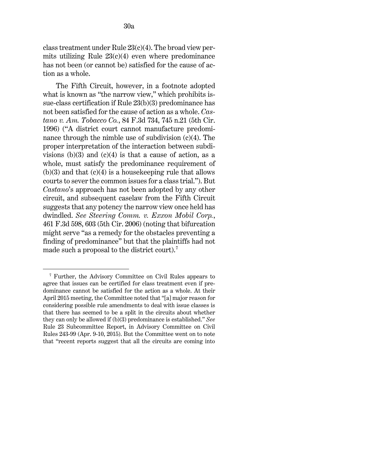class treatment under Rule  $23(c)(4)$ . The broad view permits utilizing Rule  $23(c)(4)$  even where predominance has not been (or cannot be) satisfied for the cause of action as a whole.

The Fifth Circuit, however, in a footnote adopted what is known as "the narrow view," which prohibits issue-class certification if [Rule 23\(b\)\(3\)](http://www.westlaw.com/Link/Document/FullText?findType=L&pubNum=1000600&cite=USFRCPR23&originatingDoc=I80f91ca01d6311ecb72ce2c86e84f35e&refType=LQ&originationContext=document&vr=3.0&rs=cblt1.0&transitionType=DocumentItem&contextData=(sc.UserEnteredCitation)) predominance has not been satisfied for the cause of action as a whole. *[Cas](http://www.westlaw.com/Link/Document/FullText?findType=Y&serNum=1996121367&pubNum=0000506&originatingDoc=I80f91ca01d6311ecb72ce2c86e84f35e&refType=RP&fi=co_pp_sp_506_745&originationContext=document&vr=3.0&rs=cblt1.0&transitionType=DocumentItem&contextData=(sc.UserEnteredCitation)#co_pp_sp_506_745)tano v. Am. Tobacco Co.*[, 84 F.3d 734, 745 n.21 \(5th Cir.](http://www.westlaw.com/Link/Document/FullText?findType=Y&serNum=1996121367&pubNum=0000506&originatingDoc=I80f91ca01d6311ecb72ce2c86e84f35e&refType=RP&fi=co_pp_sp_506_745&originationContext=document&vr=3.0&rs=cblt1.0&transitionType=DocumentItem&contextData=(sc.UserEnteredCitation)#co_pp_sp_506_745)  [1996\)](http://www.westlaw.com/Link/Document/FullText?findType=Y&serNum=1996121367&pubNum=0000506&originatingDoc=I80f91ca01d6311ecb72ce2c86e84f35e&refType=RP&fi=co_pp_sp_506_745&originationContext=document&vr=3.0&rs=cblt1.0&transitionType=DocumentItem&contextData=(sc.UserEnteredCitation)#co_pp_sp_506_745) ("A district court cannot manufacture predominance through the nimble use of subdivision (c)(4). The proper interpretation of the interaction between subdivisions (b)(3) and (c)(4) is that a cause of action, as a whole, must satisfy the predominance requirement of  $(b)(3)$  and that  $(c)(4)$  is a housekeeping rule that allows courts to sever the common issues for a class trial."). But *[Castano](http://www.westlaw.com/Link/Document/FullText?findType=Y&serNum=1996121367&pubNum=0000506&originatingDoc=I80f91ca01d6311ecb72ce2c86e84f35e&refType=RP&originationContext=document&vr=3.0&rs=cblt1.0&transitionType=DocumentItem&contextData=(sc.UserEnteredCitation))*'s approach has not been adopted by any other circuit, and subsequent caselaw from the Fifth Circuit suggests that any potency the narrow view once held has dwindled. *See [Steering Comm. v. Exxon Mobil Corp.](http://www.westlaw.com/Link/Document/FullText?findType=Y&serNum=2009751406&pubNum=0000506&originatingDoc=I80f91ca01d6311ecb72ce2c86e84f35e&refType=RP&fi=co_pp_sp_506_603&originationContext=document&vr=3.0&rs=cblt1.0&transitionType=DocumentItem&contextData=(sc.UserEnteredCitation)#co_pp_sp_506_603)*[,](http://www.westlaw.com/Link/Document/FullText?findType=Y&serNum=2009751406&pubNum=0000506&originatingDoc=I80f91ca01d6311ecb72ce2c86e84f35e&refType=RP&fi=co_pp_sp_506_603&originationContext=document&vr=3.0&rs=cblt1.0&transitionType=DocumentItem&contextData=(sc.UserEnteredCitation)#co_pp_sp_506_603)  [461 F.3d 598, 603 \(5th Cir. 2006\)](http://www.westlaw.com/Link/Document/FullText?findType=Y&serNum=2009751406&pubNum=0000506&originatingDoc=I80f91ca01d6311ecb72ce2c86e84f35e&refType=RP&fi=co_pp_sp_506_603&originationContext=document&vr=3.0&rs=cblt1.0&transitionType=DocumentItem&contextData=(sc.UserEnteredCitation)#co_pp_sp_506_603) (noting that bifurcation might serve "as a remedy for the obstacles preventing a finding of predominance" but that the plaintiffs had not made such a proposal to the district court).<sup>[7](#page-29-0)</sup>

<span id="page-29-0"></span><sup>7</sup> Further, the Advisory Committee on Civil Rules appears to agree that issues can be certified for class treatment even if predominance cannot be satisfied for the action as a whole. At their April 2015 meeting, the Committee noted that "[a] major reason for considering possible rule amendments to deal with issue classes is that there has seemed to be a split in the circuits about whether they can only be allowed if (b)(3) predominance is established." *See* [Rule 23](http://www.westlaw.com/Link/Document/FullText?findType=L&pubNum=1000600&cite=USFRCPR23&originatingDoc=I80f91ca01d6311ecb72ce2c86e84f35e&refType=LQ&originationContext=document&vr=3.0&rs=cblt1.0&transitionType=DocumentItem&contextData=(sc.UserEnteredCitation)) Subcommittee Report, in Advisory Committee on Civil Rules 243-99 (Apr. 9-10, 2015). But the Committee went on to note that "recent reports suggest that all the circuits are coming into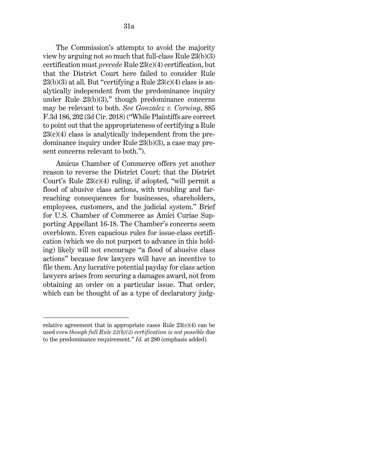The Commission's attempts to avoid the majority view by arguing not so much that full-class [Rule 23\(b\)\(3\)](http://www.westlaw.com/Link/Document/FullText?findType=L&pubNum=1000600&cite=USFRCPR23&originatingDoc=I80f91ca01d6311ecb72ce2c86e84f35e&refType=LQ&originationContext=document&vr=3.0&rs=cblt1.0&transitionType=DocumentItem&contextData=(sc.UserEnteredCitation)) certification must *precede* [Rule 23\(c\)\(4\)](http://www.westlaw.com/Link/Document/FullText?findType=L&pubNum=1000600&cite=USFRCPR23&originatingDoc=I80f91ca01d6311ecb72ce2c86e84f35e&refType=LQ&originationContext=document&vr=3.0&rs=cblt1.0&transitionType=DocumentItem&contextData=(sc.UserEnteredCitation)) certification, but that the District Court here failed to consider [Rule](http://www.westlaw.com/Link/Document/FullText?findType=L&pubNum=1000600&cite=USFRCPR23&originatingDoc=I80f91ca01d6311ecb72ce2c86e84f35e&refType=LQ&originationContext=document&vr=3.0&rs=cblt1.0&transitionType=DocumentItem&contextData=(sc.UserEnteredCitation))   $23(b)(3)$  at all. But "certifying a Rule  $23(c)(4)$  class is analytically independent from the predominance inquiry under Rule  $23(b)(3)$ ," though predominance concerns may be relevant to both. *See [Gonzalez v. Corning](http://www.westlaw.com/Link/Document/FullText?findType=Y&serNum=2044087782&pubNum=0000506&originatingDoc=I80f91ca01d6311ecb72ce2c86e84f35e&refType=RP&fi=co_pp_sp_506_202&originationContext=document&vr=3.0&rs=cblt1.0&transitionType=DocumentItem&contextData=(sc.UserEnteredCitation)#co_pp_sp_506_202)*[, 885](http://www.westlaw.com/Link/Document/FullText?findType=Y&serNum=2044087782&pubNum=0000506&originatingDoc=I80f91ca01d6311ecb72ce2c86e84f35e&refType=RP&fi=co_pp_sp_506_202&originationContext=document&vr=3.0&rs=cblt1.0&transitionType=DocumentItem&contextData=(sc.UserEnteredCitation)#co_pp_sp_506_202)  [F.3d 186, 202 \(3d Cir. 2018\)](http://www.westlaw.com/Link/Document/FullText?findType=Y&serNum=2044087782&pubNum=0000506&originatingDoc=I80f91ca01d6311ecb72ce2c86e84f35e&refType=RP&fi=co_pp_sp_506_202&originationContext=document&vr=3.0&rs=cblt1.0&transitionType=DocumentItem&contextData=(sc.UserEnteredCitation)#co_pp_sp_506_202) ("While Plaintiffs are correct to point out that the appropriateness of certifying a [Rule](http://www.westlaw.com/Link/Document/FullText?findType=L&pubNum=1000600&cite=USFRCPR23&originatingDoc=I80f91ca01d6311ecb72ce2c86e84f35e&refType=LQ&originationContext=document&vr=3.0&rs=cblt1.0&transitionType=DocumentItem&contextData=(sc.UserEnteredCitation))   $23(c)(4)$  class is analytically independent from the predominance inquiry under [Rule 23\(b\)\(3\),](http://www.westlaw.com/Link/Document/FullText?findType=L&pubNum=1000600&cite=USFRCPR23&originatingDoc=I80f91ca01d6311ecb72ce2c86e84f35e&refType=LQ&originationContext=document&vr=3.0&rs=cblt1.0&transitionType=DocumentItem&contextData=(sc.UserEnteredCitation)) a case may present concerns relevant to both.").

Amicus Chamber of Commerce offers yet another reason to reverse the District Court: that the District Court's [Rule 23\(c\)\(4\)](http://www.westlaw.com/Link/Document/FullText?findType=L&pubNum=1000600&cite=USFRCPR23&originatingDoc=I80f91ca01d6311ecb72ce2c86e84f35e&refType=LQ&originationContext=document&vr=3.0&rs=cblt1.0&transitionType=DocumentItem&contextData=(sc.UserEnteredCitation)) ruling, if adopted, "will permit a flood of abusive class actions, with troubling and farreaching consequences for businesses, shareholders, employees, customers, and the judicial system." Brief for U.S. Chamber of Commerce as Amici Curiae Supporting Appellant 16-18. The Chamber's concerns seem overblown. Even capacious rules for issue-class certification (which we do not purport to advance in this holding) likely will not encourage "a flood of abusive class actions" because few lawyers will have an incentive to file them. Any lucrative potential payday for class action lawyers arises from securing a damages award, not from obtaining an order on a particular issue. That order, which can be thought of as a type of declaratory judg-

relative agreement that in appropriate cases Rule  $23(c)(4)$  can be used *even though full [Rule 23\(b\)\(3\)](http://www.westlaw.com/Link/Document/FullText?findType=L&pubNum=1000600&cite=USFRCPR23&originatingDoc=I80f91ca01d6311ecb72ce2c86e84f35e&refType=LQ&originationContext=document&vr=3.0&rs=cblt1.0&transitionType=DocumentItem&contextData=(sc.UserEnteredCitation)) certification is not possible* due to the predominance requirement." *Id.* at 280 (emphasis added)*.*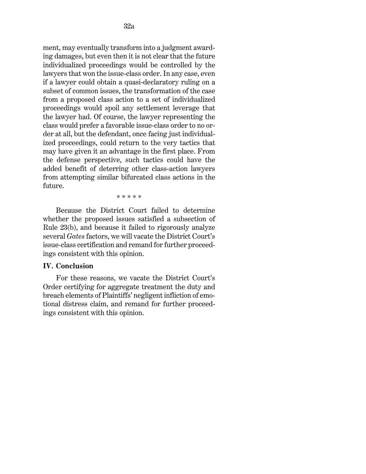ment, may eventually transform into a judgment awarding damages, but even then it is not clear that the future individualized proceedings would be controlled by the lawyers that won the issue-class order. In any case, even if a lawyer could obtain a quasi-declaratory ruling on a subset of common issues, the transformation of the case from a proposed class action to a set of individualized proceedings would spoil any settlement leverage that the lawyer had. Of course, the lawyer representing the class would prefer a favorable issue-class order to no order at all, but the defendant, once facing just individualized proceedings, could return to the very tactics that may have given it an advantage in the first place. From the defense perspective, such tactics could have the added benefit of deterring other class-action lawyers from attempting similar bifurcated class actions in the future.

\* \* \* \* \*

Because the District Court failed to determine whether the proposed issues satisfied a subsection of [Rule 23\(b\),](http://www.westlaw.com/Link/Document/FullText?findType=L&pubNum=1000600&cite=USFRCPR23&originatingDoc=I80f91ca01d6311ecb72ce2c86e84f35e&refType=LQ&originationContext=document&vr=3.0&rs=cblt1.0&transitionType=DocumentItem&contextData=(sc.UserEnteredCitation)) and because it failed to rigorously analyze several *[Gates](http://www.westlaw.com/Link/Document/FullText?findType=Y&serNum=2025930707&pubNum=0000506&originatingDoc=I80f91ca01d6311ecb72ce2c86e84f35e&refType=RP&originationContext=document&vr=3.0&rs=cblt1.0&transitionType=DocumentItem&contextData=(sc.UserEnteredCitation))* factors, we will vacate the District Court's issue-class certification and remand for further proceedings consistent with this opinion.

#### **IV. Conclusion**

For these reasons, we vacate the District Court's Order certifying for aggregate treatment the duty and breach elements of Plaintiffs' negligent infliction of emotional distress claim, and remand for further proceedings consistent with this opinion.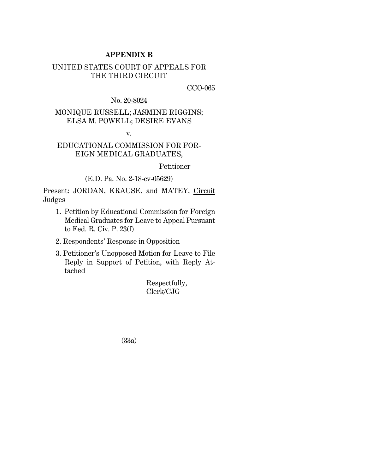## **APPENDIX B**

# UNITED STATES COURT OF APPEALS FOR THE THIRD CIRCUIT

CCO-065

No. 20-8024

# MONIQUE RUSSELL; JASMINE RIGGINS; ELSA M. POWELL; DESIRE EVANS

v.

# EDUCATIONAL COMMISSION FOR FOR-EIGN MEDICAL GRADUATES,

Petitioner

(E.D. Pa. No. 2-18-cv-05629)

Present: JORDAN, KRAUSE, and MATEY, Circuit **Judges** 

- 1. Petition by Educational Commission for Foreign Medical Graduates for Leave to Appeal Pursuant to Fed. R. Civ. P. 23(f)
- 2. Respondents' Response in Opposition
- 3. Petitioner's Unopposed Motion for Leave to File Reply in Support of Petition, with Reply Attached

Respectfully, Clerk/CJG

(33a)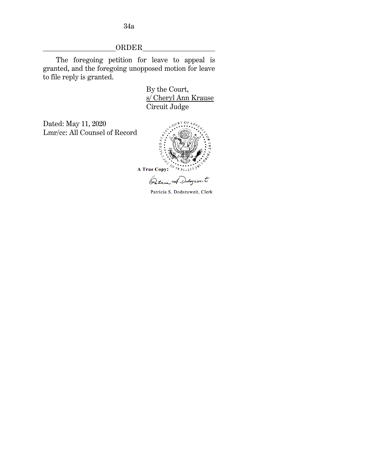ORDER

The foregoing petition for leave to appeal is granted, and the foregoing unopposed motion for leave to file reply is granted.

> By the Court, s/ Cheryl Ann Krause Circuit Judge

Dated: May 11, 2020 Lmr/cc: All Counsel of Record



Ostrica A Didaguare.t

Patricia S. Dodszuweit, Clerk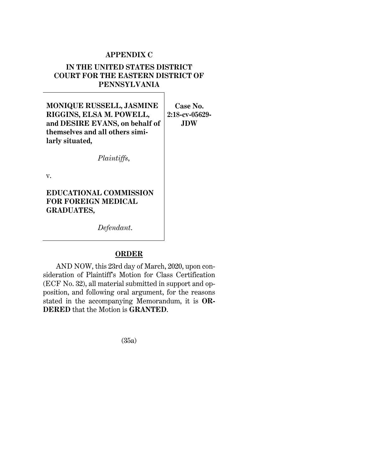# **APPENDIX C**

# **IN THE UNITED STATES DISTRICT COURT FOR THE EASTERN DISTRICT OF PENNSYLVANIA**

**MONIQUE RUSSELL, JASMINE RIGGINS, ELSA M. POWELL, and DESIRE EVANS, on behalf of themselves and all others similarly situated,**

**Case No. 2:18-cv-05629- JDW**

v.

**EDUCATIONAL COMMISSION FOR FOREIGN MEDICAL GRADUATES,**

*Defendant*.

*Plaintiffs*,

# **ORDER**

AND NOW, this 23rd day of March, 2020, upon consideration of Plaintiff's Motion for Class Certification (ECF No. 32), all material submitted in support and opposition, and following oral argument, for the reasons stated in the accompanying Memorandum, it is **OR-DERED** that the Motion is **GRANTED**.

(35a)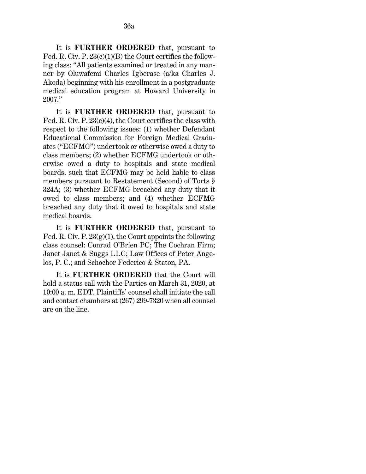It is **FURTHER ORDERED** that, pursuant to Fed. R. Civ. P. 23(c)(1)(B) the Court certifies the following class: "All patients examined or treated in any manner by Oluwafemi Charles Igberase (a/ka Charles J. Akoda) beginning with his enrollment in a postgraduate medical education program at Howard University in 2007."

It is **FURTHER ORDERED** that, pursuant to Fed. R. Civ. P. 23(c)(4), the Court certifies the class with respect to the following issues: (1) whether Defendant Educational Commission for Foreign Medical Graduates ("ECFMG") undertook or otherwise owed a duty to class members; (2) whether ECFMG undertook or otherwise owed a duty to hospitals and state medical boards, such that ECFMG may be held liable to class members pursuant to Restatement (Second) of Torts § 324A; (3) whether ECFMG breached any duty that it owed to class members; and (4) whether ECFMG breached any duty that it owed to hospitals and state medical boards.

It is **FURTHER ORDERED** that, pursuant to Fed. R. Civ. P.  $23(g)(1)$ , the Court appoints the following class counsel: Conrad O'Brien PC; The Cochran Firm; Janet Janet & Suggs LLC; Law Offices of Peter Angelos, P. C.; and Schochor Federico & Staton, PA.

It is **FURTHER ORDERED** that the Court will hold a status call with the Parties on March 31, 2020, at 10:00 a. m. EDT. Plaintiffs' counsel shall initiate the call and contact chambers at (267) 299-7320 when all counsel are on the line.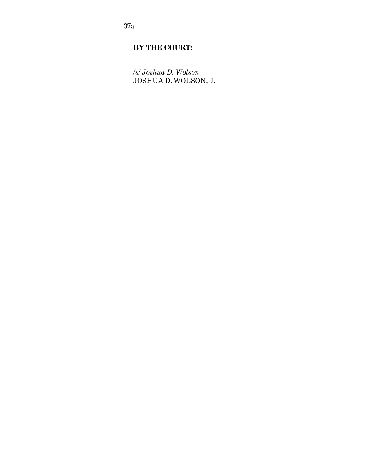37a

# **BY THE COURT:**

*/s/ Joshua D. Wolson* <u>/s/ Joshua D. Wolson</u><br>JOSHUA D. WOLSON, J.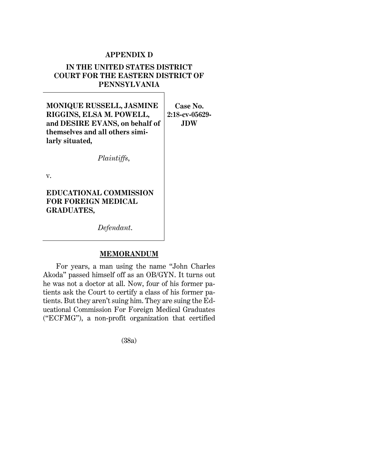## **APPENDIX D**

# **IN THE UNITED STATES DISTRICT COURT FOR THE EASTERN DISTRICT OF PENNSYLVANIA**

**MONIQUE RUSSELL, JASMINE RIGGINS, ELSA M. POWELL, and DESIRE EVANS, on behalf of themselves and all others similarly situated,**

**Case No. 2:18-cv-05629- JDW**

v.

**EDUCATIONAL COMMISSION FOR FOREIGN MEDICAL GRADUATES,**

*Defendant*.

*Plaintiffs*,

## **MEMORANDUM**

For years, a man using the name "John Charles Akoda" passed himself off as an OB/GYN. It turns out he was not a doctor at all. Now, four of his former patients ask the Court to certify a class of his former patients. But they aren't suing him. They are suing the Educational Commission For Foreign Medical Graduates ("ECFMG"), a non-profit organization that certified

(38a)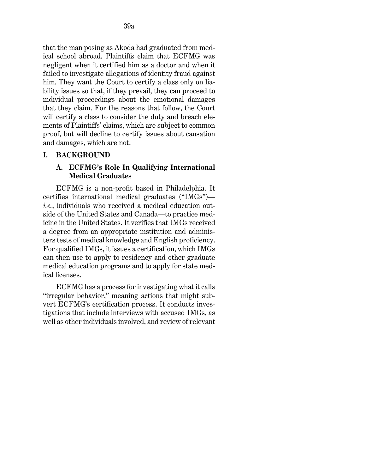that the man posing as Akoda had graduated from medical school abroad. Plaintiffs claim that ECFMG was negligent when it certified him as a doctor and when it failed to investigate allegations of identity fraud against him. They want the Court to certify a class only on liability issues so that, if they prevail, they can proceed to individual proceedings about the emotional damages that they claim. For the reasons that follow, the Court will certify a class to consider the duty and breach elements of Plaintiffs' claims, which are subject to common proof, but will decline to certify issues about causation and damages, which are not.

## **I. BACKGROUND**

## **A. ECFMG's Role In Qualifying International Medical Graduates**

ECFMG is a non-profit based in Philadelphia. It certifies international medical graduates ("IMGs") *i.e.*, individuals who received a medical education outside of the United States and Canada—to practice medicine in the United States. It verifies that IMGs received a degree from an appropriate institution and administers tests of medical knowledge and English proficiency. For qualified IMGs, it issues a certification, which IMGs can then use to apply to residency and other graduate medical education programs and to apply for state medical licenses.

ECFMG has a process for investigating what it calls "irregular behavior," meaning actions that might subvert ECFMG's certification process. It conducts investigations that include interviews with accused IMGs, as well as other individuals involved, and review of relevant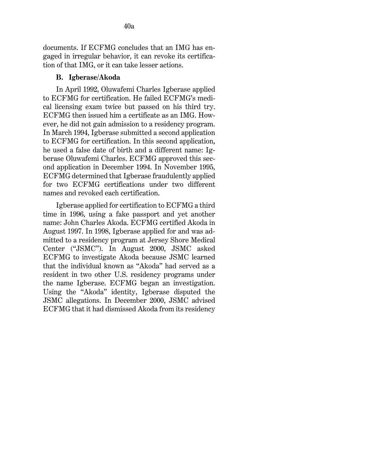documents. If ECFMG concludes that an IMG has engaged in irregular behavior, it can revoke its certification of that IMG, or it can take lesser actions.

#### **B. Igberase/Akoda**

In April 1992, Oluwafemi Charles Igberase applied to ECFMG for certification. He failed ECFMG's medical licensing exam twice but passed on his third try. ECFMG then issued him a certificate as an IMG. However, he did not gain admission to a residency program. In March 1994, Igberase submitted a second application to ECFMG for certification. In this second application, he used a false date of birth and a different name: Igberase Oluwafemi Charles. ECFMG approved this second application in December 1994. In November 1995, ECFMG determined that Igberase fraudulently applied for two ECFMG certifications under two different names and revoked each certification.

Igberase applied for certification to ECFMG a third time in 1996, using a fake passport and yet another name: John Charles Akoda. ECFMG certified Akoda in August 1997. In 1998, Igberase applied for and was admitted to a residency program at Jersey Shore Medical Center ("JSMC"). In August 2000, JSMC asked ECFMG to investigate Akoda because JSMC learned that the individual known as "Akoda" had served as a resident in two other U.S. residency programs under the name Igberase. ECFMG began an investigation. Using the "Akoda" identity, Igberase disputed the JSMC allegations. In December 2000, JSMC advised ECFMG that it had dismissed Akoda from its residency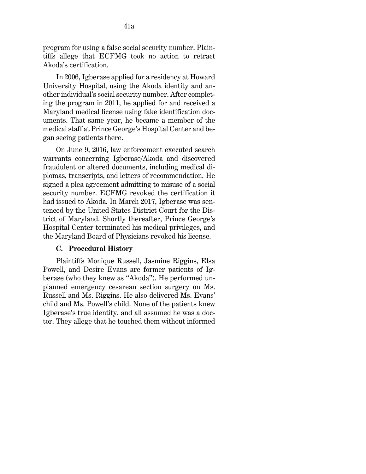program for using a false social security number. Plaintiffs allege that ECFMG took no action to retract Akoda's certification.

41a

In 2006, Igberase applied for a residency at Howard University Hospital, using the Akoda identity and another individual's social security number. After completing the program in 2011, he applied for and received a Maryland medical license using fake identification documents. That same year, he became a member of the medical staff at Prince George's Hospital Center and began seeing patients there.

On June 9, 2016, law enforcement executed search warrants concerning Igberase/Akoda and discovered fraudulent or altered documents, including medical diplomas, transcripts, and letters of recommendation. He signed a plea agreement admitting to misuse of a social security number. ECFMG revoked the certification it had issued to Akoda. In March 2017, Igberase was sentenced by the United States District Court for the District of Maryland. Shortly thereafter, Prince George's Hospital Center terminated his medical privileges, and the Maryland Board of Physicians revoked his license.

# **C. Procedural History**

Plaintiffs Monique Russell, Jasmine Riggins, Elsa Powell, and Desire Evans are former patients of Igberase (who they knew as "Akoda"). He performed unplanned [emergency cesarean section](http://www.westlaw.com/Link/Document/FullText?entityType=mproc&entityId=Iad9f6161475411db9765f9243f53508a&originationContext=document&transitionType=DocumentItem&contextData=(sc.Default)&vr=3.0&rs=cblt1.0) surgery on Ms. Russell and Ms. Riggins. He also delivered Ms. Evans' child and Ms. Powell's child. None of the patients knew Igberase's true identity, and all assumed he was a doctor. They allege that he touched them without informed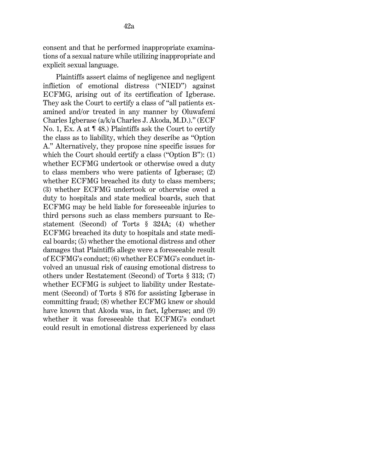consent and that he performed inappropriate examinations of a sexual nature while utilizing inappropriate and explicit sexual language.

Plaintiffs assert claims of negligence and negligent infliction of emotional distress ("NIED") against ECFMG, arising out of its certification of Igberase. They ask the Court to certify a class of "all patients examined and/or treated in any manner by Oluwafemi Charles Igberase (a/k/a Charles J. Akoda, M.D.)." (ECF No. 1, Ex. A at ¶ 48.) Plaintiffs ask the Court to certify the class as to liability, which they describe as "Option A." Alternatively, they propose nine specific issues for which the Court should certify a class ("Option B"): (1) whether ECFMG undertook or otherwise owed a duty to class members who were patients of Igberase; (2) whether ECFMG breached its duty to class members; (3) whether ECFMG undertook or otherwise owed a duty to hospitals and state medical boards, such that ECFMG may be held liable for foreseeable injuries to third persons such as class members pursuant to [Re](http://www.westlaw.com/Link/Document/FullText?findType=Y&serNum=0290694067&pubNum=0101577&originatingDoc=I411069c06d9911ea94c1fd79e5bc9f66&refType=TS&originationContext=document&vr=3.0&rs=cblt1.0&transitionType=DocumentItem&contextData=(sc.UserEnteredCitation))[statement \(Second\) of Torts § 324A;](http://www.westlaw.com/Link/Document/FullText?findType=Y&serNum=0290694067&pubNum=0101577&originatingDoc=I411069c06d9911ea94c1fd79e5bc9f66&refType=TS&originationContext=document&vr=3.0&rs=cblt1.0&transitionType=DocumentItem&contextData=(sc.UserEnteredCitation)) (4) whether ECFMG breached its duty to hospitals and state medical boards; (5) whether the emotional distress and other damages that Plaintiffs allege were a foreseeable result of ECFMG's conduct; (6) whether ECFMG's conduct involved an unusual risk of causing emotional distress to others under [Restatement \(Second\) of Torts § 313;](http://www.westlaw.com/Link/Document/FullText?findType=Y&serNum=0290694049&pubNum=0101577&originatingDoc=I411069c06d9911ea94c1fd79e5bc9f66&refType=TS&originationContext=document&vr=3.0&rs=cblt1.0&transitionType=DocumentItem&contextData=(sc.UserEnteredCitation)) (7) whether ECFMG is subject to liability under [Restate](http://www.westlaw.com/Link/Document/FullText?findType=Y&serNum=0290694796&pubNum=0101577&originatingDoc=I411069c06d9911ea94c1fd79e5bc9f66&refType=TS&originationContext=document&vr=3.0&rs=cblt1.0&transitionType=DocumentItem&contextData=(sc.UserEnteredCitation))[ment \(Second\) of Torts § 876](http://www.westlaw.com/Link/Document/FullText?findType=Y&serNum=0290694796&pubNum=0101577&originatingDoc=I411069c06d9911ea94c1fd79e5bc9f66&refType=TS&originationContext=document&vr=3.0&rs=cblt1.0&transitionType=DocumentItem&contextData=(sc.UserEnteredCitation)) for assisting Igberase in committing fraud; (8) whether ECFMG knew or should have known that Akoda was, in fact, Igberase; and (9) whether it was foreseeable that ECFMG's conduct could result in emotional distress experienced by class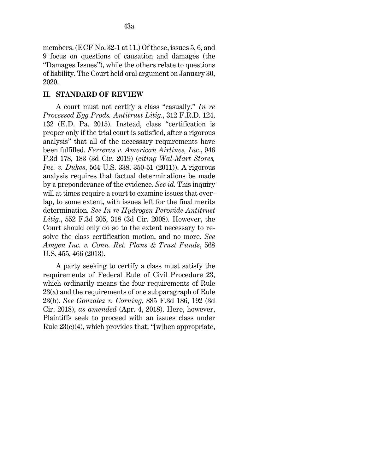members. (ECF No. 32-1 at 11.) Of these, issues 5, 6, and 9 focus on questions of causation and damages (the "Damages Issues"), while the others relate to questions of liability. The Court held oral argument on January 30, 2020.

## **II. STANDARD OF REVIEW**

A court must not certify a class "casually." *[In re](http://www.westlaw.com/Link/Document/FullText?findType=Y&serNum=2037571309&pubNum=0000344&originatingDoc=I411069c06d9911ea94c1fd79e5bc9f66&refType=RP&fi=co_pp_sp_344_132&originationContext=document&vr=3.0&rs=cblt1.0&transitionType=DocumentItem&contextData=(sc.UserEnteredCitation)#co_pp_sp_344_132)  [Processed Egg Prods. Antitrust Litig.](http://www.westlaw.com/Link/Document/FullText?findType=Y&serNum=2037571309&pubNum=0000344&originatingDoc=I411069c06d9911ea94c1fd79e5bc9f66&refType=RP&fi=co_pp_sp_344_132&originationContext=document&vr=3.0&rs=cblt1.0&transitionType=DocumentItem&contextData=(sc.UserEnteredCitation)#co_pp_sp_344_132)*, 312 F.R.D. 124, [132 \(E.D. Pa. 2015\).](http://www.westlaw.com/Link/Document/FullText?findType=Y&serNum=2037571309&pubNum=0000344&originatingDoc=I411069c06d9911ea94c1fd79e5bc9f66&refType=RP&fi=co_pp_sp_344_132&originationContext=document&vr=3.0&rs=cblt1.0&transitionType=DocumentItem&contextData=(sc.UserEnteredCitation)#co_pp_sp_344_132) Instead, class "certification is proper only if the trial court is satisfied, after a rigorous analysis" that all of the necessary requirements have been fulfilled. *[Ferreras v. American Airlines, Inc.](http://www.westlaw.com/Link/Document/FullText?findType=Y&serNum=2049912803&pubNum=0000506&originatingDoc=I411069c06d9911ea94c1fd79e5bc9f66&refType=RP&fi=co_pp_sp_506_183&originationContext=document&vr=3.0&rs=cblt1.0&transitionType=DocumentItem&contextData=(sc.UserEnteredCitation)#co_pp_sp_506_183)*[, 946](http://www.westlaw.com/Link/Document/FullText?findType=Y&serNum=2049912803&pubNum=0000506&originatingDoc=I411069c06d9911ea94c1fd79e5bc9f66&refType=RP&fi=co_pp_sp_506_183&originationContext=document&vr=3.0&rs=cblt1.0&transitionType=DocumentItem&contextData=(sc.UserEnteredCitation)#co_pp_sp_506_183)  [F.3d 178, 183 \(3d Cir. 2019\)](http://www.westlaw.com/Link/Document/FullText?findType=Y&serNum=2049912803&pubNum=0000506&originatingDoc=I411069c06d9911ea94c1fd79e5bc9f66&refType=RP&fi=co_pp_sp_506_183&originationContext=document&vr=3.0&rs=cblt1.0&transitionType=DocumentItem&contextData=(sc.UserEnteredCitation)#co_pp_sp_506_183) (*citing [Wal-Mart Stores,](http://www.westlaw.com/Link/Document/FullText?findType=Y&serNum=2025520221&pubNum=0000780&originatingDoc=I411069c06d9911ea94c1fd79e5bc9f66&refType=RP&fi=co_pp_sp_780_350&originationContext=document&vr=3.0&rs=cblt1.0&transitionType=DocumentItem&contextData=(sc.UserEnteredCitation)#co_pp_sp_780_350)  Inc. v. Dukes*[, 564 U.S. 338, 350-51 \(2011\)\)](http://www.westlaw.com/Link/Document/FullText?findType=Y&serNum=2025520221&pubNum=0000780&originatingDoc=I411069c06d9911ea94c1fd79e5bc9f66&refType=RP&fi=co_pp_sp_780_350&originationContext=document&vr=3.0&rs=cblt1.0&transitionType=DocumentItem&contextData=(sc.UserEnteredCitation)#co_pp_sp_780_350). A rigorous analysis requires that factual determinations be made by a preponderance of the evidence. *See id.* This inquiry will at times require a court to examine issues that overlap, to some extent, with issues left for the final merits determination. *See [In re Hydrogen Peroxide Antitrust](http://www.westlaw.com/Link/Document/FullText?findType=Y&serNum=2017791597&pubNum=0000506&originatingDoc=I411069c06d9911ea94c1fd79e5bc9f66&refType=RP&fi=co_pp_sp_506_318&originationContext=document&vr=3.0&rs=cblt1.0&transitionType=DocumentItem&contextData=(sc.UserEnteredCitation)#co_pp_sp_506_318)  [Litig.](http://www.westlaw.com/Link/Document/FullText?findType=Y&serNum=2017791597&pubNum=0000506&originatingDoc=I411069c06d9911ea94c1fd79e5bc9f66&refType=RP&fi=co_pp_sp_506_318&originationContext=document&vr=3.0&rs=cblt1.0&transitionType=DocumentItem&contextData=(sc.UserEnteredCitation)#co_pp_sp_506_318)*[, 552 F.3d 305, 318 \(3d Cir. 2008\).](http://www.westlaw.com/Link/Document/FullText?findType=Y&serNum=2017791597&pubNum=0000506&originatingDoc=I411069c06d9911ea94c1fd79e5bc9f66&refType=RP&fi=co_pp_sp_506_318&originationContext=document&vr=3.0&rs=cblt1.0&transitionType=DocumentItem&contextData=(sc.UserEnteredCitation)#co_pp_sp_506_318) However, the Court should only do so to the extent necessary to resolve the class certification motion, and no more. *See [Amgen Inc. v. Conn. Ret. Plans & Trust Funds](http://www.westlaw.com/Link/Document/FullText?findType=Y&serNum=2029946479&pubNum=0000780&originatingDoc=I411069c06d9911ea94c1fd79e5bc9f66&refType=RP&fi=co_pp_sp_780_466&originationContext=document&vr=3.0&rs=cblt1.0&transitionType=DocumentItem&contextData=(sc.UserEnteredCitation)#co_pp_sp_780_466)*[, 568](http://www.westlaw.com/Link/Document/FullText?findType=Y&serNum=2029946479&pubNum=0000780&originatingDoc=I411069c06d9911ea94c1fd79e5bc9f66&refType=RP&fi=co_pp_sp_780_466&originationContext=document&vr=3.0&rs=cblt1.0&transitionType=DocumentItem&contextData=(sc.UserEnteredCitation)#co_pp_sp_780_466)  [U.S. 455, 466 \(2013\).](http://www.westlaw.com/Link/Document/FullText?findType=Y&serNum=2029946479&pubNum=0000780&originatingDoc=I411069c06d9911ea94c1fd79e5bc9f66&refType=RP&fi=co_pp_sp_780_466&originationContext=document&vr=3.0&rs=cblt1.0&transitionType=DocumentItem&contextData=(sc.UserEnteredCitation)#co_pp_sp_780_466)

A party seeking to certify a class must satisfy the requirements of [Federal Rule of Civil Procedure 23,](http://www.westlaw.com/Link/Document/FullText?findType=L&pubNum=1000600&cite=USFRCPR23&originatingDoc=I411069c06d9911ea94c1fd79e5bc9f66&refType=LQ&originationContext=document&vr=3.0&rs=cblt1.0&transitionType=DocumentItem&contextData=(sc.UserEnteredCitation)) which ordinarily means the four requirements of [Rule](http://www.westlaw.com/Link/Document/FullText?findType=L&pubNum=1000600&cite=USFRCPR23&originatingDoc=I411069c06d9911ea94c1fd79e5bc9f66&refType=LQ&originationContext=document&vr=3.0&rs=cblt1.0&transitionType=DocumentItem&contextData=(sc.UserEnteredCitation))  [23\(a\)](http://www.westlaw.com/Link/Document/FullText?findType=L&pubNum=1000600&cite=USFRCPR23&originatingDoc=I411069c06d9911ea94c1fd79e5bc9f66&refType=LQ&originationContext=document&vr=3.0&rs=cblt1.0&transitionType=DocumentItem&contextData=(sc.UserEnteredCitation)) and the requirements of one subparagraph of [Rule](http://www.westlaw.com/Link/Document/FullText?findType=L&pubNum=1000600&cite=USFRCPR23&originatingDoc=I411069c06d9911ea94c1fd79e5bc9f66&refType=LQ&originationContext=document&vr=3.0&rs=cblt1.0&transitionType=DocumentItem&contextData=(sc.UserEnteredCitation))  [23\(b\).](http://www.westlaw.com/Link/Document/FullText?findType=L&pubNum=1000600&cite=USFRCPR23&originatingDoc=I411069c06d9911ea94c1fd79e5bc9f66&refType=LQ&originationContext=document&vr=3.0&rs=cblt1.0&transitionType=DocumentItem&contextData=(sc.UserEnteredCitation)) *See Gonzalez v. Corning*[, 885 F.3d 186, 192 \(3d](http://www.westlaw.com/Link/Document/FullText?findType=Y&serNum=2044087782&pubNum=0000506&originatingDoc=I411069c06d9911ea94c1fd79e5bc9f66&refType=RP&fi=co_pp_sp_506_192&originationContext=document&vr=3.0&rs=cblt1.0&transitionType=DocumentItem&contextData=(sc.UserEnteredCitation)#co_pp_sp_506_192)  [Cir. 2018\),](http://www.westlaw.com/Link/Document/FullText?findType=Y&serNum=2044087782&pubNum=0000506&originatingDoc=I411069c06d9911ea94c1fd79e5bc9f66&refType=RP&fi=co_pp_sp_506_192&originationContext=document&vr=3.0&rs=cblt1.0&transitionType=DocumentItem&contextData=(sc.UserEnteredCitation)#co_pp_sp_506_192) *as amended* (Apr. 4, 2018). Here, however, Plaintiffs seek to proceed with an issues class under Rule  $23(c)(4)$ , which provides that, "[w]hen appropriate,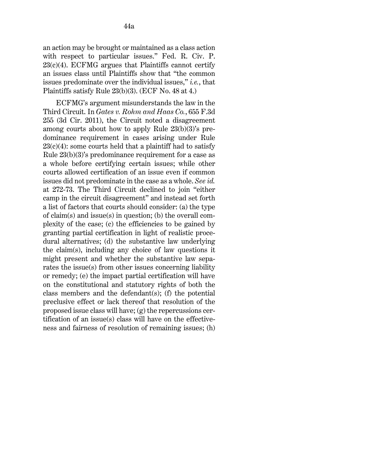an action may be brought or maintained as a class action with respect to particular issues." [Fed. R. Civ. P.](http://www.westlaw.com/Link/Document/FullText?findType=L&pubNum=1000600&cite=USFRCPR23&originatingDoc=I411069c06d9911ea94c1fd79e5bc9f66&refType=LQ&originationContext=document&vr=3.0&rs=cblt1.0&transitionType=DocumentItem&contextData=(sc.UserEnteredCitation))   $23(c)(4)$ . ECFMG argues that Plaintiffs cannot certify an issues class until Plaintiffs show that "the common issues predominate over the individual issues," *i.e.*, that Plaintiffs satisfy [Rule 23\(b\)\(3\).](http://www.westlaw.com/Link/Document/FullText?findType=L&pubNum=1000600&cite=USFRCPR23&originatingDoc=I411069c06d9911ea94c1fd79e5bc9f66&refType=LQ&originationContext=document&vr=3.0&rs=cblt1.0&transitionType=DocumentItem&contextData=(sc.UserEnteredCitation)) (ECF No. 48 at 4.)

ECFMG's argument misunderstands the law in the Third Circuit. In *[Gates v. Rohm and Haas Co.](http://www.westlaw.com/Link/Document/FullText?findType=Y&serNum=2025930707&pubNum=0000506&originatingDoc=I411069c06d9911ea94c1fd79e5bc9f66&refType=RP&originationContext=document&vr=3.0&rs=cblt1.0&transitionType=DocumentItem&contextData=(sc.UserEnteredCitation))*[, 655 F.3d](http://www.westlaw.com/Link/Document/FullText?findType=Y&serNum=2025930707&pubNum=0000506&originatingDoc=I411069c06d9911ea94c1fd79e5bc9f66&refType=RP&originationContext=document&vr=3.0&rs=cblt1.0&transitionType=DocumentItem&contextData=(sc.UserEnteredCitation))  [255 \(3d Cir. 2011\),](http://www.westlaw.com/Link/Document/FullText?findType=Y&serNum=2025930707&pubNum=0000506&originatingDoc=I411069c06d9911ea94c1fd79e5bc9f66&refType=RP&originationContext=document&vr=3.0&rs=cblt1.0&transitionType=DocumentItem&contextData=(sc.UserEnteredCitation)) the Circuit noted a disagreement among courts about how to apply [Rule 23\(b\)\(3\)'](http://www.westlaw.com/Link/Document/FullText?findType=L&pubNum=1000600&cite=USFRCPR23&originatingDoc=I411069c06d9911ea94c1fd79e5bc9f66&refType=LQ&originationContext=document&vr=3.0&rs=cblt1.0&transitionType=DocumentItem&contextData=(sc.UserEnteredCitation))s predominance requirement in cases arising under [Rule](http://www.westlaw.com/Link/Document/FullText?findType=L&pubNum=1000600&cite=USFRCPR23&originatingDoc=I411069c06d9911ea94c1fd79e5bc9f66&refType=LQ&originationContext=document&vr=3.0&rs=cblt1.0&transitionType=DocumentItem&contextData=(sc.UserEnteredCitation))   $23(c)(4)$ : some courts held that a plaintiff had to satisfy [Rule 23\(b\)\(3\)'](http://www.westlaw.com/Link/Document/FullText?findType=L&pubNum=1000600&cite=USFRCPR23&originatingDoc=I411069c06d9911ea94c1fd79e5bc9f66&refType=LQ&originationContext=document&vr=3.0&rs=cblt1.0&transitionType=DocumentItem&contextData=(sc.UserEnteredCitation))s predominance requirement for a case as a whole before certifying certain issues; while other courts allowed certification of an issue even if common issues did not predominate in the case as a whole. *See [id.](http://www.westlaw.com/Link/Document/FullText?findType=Y&serNum=2025930707&pubNum=0000506&originatingDoc=I411069c06d9911ea94c1fd79e5bc9f66&refType=RP&fi=co_pp_sp_506_272&originationContext=document&vr=3.0&rs=cblt1.0&transitionType=DocumentItem&contextData=(sc.UserEnteredCitation)#co_pp_sp_506_272)* [at 272-73.](http://www.westlaw.com/Link/Document/FullText?findType=Y&serNum=2025930707&pubNum=0000506&originatingDoc=I411069c06d9911ea94c1fd79e5bc9f66&refType=RP&fi=co_pp_sp_506_272&originationContext=document&vr=3.0&rs=cblt1.0&transitionType=DocumentItem&contextData=(sc.UserEnteredCitation)#co_pp_sp_506_272) The Third Circuit declined to join "either camp in the circuit disagreement" and instead set forth a list of factors that courts should consider: (a) the type of claim(s) and issue(s) in question; (b) the overall complexity of the case; (c) the efficiencies to be gained by granting partial certification in light of realistic procedural alternatives; (d) the substantive law underlying the claim(s), including any choice of law questions it might present and whether the substantive law separates the issue(s) from other issues concerning liability or remedy; (e) the impact partial certification will have on the constitutional and statutory rights of both the class members and the defendant(s); (f) the potential preclusive effect or lack thereof that resolution of the proposed issue class will have; (g) the repercussions certification of an issue(s) class will have on the effectiveness and fairness of resolution of remaining issues; (h)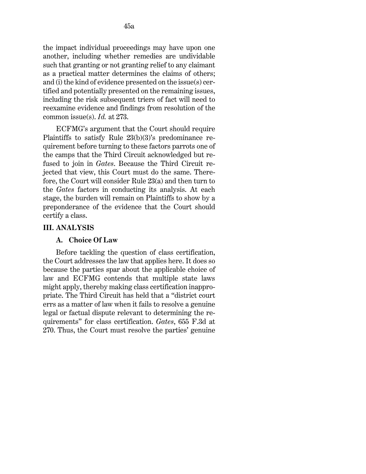the impact individual proceedings may have upon one another, including whether remedies are undividable such that granting or not granting relief to any claimant as a practical matter determines the claims of others; and (i) the kind of evidence presented on the issue(s) certified and potentially presented on the remaining issues, including the risk subsequent triers of fact will need to reexamine evidence and findings from resolution of the

ECFMG's argument that the Court should require Plaintiffs to satisfy [Rule 23\(b\)\(3\)'](http://www.westlaw.com/Link/Document/FullText?findType=L&pubNum=1000600&cite=USFRCPR23&originatingDoc=I411069c06d9911ea94c1fd79e5bc9f66&refType=LQ&originationContext=document&vr=3.0&rs=cblt1.0&transitionType=DocumentItem&contextData=(sc.UserEnteredCitation))s predominance requirement before turning to these factors parrots one of the camps that the Third Circuit acknowledged but refused to join in *Gates*. Because the Third Circuit rejected that view, this Court must do the same. Therefore, the Court will consider [Rule 23\(a\)](http://www.westlaw.com/Link/Document/FullText?findType=L&pubNum=1000600&cite=USFRCPR23&originatingDoc=I411069c06d9911ea94c1fd79e5bc9f66&refType=LQ&originationContext=document&vr=3.0&rs=cblt1.0&transitionType=DocumentItem&contextData=(sc.UserEnteredCitation)) and then turn to the *Gates* factors in conducting its analysis. At each stage, the burden will remain on Plaintiffs to show by a preponderance of the evidence that the Court should certify a class.

#### **III. ANALYSIS**

#### **A. Choice Of Law**

common issue(s). *[Id.](http://www.westlaw.com/Link/Document/FullText?findType=Y&serNum=2025930707&pubNum=0000506&originatingDoc=I411069c06d9911ea94c1fd79e5bc9f66&refType=RP&fi=co_pp_sp_506_273&originationContext=document&vr=3.0&rs=cblt1.0&transitionType=DocumentItem&contextData=(sc.UserEnteredCitation)#co_pp_sp_506_273)* [at 273.](http://www.westlaw.com/Link/Document/FullText?findType=Y&serNum=2025930707&pubNum=0000506&originatingDoc=I411069c06d9911ea94c1fd79e5bc9f66&refType=RP&fi=co_pp_sp_506_273&originationContext=document&vr=3.0&rs=cblt1.0&transitionType=DocumentItem&contextData=(sc.UserEnteredCitation)#co_pp_sp_506_273)

Before tackling the question of class certification, the Court addresses the law that applies here. It does so because the parties spar about the applicable choice of law and ECFMG contends that multiple state laws might apply, thereby making class certification inappropriate. The Third Circuit has held that a "district court errs as a matter of law when it fails to resolve a genuine legal or factual dispute relevant to determining the requirements" for class certification. *Gates*[, 655 F.3d at](http://www.westlaw.com/Link/Document/FullText?findType=Y&serNum=2025930707&pubNum=0000506&originatingDoc=I411069c06d9911ea94c1fd79e5bc9f66&refType=RP&fi=co_pp_sp_506_270&originationContext=document&vr=3.0&rs=cblt1.0&transitionType=DocumentItem&contextData=(sc.UserEnteredCitation)#co_pp_sp_506_270)  [270.](http://www.westlaw.com/Link/Document/FullText?findType=Y&serNum=2025930707&pubNum=0000506&originatingDoc=I411069c06d9911ea94c1fd79e5bc9f66&refType=RP&fi=co_pp_sp_506_270&originationContext=document&vr=3.0&rs=cblt1.0&transitionType=DocumentItem&contextData=(sc.UserEnteredCitation)#co_pp_sp_506_270) Thus, the Court must resolve the parties' genuine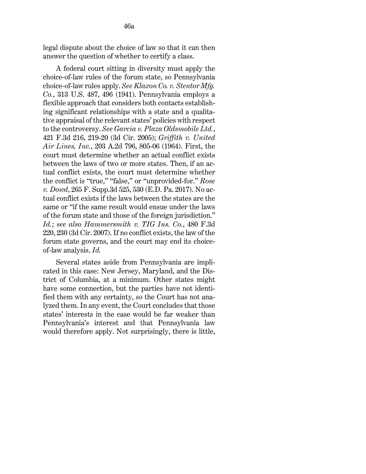legal dispute about the choice of law so that it can then answer the question of whether to certify a class.

A federal court sitting in diversity must apply the choice-of-law rules of the forum state, so Pennsylvania choice-of-law rules apply. *See [Klaxon Co. v. Stentor Mfg.](http://www.westlaw.com/Link/Document/FullText?findType=Y&serNum=1941124504&pubNum=0000780&originatingDoc=I411069c06d9911ea94c1fd79e5bc9f66&refType=RP&fi=co_pp_sp_780_496&originationContext=document&vr=3.0&rs=cblt1.0&transitionType=DocumentItem&contextData=(sc.UserEnteredCitation)#co_pp_sp_780_496)  [Co.](http://www.westlaw.com/Link/Document/FullText?findType=Y&serNum=1941124504&pubNum=0000780&originatingDoc=I411069c06d9911ea94c1fd79e5bc9f66&refType=RP&fi=co_pp_sp_780_496&originationContext=document&vr=3.0&rs=cblt1.0&transitionType=DocumentItem&contextData=(sc.UserEnteredCitation)#co_pp_sp_780_496)*[, 313 U.S. 487, 496 \(1941\).](http://www.westlaw.com/Link/Document/FullText?findType=Y&serNum=1941124504&pubNum=0000780&originatingDoc=I411069c06d9911ea94c1fd79e5bc9f66&refType=RP&fi=co_pp_sp_780_496&originationContext=document&vr=3.0&rs=cblt1.0&transitionType=DocumentItem&contextData=(sc.UserEnteredCitation)#co_pp_sp_780_496) Pennsylvania employs a flexible approach that considers both contacts establishing significant relationships with a state and a qualitative appraisal of the relevant states' policies with respect to the controversy. *See [Garcia v. Plaza Oldsmobile Ltd.](http://www.westlaw.com/Link/Document/FullText?findType=Y&serNum=2007229535&pubNum=0000506&originatingDoc=I411069c06d9911ea94c1fd79e5bc9f66&refType=RP&fi=co_pp_sp_506_219&originationContext=document&vr=3.0&rs=cblt1.0&transitionType=DocumentItem&contextData=(sc.UserEnteredCitation)#co_pp_sp_506_219)*[,](http://www.westlaw.com/Link/Document/FullText?findType=Y&serNum=2007229535&pubNum=0000506&originatingDoc=I411069c06d9911ea94c1fd79e5bc9f66&refType=RP&fi=co_pp_sp_506_219&originationContext=document&vr=3.0&rs=cblt1.0&transitionType=DocumentItem&contextData=(sc.UserEnteredCitation)#co_pp_sp_506_219)  [421 F.3d 216, 219-20 \(3d Cir. 2005\);](http://www.westlaw.com/Link/Document/FullText?findType=Y&serNum=2007229535&pubNum=0000506&originatingDoc=I411069c06d9911ea94c1fd79e5bc9f66&refType=RP&fi=co_pp_sp_506_219&originationContext=document&vr=3.0&rs=cblt1.0&transitionType=DocumentItem&contextData=(sc.UserEnteredCitation)#co_pp_sp_506_219) *[Griffith v. United](http://www.westlaw.com/Link/Document/FullText?findType=Y&serNum=1964108466&pubNum=0000162&originatingDoc=I411069c06d9911ea94c1fd79e5bc9f66&refType=RP&fi=co_pp_sp_162_805&originationContext=document&vr=3.0&rs=cblt1.0&transitionType=DocumentItem&contextData=(sc.UserEnteredCitation)#co_pp_sp_162_805)  Air Lines, Inc.*[, 203 A.2d 796, 805-06 \(1964\).](http://www.westlaw.com/Link/Document/FullText?findType=Y&serNum=1964108466&pubNum=0000162&originatingDoc=I411069c06d9911ea94c1fd79e5bc9f66&refType=RP&fi=co_pp_sp_162_805&originationContext=document&vr=3.0&rs=cblt1.0&transitionType=DocumentItem&contextData=(sc.UserEnteredCitation)#co_pp_sp_162_805) First, the court must determine whether an actual conflict exists between the laws of two or more states. Then, if an actual conflict exists, the court must determine whether the conflict is "true," "false," or "unprovided-for." *[Rose](http://www.westlaw.com/Link/Document/FullText?findType=Y&serNum=2042177054&pubNum=0007903&originatingDoc=I411069c06d9911ea94c1fd79e5bc9f66&refType=RP&fi=co_pp_sp_7903_530&originationContext=document&vr=3.0&rs=cblt1.0&transitionType=DocumentItem&contextData=(sc.UserEnteredCitation)#co_pp_sp_7903_530)  [v. Dowd](http://www.westlaw.com/Link/Document/FullText?findType=Y&serNum=2042177054&pubNum=0007903&originatingDoc=I411069c06d9911ea94c1fd79e5bc9f66&refType=RP&fi=co_pp_sp_7903_530&originationContext=document&vr=3.0&rs=cblt1.0&transitionType=DocumentItem&contextData=(sc.UserEnteredCitation)#co_pp_sp_7903_530)*[, 265 F. Supp.3d 525, 530 \(E.D. Pa. 2017\).](http://www.westlaw.com/Link/Document/FullText?findType=Y&serNum=2042177054&pubNum=0007903&originatingDoc=I411069c06d9911ea94c1fd79e5bc9f66&refType=RP&fi=co_pp_sp_7903_530&originationContext=document&vr=3.0&rs=cblt1.0&transitionType=DocumentItem&contextData=(sc.UserEnteredCitation)#co_pp_sp_7903_530) No actual conflict exists if the laws between the states are the same or "if the same result would ensue under the laws of the forum state and those of the foreign jurisdiction." *Id.*; *see also [Hammersmith v. TIG Ins. Co.](http://www.westlaw.com/Link/Document/FullText?findType=Y&serNum=2011706817&pubNum=0000506&originatingDoc=I411069c06d9911ea94c1fd79e5bc9f66&refType=RP&fi=co_pp_sp_506_230&originationContext=document&vr=3.0&rs=cblt1.0&transitionType=DocumentItem&contextData=(sc.UserEnteredCitation)#co_pp_sp_506_230)*, 480 [F.3d](http://www.westlaw.com/Link/Document/FullText?findType=Y&serNum=2011706817&pubNum=0000506&originatingDoc=I411069c06d9911ea94c1fd79e5bc9f66&refType=RP&fi=co_pp_sp_506_230&originationContext=document&vr=3.0&rs=cblt1.0&transitionType=DocumentItem&contextData=(sc.UserEnteredCitation)#co_pp_sp_506_230)  [220, 230 \(3d Cir. 2007\).](http://www.westlaw.com/Link/Document/FullText?findType=Y&serNum=2011706817&pubNum=0000506&originatingDoc=I411069c06d9911ea94c1fd79e5bc9f66&refType=RP&fi=co_pp_sp_506_230&originationContext=document&vr=3.0&rs=cblt1.0&transitionType=DocumentItem&contextData=(sc.UserEnteredCitation)#co_pp_sp_506_230) If no conflict exists, the law of the forum state governs, and the court may end its choiceof-law analysis. *Id.*

Several states aside from Pennsylvania are implicated in this case: New Jersey, Maryland, and the District of Columbia, at a minimum. Other states might have some connection, but the parties have not identified them with any certainty, so the Court has not analyzed them. In any event, the Court concludes that those states' interests in the case would be far weaker than Pennsylvania's interest and that Pennsylvania law would therefore apply. Not surprisingly, there is little,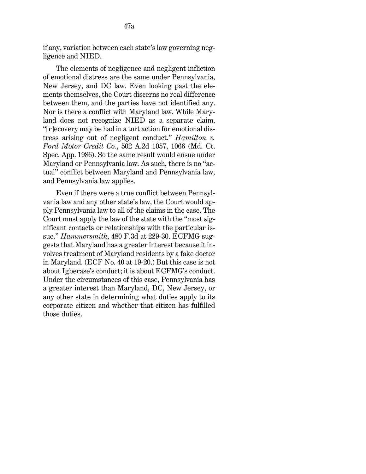if any, variation between each state's law governing negligence and NIED.

The elements of negligence and negligent infliction of emotional distress are the same under Pennsylvania, New Jersey, and DC law. Even looking past the elements themselves, the Court discerns no real difference between them, and the parties have not identified any. Nor is there a conflict with Maryland law. While Maryland does not recognize NIED as a separate claim, "[r]ecovery may be had in a tort action for emotional distress arising out of negligent conduct." *[Hamilton v.](http://www.westlaw.com/Link/Document/FullText?findType=Y&serNum=1986102671&pubNum=0000162&originatingDoc=I411069c06d9911ea94c1fd79e5bc9f66&refType=RP&fi=co_pp_sp_162_1066&originationContext=document&vr=3.0&rs=cblt1.0&transitionType=DocumentItem&contextData=(sc.UserEnteredCitation)#co_pp_sp_162_1066)  Ford Motor Credit Co.*[, 502 A.2d 1057, 1066 \(Md. Ct.](http://www.westlaw.com/Link/Document/FullText?findType=Y&serNum=1986102671&pubNum=0000162&originatingDoc=I411069c06d9911ea94c1fd79e5bc9f66&refType=RP&fi=co_pp_sp_162_1066&originationContext=document&vr=3.0&rs=cblt1.0&transitionType=DocumentItem&contextData=(sc.UserEnteredCitation)#co_pp_sp_162_1066)  [Spec. App. 1986\).](http://www.westlaw.com/Link/Document/FullText?findType=Y&serNum=1986102671&pubNum=0000162&originatingDoc=I411069c06d9911ea94c1fd79e5bc9f66&refType=RP&fi=co_pp_sp_162_1066&originationContext=document&vr=3.0&rs=cblt1.0&transitionType=DocumentItem&contextData=(sc.UserEnteredCitation)#co_pp_sp_162_1066) So the same result would ensue under Maryland or Pennsylvania law. As such, there is no "actual" conflict between Maryland and Pennsylvania law, and Pennsylvania law applies.

Even if there were a true conflict between Pennsylvania law and any other state's law, the Court would apply Pennsylvania law to all of the claims in the case. The Court must apply the law of the state with the "most significant contacts or relationships with the particular issue." *Hammersmith*[, 480 F.3d at 229-30.](http://www.westlaw.com/Link/Document/FullText?findType=Y&serNum=2011706817&pubNum=0000506&originatingDoc=I411069c06d9911ea94c1fd79e5bc9f66&refType=RP&fi=co_pp_sp_506_229&originationContext=document&vr=3.0&rs=cblt1.0&transitionType=DocumentItem&contextData=(sc.UserEnteredCitation)#co_pp_sp_506_229) ECFMG suggests that Maryland has a greater interest because it involves treatment of Maryland residents by a fake doctor in Maryland. (ECF No. 40 at 19-20.) But this case is not about Igberase's conduct; it is about ECFMG's conduct. Under the circumstances of this case, Pennsylvania has a greater interest than Maryland, DC, New Jersey, or any other state in determining what duties apply to its corporate citizen and whether that citizen has fulfilled those duties.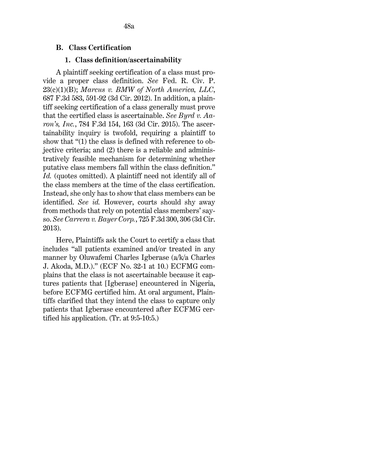#### **B. Class Certification**

#### **1. Class definition/ascertainability**

A plaintiff seeking certification of a class must provide a proper class definition. *See* [Fed. R. Civ. P.](http://www.westlaw.com/Link/Document/FullText?findType=L&pubNum=1000600&cite=USFRCPR23&originatingDoc=I411069c06d9911ea94c1fd79e5bc9f66&refType=LQ&originationContext=document&vr=3.0&rs=cblt1.0&transitionType=DocumentItem&contextData=(sc.UserEnteredCitation))  [23\(c\)\(1\)\(B\);](http://www.westlaw.com/Link/Document/FullText?findType=L&pubNum=1000600&cite=USFRCPR23&originatingDoc=I411069c06d9911ea94c1fd79e5bc9f66&refType=LQ&originationContext=document&vr=3.0&rs=cblt1.0&transitionType=DocumentItem&contextData=(sc.UserEnteredCitation)) *[Marcus v. BMW of North America, LLC](http://www.westlaw.com/Link/Document/FullText?findType=Y&serNum=2028349702&pubNum=0000506&originatingDoc=I411069c06d9911ea94c1fd79e5bc9f66&refType=RP&fi=co_pp_sp_506_591&originationContext=document&vr=3.0&rs=cblt1.0&transitionType=DocumentItem&contextData=(sc.UserEnteredCitation)#co_pp_sp_506_591)*[,](http://www.westlaw.com/Link/Document/FullText?findType=Y&serNum=2028349702&pubNum=0000506&originatingDoc=I411069c06d9911ea94c1fd79e5bc9f66&refType=RP&fi=co_pp_sp_506_591&originationContext=document&vr=3.0&rs=cblt1.0&transitionType=DocumentItem&contextData=(sc.UserEnteredCitation)#co_pp_sp_506_591)  [687 F.3d 583, 591-92 \(3d Cir. 2012\).](http://www.westlaw.com/Link/Document/FullText?findType=Y&serNum=2028349702&pubNum=0000506&originatingDoc=I411069c06d9911ea94c1fd79e5bc9f66&refType=RP&fi=co_pp_sp_506_591&originationContext=document&vr=3.0&rs=cblt1.0&transitionType=DocumentItem&contextData=(sc.UserEnteredCitation)#co_pp_sp_506_591) In addition, a plaintiff seeking certification of a class generally must prove that the certified class is ascertainable. *See [Byrd v. Aa](http://www.westlaw.com/Link/Document/FullText?findType=Y&serNum=2035811580&pubNum=0000506&originatingDoc=I411069c06d9911ea94c1fd79e5bc9f66&refType=RP&fi=co_pp_sp_506_163&originationContext=document&vr=3.0&rs=cblt1.0&transitionType=DocumentItem&contextData=(sc.UserEnteredCitation)#co_pp_sp_506_163)[ron's, Inc.](http://www.westlaw.com/Link/Document/FullText?findType=Y&serNum=2035811580&pubNum=0000506&originatingDoc=I411069c06d9911ea94c1fd79e5bc9f66&refType=RP&fi=co_pp_sp_506_163&originationContext=document&vr=3.0&rs=cblt1.0&transitionType=DocumentItem&contextData=(sc.UserEnteredCitation)#co_pp_sp_506_163)*[, 784 F.3d 154, 163 \(3d Cir. 2015\).](http://www.westlaw.com/Link/Document/FullText?findType=Y&serNum=2035811580&pubNum=0000506&originatingDoc=I411069c06d9911ea94c1fd79e5bc9f66&refType=RP&fi=co_pp_sp_506_163&originationContext=document&vr=3.0&rs=cblt1.0&transitionType=DocumentItem&contextData=(sc.UserEnteredCitation)#co_pp_sp_506_163) The ascertainability inquiry is twofold, requiring a plaintiff to show that "(1) the class is defined with reference to objective criteria; and (2) there is a reliable and administratively feasible mechanism for determining whether putative class members fall within the class definition." Id. (quotes omitted). A plaintiff need not identify all of the class members at the time of the class certification. Instead, she only has to show that class members can be identified. *See id.* However, courts should shy away from methods that rely on potential class members' sayso. *See Carrera v. Bayer Corp.*, 725 F.3d 300, 306 (3d Cir. 2013).

Here, Plaintiffs ask the Court to certify a class that includes "all patients examined and/or treated in any manner by Oluwafemi Charles Igberase (a/k/a Charles J. Akoda, M.D.)." (ECF No. 32-1 at 10.) ECFMG complains that the class is not ascertainable because it captures patients that [Igberase] encountered in Nigeria, before ECFMG certified him. At oral argument, Plaintiffs clarified that they intend the class to capture only patients that Igberase encountered after ECFMG certified his application. (Tr. at 9:5-10:5.)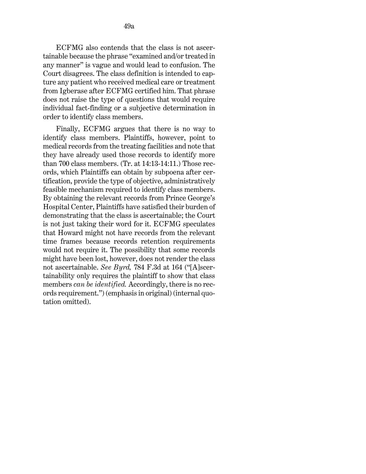ECFMG also contends that the class is not ascertainable because the phrase "examined and/or treated in any manner" is vague and would lead to confusion. The Court disagrees. The class definition is intended to capture any patient who received medical care or treatment from Igberase after ECFMG certified him. That phrase does not raise the type of questions that would require individual fact-finding or a subjective determination in order to identify class members.

Finally, ECFMG argues that there is no way to identify class members. Plaintiffs, however, point to medical records from the treating facilities and note that they have already used those records to identify more than 700 class members. (Tr. at 14:13-14:11.) Those records, which Plaintiffs can obtain by subpoena after certification, provide the type of objective, administratively feasible mechanism required to identify class members. By obtaining the relevant records from Prince George's Hospital Center, Plaintiffs have satisfied their burden of demonstrating that the class is ascertainable; the Court is not just taking their word for it. ECFMG speculates that Howard might not have records from the relevant time frames because records retention requirements would not require it. The possibility that some records might have been lost, however, does not render the class not ascertainable. *See [Byrd,](http://www.westlaw.com/Link/Document/FullText?findType=Y&serNum=2035811580&pubNum=0000506&originatingDoc=I411069c06d9911ea94c1fd79e5bc9f66&refType=RP&fi=co_pp_sp_506_164&originationContext=document&vr=3.0&rs=cblt1.0&transitionType=DocumentItem&contextData=(sc.UserEnteredCitation)#co_pp_sp_506_164)* [784 F.3d at 164](http://www.westlaw.com/Link/Document/FullText?findType=Y&serNum=2035811580&pubNum=0000506&originatingDoc=I411069c06d9911ea94c1fd79e5bc9f66&refType=RP&fi=co_pp_sp_506_164&originationContext=document&vr=3.0&rs=cblt1.0&transitionType=DocumentItem&contextData=(sc.UserEnteredCitation)#co_pp_sp_506_164) ("[A]scertainability only requires the plaintiff to show that class members *can be identified*. Accordingly, there is no records requirement.") (emphasis in original) (internal quotation omitted).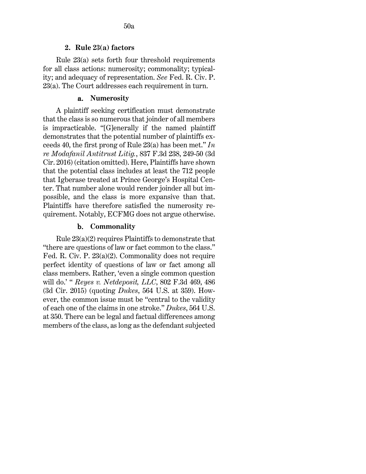[Rule 23\(a\)](http://www.westlaw.com/Link/Document/FullText?findType=L&pubNum=1000600&cite=USFRCPR23&originatingDoc=I411069c06d9911ea94c1fd79e5bc9f66&refType=LQ&originationContext=document&vr=3.0&rs=cblt1.0&transitionType=DocumentItem&contextData=(sc.UserEnteredCitation)) sets forth four threshold requirements for all class actions: numerosity; commonality; typicality; and adequacy of representation. *See* [Fed. R. Civ. P.](http://www.westlaw.com/Link/Document/FullText?findType=L&pubNum=1000600&cite=USFRCPR23&originatingDoc=I411069c06d9911ea94c1fd79e5bc9f66&refType=LQ&originationContext=document&vr=3.0&rs=cblt1.0&transitionType=DocumentItem&contextData=(sc.UserEnteredCitation))  [23\(a\).](http://www.westlaw.com/Link/Document/FullText?findType=L&pubNum=1000600&cite=USFRCPR23&originatingDoc=I411069c06d9911ea94c1fd79e5bc9f66&refType=LQ&originationContext=document&vr=3.0&rs=cblt1.0&transitionType=DocumentItem&contextData=(sc.UserEnteredCitation)) The Court addresses each requirement in turn.

## a. **Numerosity**

A plaintiff seeking certification must demonstrate that the class is so numerous that joinder of all members is impracticable. "[G]enerally if the named plaintiff demonstrates that the potential number of plaintiffs exceeds 40, the first prong of [Rule 23\(a\)](http://www.westlaw.com/Link/Document/FullText?findType=L&pubNum=1000600&cite=USFRCPR23&originatingDoc=I411069c06d9911ea94c1fd79e5bc9f66&refType=LQ&originationContext=document&vr=3.0&rs=cblt1.0&transitionType=DocumentItem&contextData=(sc.UserEnteredCitation)) has been met." *[In](http://www.westlaw.com/Link/Document/FullText?findType=Y&serNum=2039764933&pubNum=0000506&originatingDoc=I411069c06d9911ea94c1fd79e5bc9f66&refType=RP&fi=co_pp_sp_506_249&originationContext=document&vr=3.0&rs=cblt1.0&transitionType=DocumentItem&contextData=(sc.UserEnteredCitation)#co_pp_sp_506_249)  [re Modafanil Antitrust Litig.](http://www.westlaw.com/Link/Document/FullText?findType=Y&serNum=2039764933&pubNum=0000506&originatingDoc=I411069c06d9911ea94c1fd79e5bc9f66&refType=RP&fi=co_pp_sp_506_249&originationContext=document&vr=3.0&rs=cblt1.0&transitionType=DocumentItem&contextData=(sc.UserEnteredCitation)#co_pp_sp_506_249)*, 837 F.3d 238, 249-50 (3d [Cir. 2016\)](http://www.westlaw.com/Link/Document/FullText?findType=Y&serNum=2039764933&pubNum=0000506&originatingDoc=I411069c06d9911ea94c1fd79e5bc9f66&refType=RP&fi=co_pp_sp_506_249&originationContext=document&vr=3.0&rs=cblt1.0&transitionType=DocumentItem&contextData=(sc.UserEnteredCitation)#co_pp_sp_506_249) (citation omitted). Here, Plaintiffs have shown that the potential class includes at least the 712 people that Igberase treated at Prince George's Hospital Center. That number alone would render joinder all but impossible, and the class is more expansive than that. Plaintiffs have therefore satisfied the numerosity requirement. Notably, ECFMG does not argue otherwise.

# b. **Commonality**

[Rule 23\(a\)\(2\)](http://www.westlaw.com/Link/Document/FullText?findType=L&pubNum=1000600&cite=USFRCPR23&originatingDoc=I411069c06d9911ea94c1fd79e5bc9f66&refType=LQ&originationContext=document&vr=3.0&rs=cblt1.0&transitionType=DocumentItem&contextData=(sc.UserEnteredCitation)) requires Plaintiffs to demonstrate that "there are questions of law or fact common to the class." [Fed. R. Civ. P. 23\(a\)\(2\).](http://www.westlaw.com/Link/Document/FullText?findType=L&pubNum=1000600&cite=USFRCPR23&originatingDoc=I411069c06d9911ea94c1fd79e5bc9f66&refType=LQ&originationContext=document&vr=3.0&rs=cblt1.0&transitionType=DocumentItem&contextData=(sc.UserEnteredCitation)) Commonality does not require perfect identity of questions of law or fact among all class members. Rather, 'even a single common question will do.' " *[Reyes v. Netdeposit, LLC](http://www.westlaw.com/Link/Document/FullText?findType=Y&serNum=2037060943&pubNum=0000506&originatingDoc=I411069c06d9911ea94c1fd79e5bc9f66&refType=RP&fi=co_pp_sp_506_486&originationContext=document&vr=3.0&rs=cblt1.0&transitionType=DocumentItem&contextData=(sc.UserEnteredCitation)#co_pp_sp_506_486)*[, 802 F.3d 469, 486](http://www.westlaw.com/Link/Document/FullText?findType=Y&serNum=2037060943&pubNum=0000506&originatingDoc=I411069c06d9911ea94c1fd79e5bc9f66&refType=RP&fi=co_pp_sp_506_486&originationContext=document&vr=3.0&rs=cblt1.0&transitionType=DocumentItem&contextData=(sc.UserEnteredCitation)#co_pp_sp_506_486)  [\(3d Cir. 2015\)](http://www.westlaw.com/Link/Document/FullText?findType=Y&serNum=2037060943&pubNum=0000506&originatingDoc=I411069c06d9911ea94c1fd79e5bc9f66&refType=RP&fi=co_pp_sp_506_486&originationContext=document&vr=3.0&rs=cblt1.0&transitionType=DocumentItem&contextData=(sc.UserEnteredCitation)#co_pp_sp_506_486) (quoting *[Dukes](http://www.westlaw.com/Link/Document/FullText?findType=Y&serNum=2025520221&pubNum=0000780&originatingDoc=I411069c06d9911ea94c1fd79e5bc9f66&refType=RP&fi=co_pp_sp_780_359&originationContext=document&vr=3.0&rs=cblt1.0&transitionType=DocumentItem&contextData=(sc.UserEnteredCitation)#co_pp_sp_780_359)*[, 564 U.S. at 359\)](http://www.westlaw.com/Link/Document/FullText?findType=Y&serNum=2025520221&pubNum=0000780&originatingDoc=I411069c06d9911ea94c1fd79e5bc9f66&refType=RP&fi=co_pp_sp_780_359&originationContext=document&vr=3.0&rs=cblt1.0&transitionType=DocumentItem&contextData=(sc.UserEnteredCitation)#co_pp_sp_780_359). However, the common issue must be "central to the validity of each one of the claims in one stroke." *Dukes*, [564 U.S.](http://www.westlaw.com/Link/Document/FullText?findType=Y&serNum=2025520221&pubNum=0000780&originatingDoc=I411069c06d9911ea94c1fd79e5bc9f66&refType=RP&fi=co_pp_sp_780_350&originationContext=document&vr=3.0&rs=cblt1.0&transitionType=DocumentItem&contextData=(sc.UserEnteredCitation)#co_pp_sp_780_350)  [at 350.](http://www.westlaw.com/Link/Document/FullText?findType=Y&serNum=2025520221&pubNum=0000780&originatingDoc=I411069c06d9911ea94c1fd79e5bc9f66&refType=RP&fi=co_pp_sp_780_350&originationContext=document&vr=3.0&rs=cblt1.0&transitionType=DocumentItem&contextData=(sc.UserEnteredCitation)#co_pp_sp_780_350) There can be legal and factual differences among members of the class, as long as the defendant subjected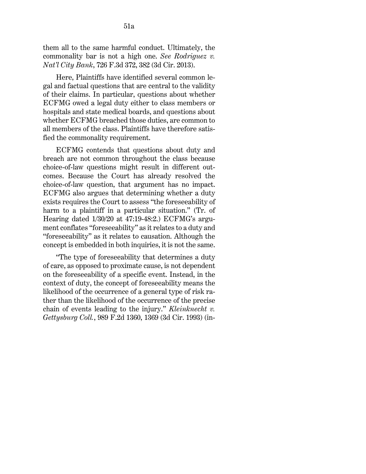them all to the same harmful conduct. Ultimately, the commonality bar is not a high one. *See [Rodriguez v.](http://www.westlaw.com/Link/Document/FullText?findType=Y&serNum=2031269438&pubNum=0000506&originatingDoc=I411069c06d9911ea94c1fd79e5bc9f66&refType=RP&fi=co_pp_sp_506_382&originationContext=document&vr=3.0&rs=cblt1.0&transitionType=DocumentItem&contextData=(sc.UserEnteredCitation)#co_pp_sp_506_382)  [Nat'l City Bank](http://www.westlaw.com/Link/Document/FullText?findType=Y&serNum=2031269438&pubNum=0000506&originatingDoc=I411069c06d9911ea94c1fd79e5bc9f66&refType=RP&fi=co_pp_sp_506_382&originationContext=document&vr=3.0&rs=cblt1.0&transitionType=DocumentItem&contextData=(sc.UserEnteredCitation)#co_pp_sp_506_382)*[, 726 F.3d 372, 382 \(3d Cir. 2013\).](http://www.westlaw.com/Link/Document/FullText?findType=Y&serNum=2031269438&pubNum=0000506&originatingDoc=I411069c06d9911ea94c1fd79e5bc9f66&refType=RP&fi=co_pp_sp_506_382&originationContext=document&vr=3.0&rs=cblt1.0&transitionType=DocumentItem&contextData=(sc.UserEnteredCitation)#co_pp_sp_506_382)

Here, Plaintiffs have identified several common legal and factual questions that are central to the validity of their claims. In particular, questions about whether ECFMG owed a legal duty either to class members or hospitals and state medical boards, and questions about whether ECFMG breached those duties, are common to all members of the class. Plaintiffs have therefore satisfied the commonality requirement.

ECFMG contends that questions about duty and breach are not common throughout the class because choice-of-law questions might result in different outcomes. Because the Court has already resolved the choice-of-law question, that argument has no impact. ECFMG also argues that determining whether a duty exists requires the Court to assess "the foreseeability of harm to a plaintiff in a particular situation." (Tr. of Hearing dated 1/30/20 at 47:19-48:2.) ECFMG's argument conflates "foreseeability" as it relates to a duty and "foreseeability" as it relates to causation. Although the concept is embedded in both inquiries, it is not the same.

"The type of foreseeability that determines a duty of care, as opposed to proximate cause, is not dependent on the foreseeability of a specific event. Instead, in the context of duty, the concept of foreseeability means the likelihood of the occurrence of a general type of risk rather than the likelihood of the occurrence of the precise chain of events leading to the injury." *[Kleinknecht v.](http://www.westlaw.com/Link/Document/FullText?findType=Y&serNum=1993077284&pubNum=0000350&originatingDoc=I411069c06d9911ea94c1fd79e5bc9f66&refType=RP&fi=co_pp_sp_350_1369&originationContext=document&vr=3.0&rs=cblt1.0&transitionType=DocumentItem&contextData=(sc.UserEnteredCitation)#co_pp_sp_350_1369)  [Gettysburg Coll.](http://www.westlaw.com/Link/Document/FullText?findType=Y&serNum=1993077284&pubNum=0000350&originatingDoc=I411069c06d9911ea94c1fd79e5bc9f66&refType=RP&fi=co_pp_sp_350_1369&originationContext=document&vr=3.0&rs=cblt1.0&transitionType=DocumentItem&contextData=(sc.UserEnteredCitation)#co_pp_sp_350_1369)*[, 989 F.2d 1360, 1369 \(3d Cir. 1993\)](http://www.westlaw.com/Link/Document/FullText?findType=Y&serNum=1993077284&pubNum=0000350&originatingDoc=I411069c06d9911ea94c1fd79e5bc9f66&refType=RP&fi=co_pp_sp_350_1369&originationContext=document&vr=3.0&rs=cblt1.0&transitionType=DocumentItem&contextData=(sc.UserEnteredCitation)#co_pp_sp_350_1369) (in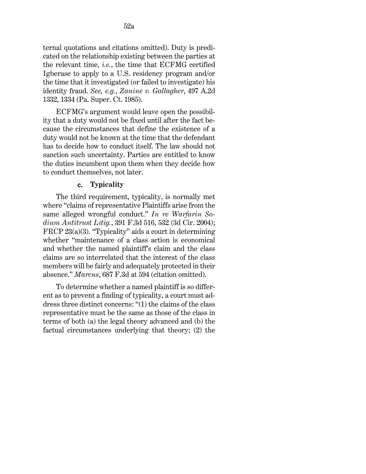ternal quotations and citations omitted). Duty is predicated on the relationship existing between the parties at the relevant time, *i.e.*, the time that ECFMG certified Igberase to apply to a U.S. residency program and/or the time that it investigated (or failed to investigate) his identity fraud. *See, e.g.*, *[Zanine v. Gallagher](http://www.westlaw.com/Link/Document/FullText?findType=Y&serNum=1985140616&pubNum=0000162&originatingDoc=I411069c06d9911ea94c1fd79e5bc9f66&refType=RP&fi=co_pp_sp_162_1334&originationContext=document&vr=3.0&rs=cblt1.0&transitionType=DocumentItem&contextData=(sc.UserEnteredCitation)#co_pp_sp_162_1334)*[, 497 A.2d](http://www.westlaw.com/Link/Document/FullText?findType=Y&serNum=1985140616&pubNum=0000162&originatingDoc=I411069c06d9911ea94c1fd79e5bc9f66&refType=RP&fi=co_pp_sp_162_1334&originationContext=document&vr=3.0&rs=cblt1.0&transitionType=DocumentItem&contextData=(sc.UserEnteredCitation)#co_pp_sp_162_1334)  [1332, 1334 \(Pa. Super. Ct. 1985\).](http://www.westlaw.com/Link/Document/FullText?findType=Y&serNum=1985140616&pubNum=0000162&originatingDoc=I411069c06d9911ea94c1fd79e5bc9f66&refType=RP&fi=co_pp_sp_162_1334&originationContext=document&vr=3.0&rs=cblt1.0&transitionType=DocumentItem&contextData=(sc.UserEnteredCitation)#co_pp_sp_162_1334)

ECFMG's argument would leave open the possibility that a duty would not be fixed until after the fact because the circumstances that define the existence of a duty would not be known at the time that the defendant has to decide how to conduct itself. The law should not sanction such uncertainty. Parties are entitled to know the duties incumbent upon them when they decide how to conduct themselves, not later.

## c. **Typicality**

The third requirement, typicality, is normally met where "claims of representative Plaintiffs arise from the same alleged wrongful conduct." *[In re Warfarin So](http://www.westlaw.com/Link/Document/FullText?findType=Y&serNum=2005709008&pubNum=0000506&originatingDoc=I411069c06d9911ea94c1fd79e5bc9f66&refType=RP&fi=co_pp_sp_506_532&originationContext=document&vr=3.0&rs=cblt1.0&transitionType=DocumentItem&contextData=(sc.UserEnteredCitation)#co_pp_sp_506_532)[dium Antitrust Litig.](http://www.westlaw.com/Link/Document/FullText?findType=Y&serNum=2005709008&pubNum=0000506&originatingDoc=I411069c06d9911ea94c1fd79e5bc9f66&refType=RP&fi=co_pp_sp_506_532&originationContext=document&vr=3.0&rs=cblt1.0&transitionType=DocumentItem&contextData=(sc.UserEnteredCitation)#co_pp_sp_506_532)*[, 391 F.3d 516, 532 \(3d Cir. 2004\);](http://www.westlaw.com/Link/Document/FullText?findType=Y&serNum=2005709008&pubNum=0000506&originatingDoc=I411069c06d9911ea94c1fd79e5bc9f66&refType=RP&fi=co_pp_sp_506_532&originationContext=document&vr=3.0&rs=cblt1.0&transitionType=DocumentItem&contextData=(sc.UserEnteredCitation)#co_pp_sp_506_532) [FRCP 23\(a\)\(3\).](http://www.westlaw.com/Link/Document/FullText?findType=L&pubNum=1000600&cite=USFRCPR23&originatingDoc=I411069c06d9911ea94c1fd79e5bc9f66&refType=LQ&originationContext=document&vr=3.0&rs=cblt1.0&transitionType=DocumentItem&contextData=(sc.UserEnteredCitation)) "Typicality" aids a court in determining whether "maintenance of a class action is economical and whether the named plaintiff's claim and the class claims are so interrelated that the interest of the class members will be fairly and adequately protected in their absence." *[Marcus](http://www.westlaw.com/Link/Document/FullText?findType=Y&serNum=2028349702&pubNum=0000506&originatingDoc=I411069c06d9911ea94c1fd79e5bc9f66&refType=RP&fi=co_pp_sp_506_594&originationContext=document&vr=3.0&rs=cblt1.0&transitionType=DocumentItem&contextData=(sc.UserEnteredCitation)#co_pp_sp_506_594)*[, 687 F.3d at 594](http://www.westlaw.com/Link/Document/FullText?findType=Y&serNum=2028349702&pubNum=0000506&originatingDoc=I411069c06d9911ea94c1fd79e5bc9f66&refType=RP&fi=co_pp_sp_506_594&originationContext=document&vr=3.0&rs=cblt1.0&transitionType=DocumentItem&contextData=(sc.UserEnteredCitation)#co_pp_sp_506_594) (citation omitted).

To determine whether a named plaintiff is so different as to prevent a finding of typicality, a court must address three distinct concerns: "(1) the claims of the class representative must be the same as those of the class in terms of both (a) the legal theory advanced and (b) the factual circumstances underlying that theory; (2) the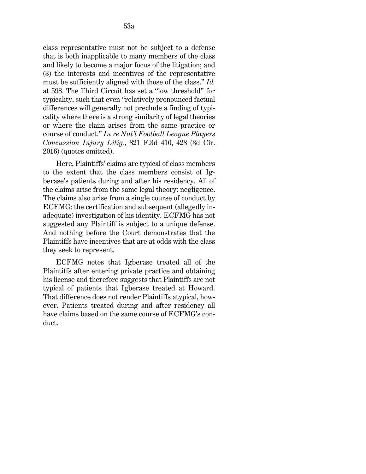class representative must not be subject to a defense that is both inapplicable to many members of the class and likely to become a major focus of the litigation; and (3) the interests and incentives of the representative must be sufficiently aligned with those of the class." *[Id.](http://www.westlaw.com/Link/Document/FullText?findType=Y&serNum=2028349702&pubNum=0000506&originatingDoc=I411069c06d9911ea94c1fd79e5bc9f66&refType=RP&fi=co_pp_sp_506_598&originationContext=document&vr=3.0&rs=cblt1.0&transitionType=DocumentItem&contextData=(sc.UserEnteredCitation)#co_pp_sp_506_598)* [at 598.](http://www.westlaw.com/Link/Document/FullText?findType=Y&serNum=2028349702&pubNum=0000506&originatingDoc=I411069c06d9911ea94c1fd79e5bc9f66&refType=RP&fi=co_pp_sp_506_598&originationContext=document&vr=3.0&rs=cblt1.0&transitionType=DocumentItem&contextData=(sc.UserEnteredCitation)#co_pp_sp_506_598) The Third Circuit has set a "low threshold" for typicality, such that even "relatively pronounced factual differences will generally not preclude a finding of typicality where there is a strong similarity of legal theories or where the claim arises from the same practice or course of conduct." *[In re Nat'l Football League Players](http://www.westlaw.com/Link/Document/FullText?findType=Y&serNum=2038688070&pubNum=0000506&originatingDoc=I411069c06d9911ea94c1fd79e5bc9f66&refType=RP&fi=co_pp_sp_506_428&originationContext=document&vr=3.0&rs=cblt1.0&transitionType=DocumentItem&contextData=(sc.UserEnteredCitation)#co_pp_sp_506_428)  Concussion Injury Litig.*[, 821 F.3d 410, 428 \(3d Cir.](http://www.westlaw.com/Link/Document/FullText?findType=Y&serNum=2038688070&pubNum=0000506&originatingDoc=I411069c06d9911ea94c1fd79e5bc9f66&refType=RP&fi=co_pp_sp_506_428&originationContext=document&vr=3.0&rs=cblt1.0&transitionType=DocumentItem&contextData=(sc.UserEnteredCitation)#co_pp_sp_506_428)  [2016\)](http://www.westlaw.com/Link/Document/FullText?findType=Y&serNum=2038688070&pubNum=0000506&originatingDoc=I411069c06d9911ea94c1fd79e5bc9f66&refType=RP&fi=co_pp_sp_506_428&originationContext=document&vr=3.0&rs=cblt1.0&transitionType=DocumentItem&contextData=(sc.UserEnteredCitation)#co_pp_sp_506_428) (quotes omitted).

Here, Plaintiffs' claims are typical of class members to the extent that the class members consist of Igberase's patients during and after his residency. All of the claims arise from the same legal theory: negligence. The claims also arise from a single course of conduct by ECFMG: the certification and subsequent (allegedly inadequate) investigation of his identity. ECFMG has not suggested any Plaintiff is subject to a unique defense. And nothing before the Court demonstrates that the Plaintiffs have incentives that are at odds with the class they seek to represent.

ECFMG notes that Igberase treated all of the Plaintiffs after entering private practice and obtaining his license and therefore suggests that Plaintiffs are not typical of patients that Igberase treated at Howard. That difference does not render Plaintiffs atypical, however. Patients treated during and after residency all have claims based on the same course of ECFMG's conduct.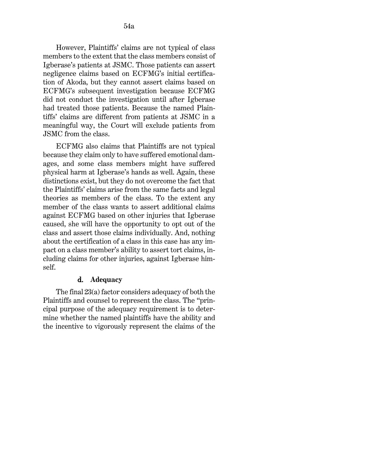However, Plaintiffs' claims are not typical of class members to the extent that the class members consist of Igberase's patients at JSMC. Those patients can assert negligence claims based on ECFMG's initial certification of Akoda, but they cannot assert claims based on ECFMG's subsequent investigation because ECFMG did not conduct the investigation until after Igberase had treated those patients. Because the named Plaintiffs' claims are different from patients at JSMC in a meaningful way, the Court will exclude patients from JSMC from the class.

ECFMG also claims that Plaintiffs are not typical because they claim only to have suffered emotional damages, and some class members might have suffered physical harm at Igberase's hands as well. Again, these distinctions exist, but they do not overcome the fact that the Plaintiffs' claims arise from the same facts and legal theories as members of the class. To the extent any member of the class wants to assert additional claims against ECFMG based on other injuries that Igberase caused, she will have the opportunity to opt out of the class and assert those claims individually. And, nothing about the certification of a class in this case has any impact on a class member's ability to assert tort claims, including claims for other injuries, against Igberase himself.

#### d. **Adequacy**

The final 23(a) factor considers adequacy of both the Plaintiffs and counsel to represent the class. The "principal purpose of the adequacy requirement is to determine whether the named plaintiffs have the ability and the incentive to vigorously represent the claims of the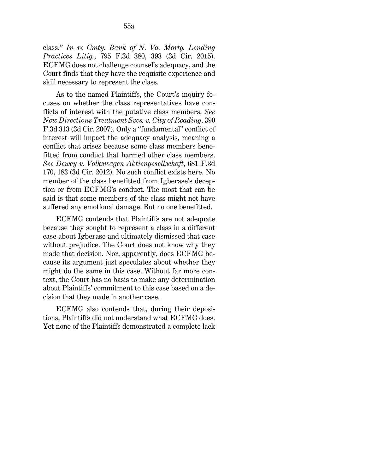class." *[In re Cmty. Bank of N. Va. Mortg. Lending](http://www.westlaw.com/Link/Document/FullText?findType=Y&serNum=2036780699&pubNum=0000506&originatingDoc=I411069c06d9911ea94c1fd79e5bc9f66&refType=RP&fi=co_pp_sp_506_393&originationContext=document&vr=3.0&rs=cblt1.0&transitionType=DocumentItem&contextData=(sc.UserEnteredCitation)#co_pp_sp_506_393)  [Practices Litig.](http://www.westlaw.com/Link/Document/FullText?findType=Y&serNum=2036780699&pubNum=0000506&originatingDoc=I411069c06d9911ea94c1fd79e5bc9f66&refType=RP&fi=co_pp_sp_506_393&originationContext=document&vr=3.0&rs=cblt1.0&transitionType=DocumentItem&contextData=(sc.UserEnteredCitation)#co_pp_sp_506_393)*[, 795 F.3d 380, 393 \(3d Cir. 2015\).](http://www.westlaw.com/Link/Document/FullText?findType=Y&serNum=2036780699&pubNum=0000506&originatingDoc=I411069c06d9911ea94c1fd79e5bc9f66&refType=RP&fi=co_pp_sp_506_393&originationContext=document&vr=3.0&rs=cblt1.0&transitionType=DocumentItem&contextData=(sc.UserEnteredCitation)#co_pp_sp_506_393) ECFMG does not challenge counsel's adequacy, and the Court finds that they have the requisite experience and skill necessary to represent the class.

As to the named Plaintiffs, the Court's inquiry focuses on whether the class representatives have conflicts of interest with the putative class members. *See New Directions Treatment Svcs. v. City of Reading*, 390 F.3d 313 (3d Cir. 2007). Only a "fundamental" conflict of interest will impact the adequacy analysis, meaning a conflict that arises because some class members benefitted from conduct that harmed other class members. *See [Dewey v. Volkswagen Aktiengesellschaft](http://www.westlaw.com/Link/Document/FullText?findType=Y&serNum=2027810635&pubNum=0000506&originatingDoc=I411069c06d9911ea94c1fd79e5bc9f66&refType=RP&fi=co_pp_sp_506_183&originationContext=document&vr=3.0&rs=cblt1.0&transitionType=DocumentItem&contextData=(sc.UserEnteredCitation)#co_pp_sp_506_183)*[, 681 F.3d](http://www.westlaw.com/Link/Document/FullText?findType=Y&serNum=2027810635&pubNum=0000506&originatingDoc=I411069c06d9911ea94c1fd79e5bc9f66&refType=RP&fi=co_pp_sp_506_183&originationContext=document&vr=3.0&rs=cblt1.0&transitionType=DocumentItem&contextData=(sc.UserEnteredCitation)#co_pp_sp_506_183)  [170, 183 \(3d Cir. 2012\).](http://www.westlaw.com/Link/Document/FullText?findType=Y&serNum=2027810635&pubNum=0000506&originatingDoc=I411069c06d9911ea94c1fd79e5bc9f66&refType=RP&fi=co_pp_sp_506_183&originationContext=document&vr=3.0&rs=cblt1.0&transitionType=DocumentItem&contextData=(sc.UserEnteredCitation)#co_pp_sp_506_183) No such conflict exists here. No member of the class benefitted from Igberase's deception or from ECFMG's conduct. The most that can be said is that some members of the class might not have suffered any emotional damage. But no one benefitted.

ECFMG contends that Plaintiffs are not adequate because they sought to represent a class in a different case about Igberase and ultimately dismissed that case without prejudice. The Court does not know why they made that decision. Nor, apparently, does ECFMG because its argument just speculates about whether they might do the same in this case. Without far more context, the Court has no basis to make any determination about Plaintiffs' commitment to this case based on a decision that they made in another case.

ECFMG also contends that, during their depositions, Plaintiffs did not understand what ECFMG does. Yet none of the Plaintiffs demonstrated a complete lack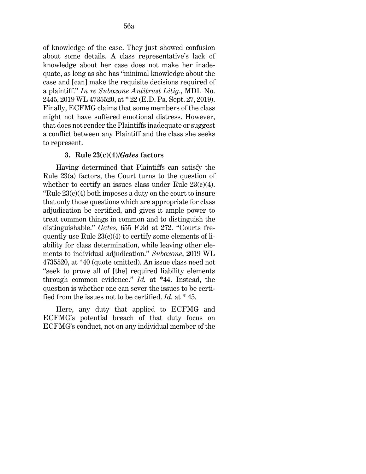of knowledge of the case. They just showed confusion about some details. A class representative's lack of knowledge about her case does not make her inadequate, as long as she has "minimal knowledge about the case and [can] make the requisite decisions required of a plaintiff." *[In re Suboxone Antitrust Litig.](http://www.westlaw.com/Link/Document/FullText?findType=Y&serNum=2049285426&pubNum=0000999&originatingDoc=I411069c06d9911ea94c1fd79e5bc9f66&refType=RP&originationContext=document&vr=3.0&rs=cblt1.0&transitionType=DocumentItem&contextData=(sc.UserEnteredCitation))*[, MDL No.](http://www.westlaw.com/Link/Document/FullText?findType=Y&serNum=2049285426&pubNum=0000999&originatingDoc=I411069c06d9911ea94c1fd79e5bc9f66&refType=RP&originationContext=document&vr=3.0&rs=cblt1.0&transitionType=DocumentItem&contextData=(sc.UserEnteredCitation))  [2445, 2019 WL 4735520, at \\* 22 \(E.D. Pa. Sept. 27, 2019\).](http://www.westlaw.com/Link/Document/FullText?findType=Y&serNum=2049285426&pubNum=0000999&originatingDoc=I411069c06d9911ea94c1fd79e5bc9f66&refType=RP&originationContext=document&vr=3.0&rs=cblt1.0&transitionType=DocumentItem&contextData=(sc.UserEnteredCitation)) Finally, ECFMG claims that some members of the class might not have suffered emotional distress. However, that does not render the Plaintiffs inadequate or suggest a conflict between any Plaintiff and the class she seeks to represent.

#### **3. [Rule 23\(c\)\(4\)/](http://www.westlaw.com/Link/Document/FullText?findType=L&pubNum=1000600&cite=USFRCPR23&originatingDoc=I411069c06d9911ea94c1fd79e5bc9f66&refType=LQ&originationContext=document&vr=3.0&rs=cblt1.0&transitionType=DocumentItem&contextData=(sc.UserEnteredCitation))***Gates* **factors**

Having determined that Plaintiffs can satisfy the [Rule 23\(a\)](http://www.westlaw.com/Link/Document/FullText?findType=L&pubNum=1000600&cite=USFRCPR23&originatingDoc=I411069c06d9911ea94c1fd79e5bc9f66&refType=LQ&originationContext=document&vr=3.0&rs=cblt1.0&transitionType=DocumentItem&contextData=(sc.UserEnteredCitation)) factors, the Court turns to the question of whether to certify an issues class under Rule  $23(c)(4)$ . "Rule  $23(c)(4)$  both imposes a duty on the court to insure that only those questions which are appropriate for class adjudication be certified, and gives it ample power to treat common things in common and to distinguish the distinguishable." *[Gates](http://www.westlaw.com/Link/Document/FullText?findType=Y&serNum=2025930707&pubNum=0000506&originatingDoc=I411069c06d9911ea94c1fd79e5bc9f66&refType=RP&fi=co_pp_sp_506_272&originationContext=document&vr=3.0&rs=cblt1.0&transitionType=DocumentItem&contextData=(sc.UserEnteredCitation)#co_pp_sp_506_272)*[, 655 F.3d at 272.](http://www.westlaw.com/Link/Document/FullText?findType=Y&serNum=2025930707&pubNum=0000506&originatingDoc=I411069c06d9911ea94c1fd79e5bc9f66&refType=RP&fi=co_pp_sp_506_272&originationContext=document&vr=3.0&rs=cblt1.0&transitionType=DocumentItem&contextData=(sc.UserEnteredCitation)#co_pp_sp_506_272) "Courts frequently use Rule  $23(c)(4)$  to certify some elements of liability for class determination, while leaving other elements to individual adjudication." *Suboxone*[, 2019 WL](http://www.westlaw.com/Link/Document/FullText?findType=Y&serNum=2049285426&pubNum=0000999&originatingDoc=I411069c06d9911ea94c1fd79e5bc9f66&refType=RP&originationContext=document&vr=3.0&rs=cblt1.0&transitionType=DocumentItem&contextData=(sc.UserEnteredCitation))  [4735520, at \\*40](http://www.westlaw.com/Link/Document/FullText?findType=Y&serNum=2049285426&pubNum=0000999&originatingDoc=I411069c06d9911ea94c1fd79e5bc9f66&refType=RP&originationContext=document&vr=3.0&rs=cblt1.0&transitionType=DocumentItem&contextData=(sc.UserEnteredCitation)) (quote omitted). An issue class need not "seek to prove all of [the] required liability elements through common evidence." *[Id.](http://www.westlaw.com/Link/Document/FullText?findType=Y&serNum=2049285426&pubNum=0000999&originatingDoc=I411069c06d9911ea94c1fd79e5bc9f66&refType=RP&originationContext=document&vr=3.0&rs=cblt1.0&transitionType=DocumentItem&contextData=(sc.UserEnteredCitation))* [at \\*44.](http://www.westlaw.com/Link/Document/FullText?findType=Y&serNum=2049285426&pubNum=0000999&originatingDoc=I411069c06d9911ea94c1fd79e5bc9f66&refType=RP&originationContext=document&vr=3.0&rs=cblt1.0&transitionType=DocumentItem&contextData=(sc.UserEnteredCitation)) Instead, the question is whether one can sever the issues to be certified from the issues not to be certified. *[Id.](http://www.westlaw.com/Link/Document/FullText?findType=Y&serNum=2049285426&pubNum=0000999&originatingDoc=I411069c06d9911ea94c1fd79e5bc9f66&refType=RP&originationContext=document&vr=3.0&rs=cblt1.0&transitionType=DocumentItem&contextData=(sc.UserEnteredCitation))* [at \\* 45.](http://www.westlaw.com/Link/Document/FullText?findType=Y&serNum=2049285426&pubNum=0000999&originatingDoc=I411069c06d9911ea94c1fd79e5bc9f66&refType=RP&originationContext=document&vr=3.0&rs=cblt1.0&transitionType=DocumentItem&contextData=(sc.UserEnteredCitation))

Here, any duty that applied to ECFMG and ECFMG's potential breach of that duty focus on ECFMG's conduct, not on any individual member of the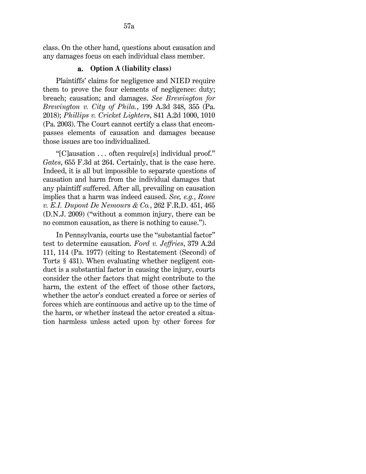#### a. **Option A (liability class)**

Plaintiffs' claims for negligence and NIED require them to prove the four elements of negligence: duty; breach; causation; and damages. *See [Brewington for](http://www.westlaw.com/Link/Document/FullText?findType=Y&serNum=2047216698&pubNum=0007691&originatingDoc=I411069c06d9911ea94c1fd79e5bc9f66&refType=RP&fi=co_pp_sp_7691_355&originationContext=document&vr=3.0&rs=cblt1.0&transitionType=DocumentItem&contextData=(sc.UserEnteredCitation)#co_pp_sp_7691_355)  [Brewington v. City of Phila.](http://www.westlaw.com/Link/Document/FullText?findType=Y&serNum=2047216698&pubNum=0007691&originatingDoc=I411069c06d9911ea94c1fd79e5bc9f66&refType=RP&fi=co_pp_sp_7691_355&originationContext=document&vr=3.0&rs=cblt1.0&transitionType=DocumentItem&contextData=(sc.UserEnteredCitation)#co_pp_sp_7691_355)*, 199 A.3d 348, 355 (Pa. [2018\);](http://www.westlaw.com/Link/Document/FullText?findType=Y&serNum=2047216698&pubNum=0007691&originatingDoc=I411069c06d9911ea94c1fd79e5bc9f66&refType=RP&fi=co_pp_sp_7691_355&originationContext=document&vr=3.0&rs=cblt1.0&transitionType=DocumentItem&contextData=(sc.UserEnteredCitation)#co_pp_sp_7691_355) *[Phillips v. Cricket Lighters](http://www.westlaw.com/Link/Document/FullText?findType=Y&serNum=2003894237&pubNum=0000162&originatingDoc=I411069c06d9911ea94c1fd79e5bc9f66&refType=RP&fi=co_pp_sp_162_1010&originationContext=document&vr=3.0&rs=cblt1.0&transitionType=DocumentItem&contextData=(sc.UserEnteredCitation)#co_pp_sp_162_1010)*[, 841 A.2d 1000, 1010](http://www.westlaw.com/Link/Document/FullText?findType=Y&serNum=2003894237&pubNum=0000162&originatingDoc=I411069c06d9911ea94c1fd79e5bc9f66&refType=RP&fi=co_pp_sp_162_1010&originationContext=document&vr=3.0&rs=cblt1.0&transitionType=DocumentItem&contextData=(sc.UserEnteredCitation)#co_pp_sp_162_1010)  [\(Pa. 2003\).](http://www.westlaw.com/Link/Document/FullText?findType=Y&serNum=2003894237&pubNum=0000162&originatingDoc=I411069c06d9911ea94c1fd79e5bc9f66&refType=RP&fi=co_pp_sp_162_1010&originationContext=document&vr=3.0&rs=cblt1.0&transitionType=DocumentItem&contextData=(sc.UserEnteredCitation)#co_pp_sp_162_1010) The Court cannot certify a class that encompasses elements of causation and damages because those issues are too individualized.

"[C]ausation . . . often require[s] individual proof." *Gates*[, 655 F.3d at 264.](http://www.westlaw.com/Link/Document/FullText?findType=Y&serNum=2025930707&pubNum=0000506&originatingDoc=I411069c06d9911ea94c1fd79e5bc9f66&refType=RP&fi=co_pp_sp_506_264&originationContext=document&vr=3.0&rs=cblt1.0&transitionType=DocumentItem&contextData=(sc.UserEnteredCitation)#co_pp_sp_506_264) Certainly, that is the case here. Indeed, it is all but impossible to separate questions of causation and harm from the individual damages that any plaintiff suffered. After all, prevailing on causation implies that a harm was indeed caused. *See, e.g.*, *[Rowe](http://www.westlaw.com/Link/Document/FullText?findType=Y&serNum=2020093181&pubNum=0000344&originatingDoc=I411069c06d9911ea94c1fd79e5bc9f66&refType=RP&fi=co_pp_sp_344_465&originationContext=document&vr=3.0&rs=cblt1.0&transitionType=DocumentItem&contextData=(sc.UserEnteredCitation)#co_pp_sp_344_465)  [v. E.I. Dupont De Nemours & Co.](http://www.westlaw.com/Link/Document/FullText?findType=Y&serNum=2020093181&pubNum=0000344&originatingDoc=I411069c06d9911ea94c1fd79e5bc9f66&refType=RP&fi=co_pp_sp_344_465&originationContext=document&vr=3.0&rs=cblt1.0&transitionType=DocumentItem&contextData=(sc.UserEnteredCitation)#co_pp_sp_344_465)*, 262 F.R.D. 451, 465 [\(D.N.J. 2009\)](http://www.westlaw.com/Link/Document/FullText?findType=Y&serNum=2020093181&pubNum=0000344&originatingDoc=I411069c06d9911ea94c1fd79e5bc9f66&refType=RP&fi=co_pp_sp_344_465&originationContext=document&vr=3.0&rs=cblt1.0&transitionType=DocumentItem&contextData=(sc.UserEnteredCitation)#co_pp_sp_344_465) ("without a common injury, there can be no common causation, as there is nothing to cause.").

In Pennsylvania, courts use the "substantial factor" test to determine causation. *[Ford v. Jeffries](http://www.westlaw.com/Link/Document/FullText?findType=Y&serNum=1977120978&pubNum=0000162&originatingDoc=I411069c06d9911ea94c1fd79e5bc9f66&refType=RP&fi=co_pp_sp_162_114&originationContext=document&vr=3.0&rs=cblt1.0&transitionType=DocumentItem&contextData=(sc.UserEnteredCitation)#co_pp_sp_162_114)*[, 379 A.2d](http://www.westlaw.com/Link/Document/FullText?findType=Y&serNum=1977120978&pubNum=0000162&originatingDoc=I411069c06d9911ea94c1fd79e5bc9f66&refType=RP&fi=co_pp_sp_162_114&originationContext=document&vr=3.0&rs=cblt1.0&transitionType=DocumentItem&contextData=(sc.UserEnteredCitation)#co_pp_sp_162_114)  [111, 114 \(Pa. 1977\)](http://www.westlaw.com/Link/Document/FullText?findType=Y&serNum=1977120978&pubNum=0000162&originatingDoc=I411069c06d9911ea94c1fd79e5bc9f66&refType=RP&fi=co_pp_sp_162_114&originationContext=document&vr=3.0&rs=cblt1.0&transitionType=DocumentItem&contextData=(sc.UserEnteredCitation)#co_pp_sp_162_114) (citing to [Restatement \(Second\) of](http://www.westlaw.com/Link/Document/FullText?findType=Y&serNum=0294806323&pubNum=0101577&originatingDoc=I411069c06d9911ea94c1fd79e5bc9f66&refType=TS&originationContext=document&vr=3.0&rs=cblt1.0&transitionType=DocumentItem&contextData=(sc.UserEnteredCitation))  [Torts § 431\)](http://www.westlaw.com/Link/Document/FullText?findType=Y&serNum=0294806323&pubNum=0101577&originatingDoc=I411069c06d9911ea94c1fd79e5bc9f66&refType=TS&originationContext=document&vr=3.0&rs=cblt1.0&transitionType=DocumentItem&contextData=(sc.UserEnteredCitation)). When evaluating whether negligent conduct is a substantial factor in causing the injury, courts consider the other factors that might contribute to the harm, the extent of the effect of those other factors, whether the actor's conduct created a force or series of forces which are continuous and active up to the time of the harm, or whether instead the actor created a situation harmless unless acted upon by other forces for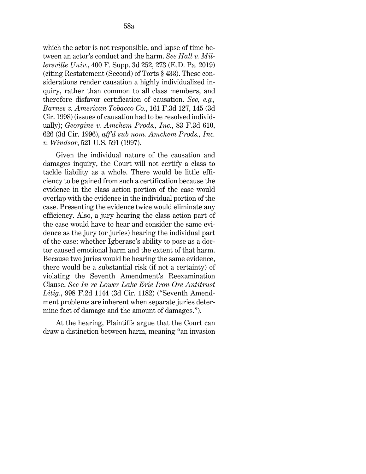which the actor is not responsible, and lapse of time between an actor's conduct and the harm. *See [Hall v. Mil](http://www.westlaw.com/Link/Document/FullText?findType=Y&serNum=2049133139&pubNum=0007903&originatingDoc=I411069c06d9911ea94c1fd79e5bc9f66&refType=RP&fi=co_pp_sp_7903_273&originationContext=document&vr=3.0&rs=cblt1.0&transitionType=DocumentItem&contextData=(sc.UserEnteredCitation)#co_pp_sp_7903_273)[lersville Univ.](http://www.westlaw.com/Link/Document/FullText?findType=Y&serNum=2049133139&pubNum=0007903&originatingDoc=I411069c06d9911ea94c1fd79e5bc9f66&refType=RP&fi=co_pp_sp_7903_273&originationContext=document&vr=3.0&rs=cblt1.0&transitionType=DocumentItem&contextData=(sc.UserEnteredCitation)#co_pp_sp_7903_273)*[, 400 F. Supp. 3d 252, 273 \(E.D. Pa. 2019\)](http://www.westlaw.com/Link/Document/FullText?findType=Y&serNum=2049133139&pubNum=0007903&originatingDoc=I411069c06d9911ea94c1fd79e5bc9f66&refType=RP&fi=co_pp_sp_7903_273&originationContext=document&vr=3.0&rs=cblt1.0&transitionType=DocumentItem&contextData=(sc.UserEnteredCitation)#co_pp_sp_7903_273) (citin[g Restatement \(Second\) of Torts § 433\)](http://www.westlaw.com/Link/Document/FullText?findType=Y&serNum=0294806325&pubNum=0101577&originatingDoc=I411069c06d9911ea94c1fd79e5bc9f66&refType=TS&originationContext=document&vr=3.0&rs=cblt1.0&transitionType=DocumentItem&contextData=(sc.UserEnteredCitation)). These considerations render causation a highly individualized inquiry, rather than common to all class members, and therefore disfavor certification of causation. *See, e.g., [Barnes v. American Tobacco Co.](http://www.westlaw.com/Link/Document/FullText?findType=Y&serNum=1998231001&pubNum=0000506&originatingDoc=I411069c06d9911ea94c1fd79e5bc9f66&refType=RP&fi=co_pp_sp_506_145&originationContext=document&vr=3.0&rs=cblt1.0&transitionType=DocumentItem&contextData=(sc.UserEnteredCitation)#co_pp_sp_506_145)*[, 161 F.3d 127, 145 \(3d](http://www.westlaw.com/Link/Document/FullText?findType=Y&serNum=1998231001&pubNum=0000506&originatingDoc=I411069c06d9911ea94c1fd79e5bc9f66&refType=RP&fi=co_pp_sp_506_145&originationContext=document&vr=3.0&rs=cblt1.0&transitionType=DocumentItem&contextData=(sc.UserEnteredCitation)#co_pp_sp_506_145)  [Cir. 1998\)](http://www.westlaw.com/Link/Document/FullText?findType=Y&serNum=1998231001&pubNum=0000506&originatingDoc=I411069c06d9911ea94c1fd79e5bc9f66&refType=RP&fi=co_pp_sp_506_145&originationContext=document&vr=3.0&rs=cblt1.0&transitionType=DocumentItem&contextData=(sc.UserEnteredCitation)#co_pp_sp_506_145) (issues of causation had to be resolved individually); *[Georgine v. Amchem Prods., Inc.](http://www.westlaw.com/Link/Document/FullText?findType=Y&serNum=1996113331&pubNum=0000506&originatingDoc=I411069c06d9911ea94c1fd79e5bc9f66&refType=RP&fi=co_pp_sp_506_626&originationContext=document&vr=3.0&rs=cblt1.0&transitionType=DocumentItem&contextData=(sc.UserEnteredCitation)#co_pp_sp_506_626)*[, 83 F.3d 610,](http://www.westlaw.com/Link/Document/FullText?findType=Y&serNum=1996113331&pubNum=0000506&originatingDoc=I411069c06d9911ea94c1fd79e5bc9f66&refType=RP&fi=co_pp_sp_506_626&originationContext=document&vr=3.0&rs=cblt1.0&transitionType=DocumentItem&contextData=(sc.UserEnteredCitation)#co_pp_sp_506_626)  [626 \(3d Cir. 1996\),](http://www.westlaw.com/Link/Document/FullText?findType=Y&serNum=1996113331&pubNum=0000506&originatingDoc=I411069c06d9911ea94c1fd79e5bc9f66&refType=RP&fi=co_pp_sp_506_626&originationContext=document&vr=3.0&rs=cblt1.0&transitionType=DocumentItem&contextData=(sc.UserEnteredCitation)#co_pp_sp_506_626) *aff'd sub nom. [Amchem Prods., Inc.](http://www.westlaw.com/Link/Document/FullText?findType=Y&serNum=1997134004&pubNum=0000780&originatingDoc=I411069c06d9911ea94c1fd79e5bc9f66&refType=RP&originationContext=document&vr=3.0&rs=cblt1.0&transitionType=DocumentItem&contextData=(sc.UserEnteredCitation))  v. Windsor*[, 521 U.S. 591 \(1997\).](http://www.westlaw.com/Link/Document/FullText?findType=Y&serNum=1997134004&pubNum=0000780&originatingDoc=I411069c06d9911ea94c1fd79e5bc9f66&refType=RP&originationContext=document&vr=3.0&rs=cblt1.0&transitionType=DocumentItem&contextData=(sc.UserEnteredCitation))

Given the individual nature of the causation and damages inquiry, the Court will not certify a class to tackle liability as a whole. There would be little efficiency to be gained from such a certification because the evidence in the class action portion of the case would overlap with the evidence in the individual portion of the case. Presenting the evidence twice would eliminate any efficiency. Also, a jury hearing the class action part of the case would have to hear and consider the same evidence as the jury (or juries) hearing the individual part of the case: whether Igberase's ability to pose as a doctor caused emotional harm and the extent of that harm. Because two juries would be hearing the same evidence, there would be a substantial risk (if not a certainty) of violating the Seventh Amendment's Reexamination Clause. *See [In re Lower Lake Erie Iron Ore Antitrust](http://www.westlaw.com/Link/Document/FullText?findType=Y&serNum=1993124579&pubNum=0000350&originatingDoc=I411069c06d9911ea94c1fd79e5bc9f66&refType=RP&originationContext=document&vr=3.0&rs=cblt1.0&transitionType=DocumentItem&contextData=(sc.UserEnteredCitation))  Litig.*[, 998 F.2d 1144 \(3d Cir. 1182\)](http://www.westlaw.com/Link/Document/FullText?findType=Y&serNum=1993124579&pubNum=0000350&originatingDoc=I411069c06d9911ea94c1fd79e5bc9f66&refType=RP&originationContext=document&vr=3.0&rs=cblt1.0&transitionType=DocumentItem&contextData=(sc.UserEnteredCitation)) ("Seventh Amendment problems are inherent when separate juries determine fact of damage and the amount of damages.").

At the hearing, Plaintiffs argue that the Court can draw a distinction between harm, meaning "an invasion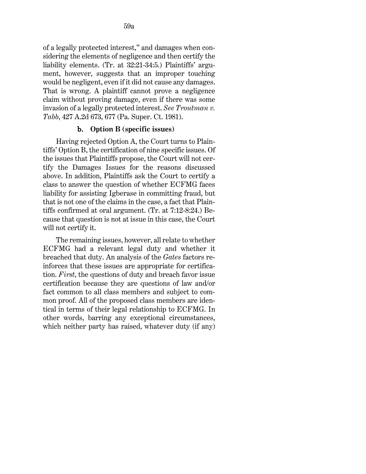of a legally protected interest," and damages when considering the elements of negligence and then certify the liability elements. (Tr. at 32:21-34:5.) Plaintiffs' argument, however, suggests that an improper touching would be negligent, even if it did not cause any damages. That is wrong. A plaintiff cannot prove a negligence claim without proving damage, even if there was some invasion of a legally protected interest. *See [Troutman v.](http://www.westlaw.com/Link/Document/FullText?findType=Y&serNum=1981113439&pubNum=0000162&originatingDoc=I411069c06d9911ea94c1fd79e5bc9f66&refType=RP&fi=co_pp_sp_162_677&originationContext=document&vr=3.0&rs=cblt1.0&transitionType=DocumentItem&contextData=(sc.UserEnteredCitation)#co_pp_sp_162_677)  [Tabb](http://www.westlaw.com/Link/Document/FullText?findType=Y&serNum=1981113439&pubNum=0000162&originatingDoc=I411069c06d9911ea94c1fd79e5bc9f66&refType=RP&fi=co_pp_sp_162_677&originationContext=document&vr=3.0&rs=cblt1.0&transitionType=DocumentItem&contextData=(sc.UserEnteredCitation)#co_pp_sp_162_677)*[, 427 A.2d 673, 677 \(Pa. Super. Ct. 1981\).](http://www.westlaw.com/Link/Document/FullText?findType=Y&serNum=1981113439&pubNum=0000162&originatingDoc=I411069c06d9911ea94c1fd79e5bc9f66&refType=RP&fi=co_pp_sp_162_677&originationContext=document&vr=3.0&rs=cblt1.0&transitionType=DocumentItem&contextData=(sc.UserEnteredCitation)#co_pp_sp_162_677)

#### b. **Option B (specific issues)**

Having rejected Option A, the Court turns to Plaintiffs' Option B, the certification of nine specific issues. Of the issues that Plaintiffs propose, the Court will not certify the Damages Issues for the reasons discussed above. In addition, Plaintiffs ask the Court to certify a class to answer the question of whether ECFMG faces liability for assisting Igberase in committing fraud, but that is not one of the claims in the case, a fact that Plaintiffs confirmed at oral argument. (Tr. at 7:12-8:24.) Because that question is not at issue in this case, the Court will not certify it.

The remaining issues, however, all relate to whether ECFMG had a relevant legal duty and whether it breached that duty. An analysis of the *Gates* factors reinforces that these issues are appropriate for certification. *First*, the questions of duty and breach favor issue certification because they are questions of law and/or fact common to all class members and subject to common proof. All of the proposed class members are identical in terms of their legal relationship to ECFMG. In other words, barring any exceptional circumstances, which neither party has raised, whatever duty (if any)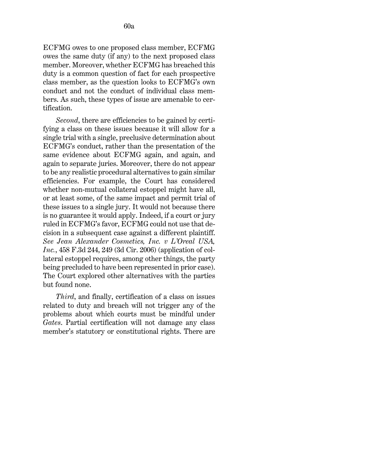ECFMG owes to one proposed class member, ECFMG owes the same duty (if any) to the next proposed class member. Moreover, whether ECFMG has breached this duty is a common question of fact for each prospective class member, as the question looks to ECFMG's own conduct and not the conduct of individual class members. As such, these types of issue are amenable to certification.

*Second*, there are efficiencies to be gained by certifying a class on these issues because it will allow for a single trial with a single, preclusive determination about ECFMG's conduct, rather than the presentation of the same evidence about ECFMG again, and again, and again to separate juries. Moreover, there do not appear to be any realistic procedural alternatives to gain similar efficiencies. For example, the Court has considered whether non-mutual collateral estoppel might have all, or at least some, of the same impact and permit trial of these issues to a single jury. It would not because there is no guarantee it would apply. Indeed, if a court or jury ruled in ECFMG's favor, ECFMG could not use that decision in a subsequent case against a different plaintiff. *See [Jean Alexander Cosmetics, Inc. v L'Oreal USA,](http://www.westlaw.com/Link/Document/FullText?findType=Y&serNum=2009723346&pubNum=0000506&originatingDoc=I411069c06d9911ea94c1fd79e5bc9f66&refType=RP&fi=co_pp_sp_506_249&originationContext=document&vr=3.0&rs=cblt1.0&transitionType=DocumentItem&contextData=(sc.UserEnteredCitation)#co_pp_sp_506_249)  [Inc.](http://www.westlaw.com/Link/Document/FullText?findType=Y&serNum=2009723346&pubNum=0000506&originatingDoc=I411069c06d9911ea94c1fd79e5bc9f66&refType=RP&fi=co_pp_sp_506_249&originationContext=document&vr=3.0&rs=cblt1.0&transitionType=DocumentItem&contextData=(sc.UserEnteredCitation)#co_pp_sp_506_249)*[, 458 F.3d 244, 249 \(3d Cir. 2006\)](http://www.westlaw.com/Link/Document/FullText?findType=Y&serNum=2009723346&pubNum=0000506&originatingDoc=I411069c06d9911ea94c1fd79e5bc9f66&refType=RP&fi=co_pp_sp_506_249&originationContext=document&vr=3.0&rs=cblt1.0&transitionType=DocumentItem&contextData=(sc.UserEnteredCitation)#co_pp_sp_506_249) (application of collateral estoppel requires, among other things, the party being precluded to have been represented in prior case). The Court explored other alternatives with the parties but found none.

*Third*, and finally, certification of a class on issues related to duty and breach will not trigger any of the problems about which courts must be mindful under *Gates*. Partial certification will not damage any class member's statutory or constitutional rights. There are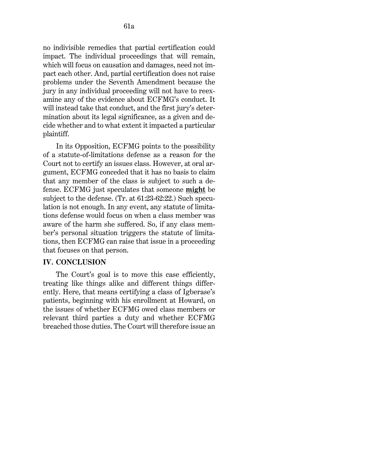no indivisible remedies that partial certification could impact. The individual proceedings that will remain, which will focus on causation and damages, need not impact each other. And, partial certification does not raise problems under the Seventh Amendment because the jury in any individual proceeding will not have to reexamine any of the evidence about ECFMG's conduct. It will instead take that conduct, and the first jury's determination about its legal significance, as a given and decide whether and to what extent it impacted a particular plaintiff.

In its Opposition, ECFMG points to the possibility of a statute-of-limitations defense as a reason for the Court not to certify an issues class. However, at oral argument, ECFMG conceded that it has no basis to claim that any member of the class is subject to such a defense. ECFMG just speculates that someone **might** be subject to the defense. (Tr. at 61:23-62:22.) Such speculation is not enough. In any event, any statute of limitations defense would focus on when a class member was aware of the harm she suffered. So, if any class member's personal situation triggers the statute of limitations, then ECFMG can raise that issue in a proceeding that focuses on that person.

#### **IV. CONCLUSION**

The Court's goal is to move this case efficiently, treating like things alike and different things differently. Here, that means certifying a class of Igberase's patients, beginning with his enrollment at Howard, on the issues of whether ECFMG owed class members or relevant third parties a duty and whether ECFMG breached those duties. The Court will therefore issue an